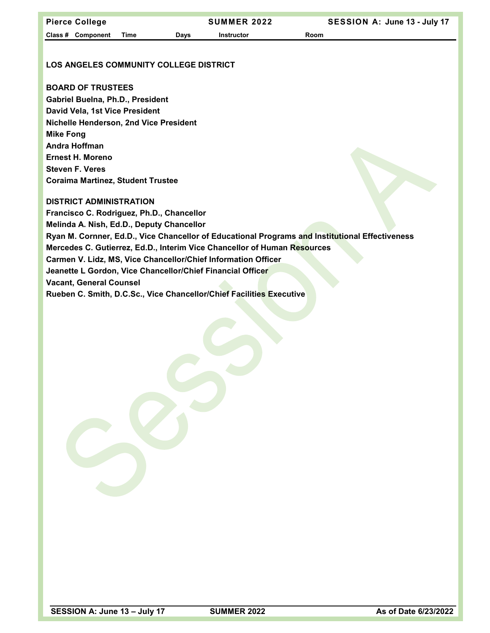| <b>Pierce College</b>                                      |             |      | SUMMER 2022                                                              | SESSION A: June 13 - July 17                                                                    |  |  |  |
|------------------------------------------------------------|-------------|------|--------------------------------------------------------------------------|-------------------------------------------------------------------------------------------------|--|--|--|
| Class # Component                                          | <b>Time</b> | Days | <b>Instructor</b>                                                        | Room                                                                                            |  |  |  |
|                                                            |             |      |                                                                          |                                                                                                 |  |  |  |
| <b>LOS ANGELES COMMUNITY COLLEGE DISTRICT</b>              |             |      |                                                                          |                                                                                                 |  |  |  |
|                                                            |             |      |                                                                          |                                                                                                 |  |  |  |
| <b>BOARD OF TRUSTEES</b>                                   |             |      |                                                                          |                                                                                                 |  |  |  |
| Gabriel Buelna, Ph.D., President                           |             |      |                                                                          |                                                                                                 |  |  |  |
| David Vela, 1st Vice President                             |             |      |                                                                          |                                                                                                 |  |  |  |
| Nichelle Henderson, 2nd Vice President                     |             |      |                                                                          |                                                                                                 |  |  |  |
| <b>Mike Fong</b>                                           |             |      |                                                                          |                                                                                                 |  |  |  |
| Andra Hoffman                                              |             |      |                                                                          |                                                                                                 |  |  |  |
| Ernest H. Moreno                                           |             |      |                                                                          |                                                                                                 |  |  |  |
| <b>Steven F. Veres</b>                                     |             |      |                                                                          |                                                                                                 |  |  |  |
| <b>Coraima Martinez, Student Trustee</b>                   |             |      |                                                                          |                                                                                                 |  |  |  |
| <b>DISTRICT ADMINISTRATION</b>                             |             |      |                                                                          |                                                                                                 |  |  |  |
| Francisco C. Rodriguez, Ph.D., Chancellor                  |             |      |                                                                          |                                                                                                 |  |  |  |
| Melinda A. Nish, Ed.D., Deputy Chancellor                  |             |      |                                                                          |                                                                                                 |  |  |  |
|                                                            |             |      |                                                                          | Ryan M. Cornner, Ed.D., Vice Chancellor of Educational Programs and Institutional Effectiveness |  |  |  |
|                                                            |             |      | Mercedes C. Gutierrez, Ed.D., Interim Vice Chancellor of Human Resources |                                                                                                 |  |  |  |
|                                                            |             |      | Carmen V. Lidz, MS, Vice Chancellor/Chief Information Officer            |                                                                                                 |  |  |  |
| Jeanette L Gordon, Vice Chancellor/Chief Financial Officer |             |      |                                                                          |                                                                                                 |  |  |  |
| <b>Vacant, General Counsel</b>                             |             |      |                                                                          |                                                                                                 |  |  |  |
|                                                            |             |      | Rueben C. Smith, D.C.Sc., Vice Chancellor/Chief Facilities Executive     |                                                                                                 |  |  |  |
|                                                            |             |      |                                                                          |                                                                                                 |  |  |  |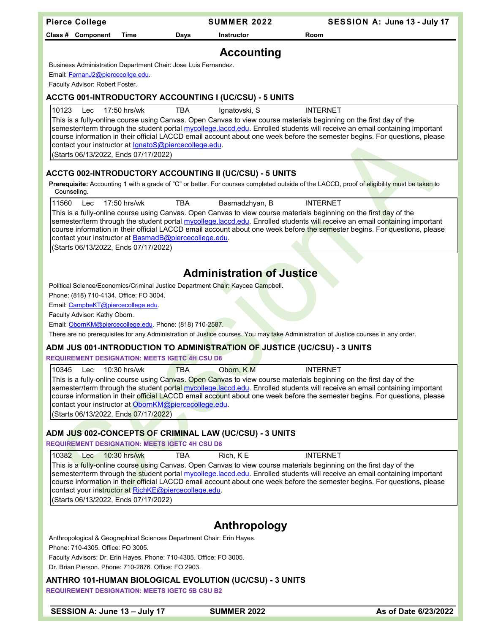| <b>SUMMER 2022</b><br>SESSION A: June 13 - July 17<br><b>Pierce College</b>                                                                                                                                                                                                                                                                                                                                                                                                           |  |
|---------------------------------------------------------------------------------------------------------------------------------------------------------------------------------------------------------------------------------------------------------------------------------------------------------------------------------------------------------------------------------------------------------------------------------------------------------------------------------------|--|
| Room<br>Class # Component<br>Time<br>Days<br>Instructor                                                                                                                                                                                                                                                                                                                                                                                                                               |  |
| <b>Accounting</b>                                                                                                                                                                                                                                                                                                                                                                                                                                                                     |  |
| Business Administration Department Chair: Jose Luis Fernandez.                                                                                                                                                                                                                                                                                                                                                                                                                        |  |
| Email FernanJ2@piercecollge.edu.                                                                                                                                                                                                                                                                                                                                                                                                                                                      |  |
| Faculty Advisor: Robert Foster.                                                                                                                                                                                                                                                                                                                                                                                                                                                       |  |
| ACCTG 001-INTRODUCTORY ACCOUNTING I (UC/CSU) - 5 UNITS                                                                                                                                                                                                                                                                                                                                                                                                                                |  |
| 10123<br>17:50 hrs/wk<br><b>TBA</b><br>Ignatovski, S<br><b>INTERNET</b><br>Lec                                                                                                                                                                                                                                                                                                                                                                                                        |  |
| This is a fully-online course using Canvas. Open Canvas to view course materials beginning on the first day of the<br>semester/term through the student portal mycollege.laccd.edu. Enrolled students will receive an email containing important<br>course information in their official LACCD email account about one week before the semester begins. For questions, please<br>contact your instructor at <i>IgnatoS@piercecollege.edu.</i><br>(Starts 06/13/2022, Ends 07/17/2022) |  |
| <b>ACCTG 002-INTRODUCTORY ACCOUNTING II (UC/CSU) - 5 UNITS</b>                                                                                                                                                                                                                                                                                                                                                                                                                        |  |
| Prerequisite: Accounting 1 with a grade of "C" or better. For courses completed outside of the LACCD, proof of eligibility must be taken to<br>Counseling.                                                                                                                                                                                                                                                                                                                            |  |
| 11560<br>17:50 hrs/wk<br>Lec<br>TBA<br>Basmadzhyan, B<br><b>INTERNET</b>                                                                                                                                                                                                                                                                                                                                                                                                              |  |
| This is a fully-online course using Canvas. Open Canvas to view course materials beginning on the first day of the<br>semester/term through the student portal mycollege.laccd.edu. Enrolled students will receive an email containing important<br>course information in their official LACCD email account about one week before the semester begins. For questions, please<br>contact your instructor at BasmadB@piercecollege.edu.<br>(Starts 06/13/2022, Ends 07/17/2022)        |  |
|                                                                                                                                                                                                                                                                                                                                                                                                                                                                                       |  |
| <b>Administration of Justice</b>                                                                                                                                                                                                                                                                                                                                                                                                                                                      |  |
| Political Science/Economics/Criminal Justice Department Chair: Kaycea Campbell.                                                                                                                                                                                                                                                                                                                                                                                                       |  |
| Phone: (818) 710-4134. Office: FO 3004.                                                                                                                                                                                                                                                                                                                                                                                                                                               |  |
| Email: CampbeKT@piercecollege.edu.                                                                                                                                                                                                                                                                                                                                                                                                                                                    |  |
| Faculty Advisor: Kathy Oborn.                                                                                                                                                                                                                                                                                                                                                                                                                                                         |  |
| Email: ObornKM@piercecollege.edu. Phone: (818) 710-2587.                                                                                                                                                                                                                                                                                                                                                                                                                              |  |
| There are no prerequisites for any Administration of Justice courses. You may take Administration of Justice courses in any order.                                                                                                                                                                                                                                                                                                                                                    |  |
| ADM JUS 001-INTRODUCTION TO ADMINISTRATION OF JUSTICE (UC/CSU) - 3 UNITS<br><b>REQUIREMENT DESIGNATION: MEETS IGETC 4H CSU D8</b>                                                                                                                                                                                                                                                                                                                                                     |  |
| 10345<br>Oborn, KM<br><b>INTERNET</b><br>10:30 hrs/wk<br><b>TBA</b><br>Lec                                                                                                                                                                                                                                                                                                                                                                                                            |  |
| This is a fully-online course using Canyas. Open Canyas to view course materials beginning on the first day of the<br>semester/term through the student portal mycollege.laccd.edu. Enrolled students will receive an email containing important<br>course information in their official LACCD email account about one week before the semester begins. For questions, please<br>contact your instructor at ObornKM@piercecollege.edu.<br>(Starts 06/13/2022, Ends 07/17/2022)        |  |
|                                                                                                                                                                                                                                                                                                                                                                                                                                                                                       |  |
| ADM JUS 002-CONCEPTS OF CRIMINAL LAW (UC/CSU) - 3 UNITS<br><b>REQUIREMENT DESIGNATION: MEETS IGETC 4H CSU D8</b>                                                                                                                                                                                                                                                                                                                                                                      |  |
| 10382<br>Rich, KE<br><b>INTERNET</b><br>$10:30$ hrs/wk<br>TBA<br>Lec                                                                                                                                                                                                                                                                                                                                                                                                                  |  |
| This is a fully-online course using Canvas. Open Canvas to view course materials beginning on the first day of the<br>semester/term through the student portal mycollege.laccd.edu. Enrolled students will receive an email containing important<br>course information in their official LACCD email account about one week before the semester begins. For questions, please<br>contact your instructor at RichKE@piercecollege.edu.<br>(Starts 06/13/2022, Ends 07/17/2022)         |  |
|                                                                                                                                                                                                                                                                                                                                                                                                                                                                                       |  |
| Anthropology                                                                                                                                                                                                                                                                                                                                                                                                                                                                          |  |
| Anthropological & Geographical Sciences Department Chair: Erin Hayes.<br>Phone: 710-4305. Office: FO 3005.                                                                                                                                                                                                                                                                                                                                                                            |  |
| Faculty Advisors: Dr. Erin Hayes. Phone: 710-4305. Office: FO 3005.                                                                                                                                                                                                                                                                                                                                                                                                                   |  |
| Dr. Brian Pierson. Phone: 710-2876. Office: FO 2903.                                                                                                                                                                                                                                                                                                                                                                                                                                  |  |
| ANTHRO 101-HUMAN BIOLOGICAL EVOLUTION (UC/CSU) - 3 UNITS<br><b>REQUIREMENT DESIGNATION: MEETS IGETC 5B CSU B2</b>                                                                                                                                                                                                                                                                                                                                                                     |  |
| SESSION A: June 13 - July 17<br>As of Date 6/23/2022<br><b>SUMMER 2022</b>                                                                                                                                                                                                                                                                                                                                                                                                            |  |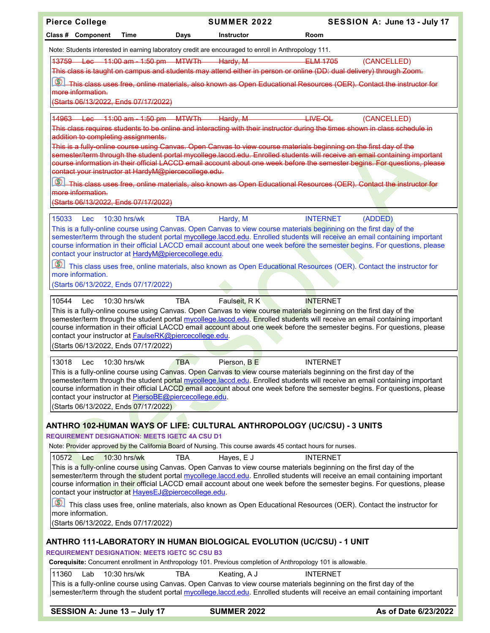| <b>Pierce College</b>                                                                                                          | <b>SUMMER 2022</b>         |                                                                                                                                                                                                                                                                                               | SESSION A: June 13 - July 17 |
|--------------------------------------------------------------------------------------------------------------------------------|----------------------------|-----------------------------------------------------------------------------------------------------------------------------------------------------------------------------------------------------------------------------------------------------------------------------------------------|------------------------------|
| Class # Component<br>Time                                                                                                      | Days<br>Instructor         | Room                                                                                                                                                                                                                                                                                          |                              |
| Note: Students interested in earning laboratory credit are encouraged to enroll in Anthropology 111.                           |                            |                                                                                                                                                                                                                                                                                               |                              |
| 13759 Lec 11:00 am - 1:50 pm MTWTh Hardy, M                                                                                    |                            | ELM 1705                                                                                                                                                                                                                                                                                      | (CANCELLED)                  |
|                                                                                                                                |                            | This class is taught on campus and students may attend either in person or online (DD: dual delivery) through Zoom.                                                                                                                                                                           |                              |
| $  \mathcal{O}  $                                                                                                              |                            | This class uses free, online materials, also known as Open Educational Resources (OER). Contact the instructor for                                                                                                                                                                            |                              |
| more information.<br>(Starts 06/13/2022, Ends 07/17/2022)                                                                      |                            |                                                                                                                                                                                                                                                                                               |                              |
|                                                                                                                                |                            |                                                                                                                                                                                                                                                                                               |                              |
| 14963 Lec 11:00 am - 1:50 pm MTWTh                                                                                             | Hardy, M                   | $HWE-OL$                                                                                                                                                                                                                                                                                      | (CANCELLED)                  |
| addition to completing assignments.                                                                                            |                            | This class requires students to be online and interacting with their instructor during the times shown in class schedule in                                                                                                                                                                   |                              |
|                                                                                                                                |                            | This is a fully online course using Canvas. Open Canvas to view course materials beginning on the first day of the                                                                                                                                                                            |                              |
|                                                                                                                                |                            | semester/term through the student portal mycollege.laccd.edu. Enrolled students will receive an email containing important<br>course information in their official LACCD email account about one week before the semester begins. For questions, please                                       |                              |
| contact your instructor at HardyM@piercecollege.edu.                                                                           |                            |                                                                                                                                                                                                                                                                                               |                              |
| $\circledcirc$                                                                                                                 |                            | This class uses free, online materials, also known as Open Educational Resources (OER). Contact the instructor for                                                                                                                                                                            |                              |
| more information.                                                                                                              |                            |                                                                                                                                                                                                                                                                                               |                              |
| (Starts 06/13/2022, Ends 07/17/2022)                                                                                           |                            |                                                                                                                                                                                                                                                                                               |                              |
| 15033<br>$10:30$ hrs/wk<br><b>Lec</b>                                                                                          | <b>TBA</b><br>Hardy, M     | <b>INTERNET</b><br>(ADDED)                                                                                                                                                                                                                                                                    |                              |
|                                                                                                                                |                            | This is a fully-online course using Canvas. Open Canvas to view course materials beginning on the first day of the<br>semester/term through the student portal mycollege.laccd.edu. Enrolled students will receive an email containing important                                              |                              |
|                                                                                                                                |                            | course information in their official LACCD email account about one week before the semester begins. For questions, please                                                                                                                                                                     |                              |
| contact your instructor at HardyM@piercecollege.edu.                                                                           |                            |                                                                                                                                                                                                                                                                                               |                              |
|                                                                                                                                |                            | This class uses free, online materials, also known as Open Educational Resources (OER). Contact the instructor for                                                                                                                                                                            |                              |
| more information.<br>(Starts 06/13/2022, Ends 07/17/2022)                                                                      |                            |                                                                                                                                                                                                                                                                                               |                              |
|                                                                                                                                |                            |                                                                                                                                                                                                                                                                                               |                              |
| 10544<br>10:30 hrs/wk<br>Lec                                                                                                   | Faulseit, RK<br><b>TBA</b> | <b>INTERNET</b>                                                                                                                                                                                                                                                                               |                              |
|                                                                                                                                |                            | This is a fully-online course using Canvas. Open Canvas to view course materials beginning on the first day of the<br>semester/term through the student portal mycollege laccd edu. Enrolled students will receive an email containing important                                              |                              |
|                                                                                                                                |                            | course information in their official LACCD email account about one week before the semester begins. For questions, please                                                                                                                                                                     |                              |
| contact your instructor at <b>FaulseRK@piercecollege.edu</b> .<br>(Starts 06/13/2022, Ends 07/17/2022)                         |                            |                                                                                                                                                                                                                                                                                               |                              |
|                                                                                                                                |                            |                                                                                                                                                                                                                                                                                               |                              |
| 13018<br>10:30 hrs/wk<br><b>Lec</b>                                                                                            | <b>TBA</b><br>Pierson, B E | <b>INTERNET</b>                                                                                                                                                                                                                                                                               |                              |
|                                                                                                                                |                            | This is a fully-online course using Ca <mark>nv</mark> as. Ope <mark>n Ca</mark> nva <mark>s to vie</mark> w course materials beginning on the first day of the<br>semester/term through the student portal mycollege.laccd.edu. Enrolled students will receive an email containing important |                              |
|                                                                                                                                |                            | course information in their official LACCD email account about one week before the semester begins. For questions, please                                                                                                                                                                     |                              |
| contact your instructor at PiersoBE@piercecollege.edu.<br>(Starts 06/13/2022, Ends 07/17/2022)                                 |                            |                                                                                                                                                                                                                                                                                               |                              |
|                                                                                                                                |                            |                                                                                                                                                                                                                                                                                               |                              |
|                                                                                                                                |                            | ANTHRO 102-HUMAN WAYS OF LIFE: CULTURAL ANTHROPOLOGY (UC/CSU) - 3 UNITS                                                                                                                                                                                                                       |                              |
| <b>REQUIREMENT DESIGNATION: MEETS IGETC 4A CSU D1</b>                                                                          |                            |                                                                                                                                                                                                                                                                                               |                              |
| Note: Provider approved by the California Board of Nursing. This course awards 45 contact hours for nurses.                    |                            |                                                                                                                                                                                                                                                                                               |                              |
| 10572<br>Lec<br>$10:30$ hrs/wk                                                                                                 | <b>TBA</b><br>Hayes, E J   | <b>INTERNET</b>                                                                                                                                                                                                                                                                               |                              |
|                                                                                                                                |                            | This is a fully-online course using Canvas. Open Canvas to view course materials beginning on the first day of the<br>semester/term through the student portal mycollege.laccd.edu. Enrolled students will receive an email containing important                                              |                              |
|                                                                                                                                |                            | course information in their official LACCD email account about one week before the semester begins. For questions, please                                                                                                                                                                     |                              |
| contact your instructor at HayesEJ@piercecollege.edu.                                                                          |                            |                                                                                                                                                                                                                                                                                               |                              |
| $  \textcircled{8} $<br>more information.                                                                                      |                            | This class uses free, online materials, also known as Open Educational Resources (OER). Contact the instructor for                                                                                                                                                                            |                              |
| (Starts 06/13/2022, Ends 07/17/2022)                                                                                           |                            |                                                                                                                                                                                                                                                                                               |                              |
|                                                                                                                                |                            |                                                                                                                                                                                                                                                                                               |                              |
| ANTHRO 111-LABORATORY IN HUMAN BIOLOGICAL EVOLUTION (UC/CSU) - 1 UNIT<br><b>REQUIREMENT DESIGNATION: MEETS IGETC 5C CSU B3</b> |                            |                                                                                                                                                                                                                                                                                               |                              |
| Corequisite: Concurrent enrollment in Anthropology 101. Previous completion of Anthropology 101 is allowable.                  |                            |                                                                                                                                                                                                                                                                                               |                              |
| 11360<br>Lab<br>10:30 hrs/wk                                                                                                   | <b>TBA</b><br>Keating, A J | <b>INTERNET</b>                                                                                                                                                                                                                                                                               |                              |
|                                                                                                                                |                            | This is a fully-online course using Canvas. Open Canvas to view course materials beginning on the first day of the                                                                                                                                                                            |                              |
|                                                                                                                                |                            | semester/term through the student portal mycollege.laccd.edu. Enrolled students will receive an email containing important                                                                                                                                                                    |                              |
| SESSION A: June 13 - July 17                                                                                                   | <b>SUMMER 2022</b>         |                                                                                                                                                                                                                                                                                               | As of Date 6/23/2022         |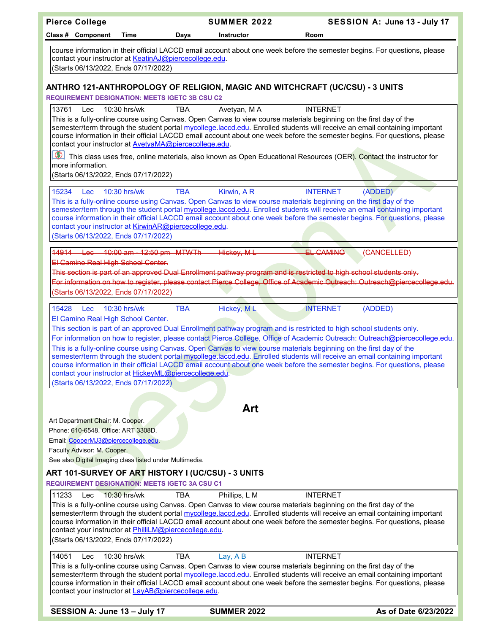| <b>Pierce College</b>                                                                                                                                                                                                                                                                                                                                                                                                                                                                                                                | <b>SUMMER 2022</b>        | SESSION A: June 13 - July 17                                                                                                          |                      |
|--------------------------------------------------------------------------------------------------------------------------------------------------------------------------------------------------------------------------------------------------------------------------------------------------------------------------------------------------------------------------------------------------------------------------------------------------------------------------------------------------------------------------------------|---------------------------|---------------------------------------------------------------------------------------------------------------------------------------|----------------------|
| Class # Component<br>Time                                                                                                                                                                                                                                                                                                                                                                                                                                                                                                            | <b>Instructor</b><br>Days | Room                                                                                                                                  |                      |
| course information in their official LACCD email account about one week before the semester begins. For questions, please<br>contact your instructor at KeatinAJ@piercecollege.edu.<br>(Starts 06/13/2022, Ends 07/17/2022)                                                                                                                                                                                                                                                                                                          |                           |                                                                                                                                       |                      |
| ANTHRO 121-ANTHROPOLOGY OF RELIGION, MAGIC AND WITCHCRAFT (UC/CSU) - 3 UNITS                                                                                                                                                                                                                                                                                                                                                                                                                                                         |                           |                                                                                                                                       |                      |
| <b>REQUIREMENT DESIGNATION: MEETS IGETC 3B CSU C2</b>                                                                                                                                                                                                                                                                                                                                                                                                                                                                                |                           |                                                                                                                                       |                      |
| 13761<br>10:30 hrs/wk<br>Lec<br>This is a fully-online course using Canvas. Open Canvas to view course materials beginning on the first day of the<br>semester/term through the student portal mycollege.laccd.edu. Enrolled students will receive an email containing important<br>course information in their official LACCD email account about one week before the semester begins. For questions, please<br>contact your instructor at AvetyaMA@piercecollege.edu.<br>more information.<br>(Starts 06/13/2022, Ends 07/17/2022) | <b>TBA</b><br>Avetyan, MA | <b>INTERNET</b><br>This class uses free, online materials, also known as Open Educational Resources (OER). Contact the instructor for |                      |
| 15234<br><b>Lec</b><br>10:30 hrs/wk                                                                                                                                                                                                                                                                                                                                                                                                                                                                                                  | <b>TBA</b><br>Kirwin, AR  | <b>INTERNET</b><br>(ADDED)                                                                                                            |                      |
| This is a fully-online course using Canvas. Open Canvas to view course materials beginning on the first day of the<br>semester/term through the student portal mycollege.laccd.edu. Enrolled students will receive an email containing important<br>course information in their official LACCD email account about one week before the semester begins. For questions, please<br>contact your instructor at KirwinAR@piercecollege.edu.<br>(Starts 06/13/2022, Ends 07/17/2022)                                                      |                           |                                                                                                                                       |                      |
| 10:00 am - 12:50 pm MTWTh<br>14914<br>$\pm$ ee                                                                                                                                                                                                                                                                                                                                                                                                                                                                                       | Hickey, M L               | <b>EL CAMINO</b><br>(CANCELLED)                                                                                                       |                      |
| El Camino Real High School Center.                                                                                                                                                                                                                                                                                                                                                                                                                                                                                                   |                           |                                                                                                                                       |                      |
| This section is part of an approved Dual Enrollment pathway program and is restricted to high school students only.                                                                                                                                                                                                                                                                                                                                                                                                                  |                           |                                                                                                                                       |                      |
| For information on how to register, please contact Pierce College, Office of Academic Outreach: Outreach@piercecollege.edu.                                                                                                                                                                                                                                                                                                                                                                                                          |                           |                                                                                                                                       |                      |
| (Starts 06/13/2022, Ends 07/17/2022)                                                                                                                                                                                                                                                                                                                                                                                                                                                                                                 |                           |                                                                                                                                       |                      |
| 15428<br>10:30 hrs/wk<br>Lec<br>El Camino Real High School Center.<br>This section is part of an approved Dual Enrollment pathway program and is restricted to high school students only.                                                                                                                                                                                                                                                                                                                                            | <b>TBA</b><br>Hickey, ML  | (ADDED)<br><b>INTERNET</b>                                                                                                            |                      |
| For information on how to register, please contact Pierce College, Office of Academic Outreach: Outreach@piercecollege.edu.                                                                                                                                                                                                                                                                                                                                                                                                          |                           |                                                                                                                                       |                      |
| This is a fully-online course using Canvas. Open Canvas to view course materials beginning on the first day of the<br>semester/term through the student portal mycollege.laccd.edu. Enrolled students will receive an email containing important<br>course information in their official LACCD email account about one week before the semester begins. For questions, please<br>contact your instructor at HickeyML@piercecollege.edu.<br>(Starts 06/13/2022, Ends 07/17/2022)                                                      |                           |                                                                                                                                       |                      |
|                                                                                                                                                                                                                                                                                                                                                                                                                                                                                                                                      |                           |                                                                                                                                       |                      |
|                                                                                                                                                                                                                                                                                                                                                                                                                                                                                                                                      | Art                       |                                                                                                                                       |                      |
| Art Department Chair: M. Cooper.                                                                                                                                                                                                                                                                                                                                                                                                                                                                                                     |                           |                                                                                                                                       |                      |
| Phone: 610-6548. Office: ART 3308D.<br>Email: CooperMJ3@piercecollege.edu.                                                                                                                                                                                                                                                                                                                                                                                                                                                           |                           |                                                                                                                                       |                      |
| Faculty Advisor: M. Cooper.                                                                                                                                                                                                                                                                                                                                                                                                                                                                                                          |                           |                                                                                                                                       |                      |
| See also Digital Imaging class listed under Multimedia.                                                                                                                                                                                                                                                                                                                                                                                                                                                                              |                           |                                                                                                                                       |                      |
| ART 101-SURVEY OF ART HISTORY I (UC/CSU) - 3 UNITS<br><b>REQUIREMENT DESIGNATION: MEETS IGETC 3A CSU C1</b>                                                                                                                                                                                                                                                                                                                                                                                                                          |                           |                                                                                                                                       |                      |
| 11233<br>Lec<br>10:30 hrs/wk                                                                                                                                                                                                                                                                                                                                                                                                                                                                                                         | Phillips, L M<br>TBA      | <b>INTERNET</b>                                                                                                                       |                      |
| This is a fully-online course using Canvas. Open Canvas to view course materials beginning on the first day of the<br>semester/term through the student portal mycollege.laccd.edu. Enrolled students will receive an email containing important<br>course information in their official LACCD email account about one week before the semester begins. For questions, please<br>contact your instructor at PhilliLM@piercecollege.edu.<br>(Starts 06/13/2022, Ends 07/17/2022)                                                      |                           |                                                                                                                                       |                      |
| 14051<br>$10:30$ hrs/wk<br>Lec                                                                                                                                                                                                                                                                                                                                                                                                                                                                                                       | <b>TBA</b><br>Lay, AB     | <b>INTERNET</b>                                                                                                                       |                      |
| This is a fully-online course using Canvas. Open Canvas to view course materials beginning on the first day of the<br>semester/term through the student portal mycollege.laccd.edu. Enrolled students will receive an email containing important<br>course information in their official LACCD email account about one week before the semester begins. For questions, please<br>contact your instructor at LayAB@piercecollege.edu.                                                                                                 |                           |                                                                                                                                       |                      |
| SESSION A: June 13 - July 17                                                                                                                                                                                                                                                                                                                                                                                                                                                                                                         | <b>SUMMER 2022</b>        |                                                                                                                                       | As of Date 6/23/2022 |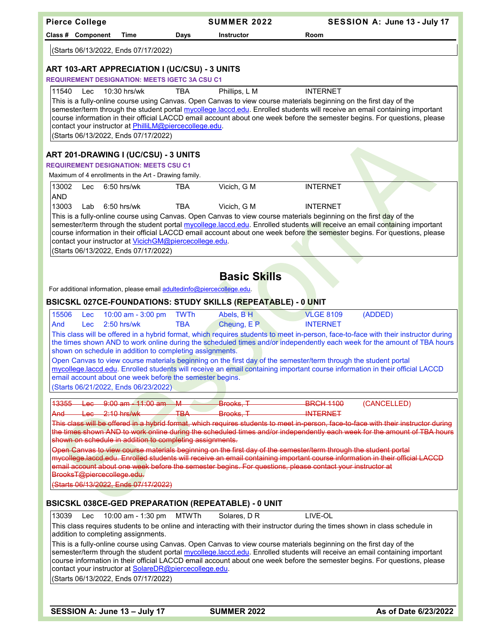|                     |       | <b>Pierce College</b> |                                                                                      |                                                                                                        | <b>SUMMER 2022</b>                                                      |                                                                                                                    | SESSION A: June 13 - July 17                                                                                                                                                                                                                                    |
|---------------------|-------|-----------------------|--------------------------------------------------------------------------------------|--------------------------------------------------------------------------------------------------------|-------------------------------------------------------------------------|--------------------------------------------------------------------------------------------------------------------|-----------------------------------------------------------------------------------------------------------------------------------------------------------------------------------------------------------------------------------------------------------------|
|                     |       | Class # Component     | Time                                                                                 | Days                                                                                                   | <b>Instructor</b>                                                       | Room                                                                                                               |                                                                                                                                                                                                                                                                 |
|                     |       |                       | (Starts 06/13/2022, Ends 07/17/2022)                                                 |                                                                                                        |                                                                         |                                                                                                                    |                                                                                                                                                                                                                                                                 |
|                     |       |                       |                                                                                      | ART 103-ART APPRECIATION I (UC/CSU) - 3 UNITS<br><b>REQUIREMENT DESIGNATION: MEETS IGETC 3A CSU C1</b> |                                                                         |                                                                                                                    |                                                                                                                                                                                                                                                                 |
| 11540               |       | Lec                   | 10:30 hrs/wk                                                                         | <b>TBA</b>                                                                                             | Phillips, L M                                                           | <b>INTERNET</b>                                                                                                    |                                                                                                                                                                                                                                                                 |
|                     |       |                       | (Starts 06/13/2022, Ends 07/17/2022)                                                 | contact your instructor at PhilliLM@piercecollege.edu.                                                 |                                                                         | This is a fully-online course using Canvas. Open Canvas to view course materials beginning on the first day of the | semester/term through the student portal mycollege.laccd.edu. Enrolled students will receive an email containing important<br>course information in their official LACCD email account about one week before the semester begins. For questions, please         |
|                     |       |                       | ART 201-DRAWING I (UC/CSU) - 3 UNITS<br><b>REQUIREMENT DESIGNATION: MEETS CSU C1</b> |                                                                                                        |                                                                         |                                                                                                                    |                                                                                                                                                                                                                                                                 |
|                     |       |                       | Maximum of 4 enrollments in the Art - Drawing family.                                |                                                                                                        |                                                                         |                                                                                                                    |                                                                                                                                                                                                                                                                 |
| 13002<br><b>AND</b> |       | Lec                   | 6:50 hrs/wk                                                                          | <b>TBA</b>                                                                                             | Vicich, G M                                                             | <b>INTERNET</b>                                                                                                    |                                                                                                                                                                                                                                                                 |
| 13003               |       | Lab                   | 6:50 hrs/wk                                                                          | <b>TBA</b>                                                                                             | Vicich, G M                                                             | <b>INTERNET</b>                                                                                                    |                                                                                                                                                                                                                                                                 |
|                     |       |                       | (Starts 06/13/2022, Ends 07/17/2022)                                                 | contact your instructor at VicichGM@piercecollege.edu.                                                 |                                                                         | This is a fully-online course using Canvas. Open Canvas to view course materials beginning on the first day of the | semester/term through the student portal mycollege.laccd.edu. Enrolled students will receive an email containing important<br>course information in their official LACCD email account about one week before the semester begins. For questions, please         |
|                     |       |                       |                                                                                      |                                                                                                        |                                                                         |                                                                                                                    |                                                                                                                                                                                                                                                                 |
|                     |       |                       |                                                                                      |                                                                                                        | <b>Basic Skills</b>                                                     |                                                                                                                    |                                                                                                                                                                                                                                                                 |
|                     |       |                       |                                                                                      |                                                                                                        | For additional information, please email adultedinfo@piercecollege.edu. |                                                                                                                    |                                                                                                                                                                                                                                                                 |
|                     |       |                       |                                                                                      |                                                                                                        |                                                                         | <b>BSICSKL 027CE-FOUNDATIONS: STUDY SKILLS (REPEATABLE) - 0 UNIT</b>                                               |                                                                                                                                                                                                                                                                 |
|                     | 15506 | <b>Lec</b>            | 10:00 am - 3:00 pm                                                                   | <b>TWTh</b>                                                                                            | Abels, BH                                                               | <b>VLGE 8109</b>                                                                                                   | (ADDED)                                                                                                                                                                                                                                                         |
| And                 |       | <b>Lec</b>            | $2:50$ hrs/wk                                                                        | <b>TBA</b>                                                                                             | Cheung, E P                                                             | <b>INTERNET</b>                                                                                                    |                                                                                                                                                                                                                                                                 |
|                     |       |                       |                                                                                      |                                                                                                        |                                                                         |                                                                                                                    | This class will be offered in a hybrid format, which requires students to meet in-person, face-to-face with their instructor during<br>the times shown AND to work online during the scheduled times and/or independently each week for the amount of TBA hours |
|                     |       |                       |                                                                                      | shown on schedule in addition to completing assignments.                                               |                                                                         |                                                                                                                    |                                                                                                                                                                                                                                                                 |
|                     |       |                       |                                                                                      |                                                                                                        |                                                                         | Open Canvas to view course materials beginning on the first day of the semester/term through the student portal    | mycollege.laccd.edu. Enrolled students will receive an email containing important course information in their official LACCD                                                                                                                                    |
|                     |       |                       |                                                                                      | email account about one week before the semester begins.                                               |                                                                         |                                                                                                                    |                                                                                                                                                                                                                                                                 |
|                     |       |                       | (Starts 06/21/2022, Ends 06/23/2022)                                                 |                                                                                                        |                                                                         |                                                                                                                    |                                                                                                                                                                                                                                                                 |
|                     | 13355 |                       | $\frac{\text{Lee}}{\text{Hee}}$ 9:00 am $\frac{11:00}{1}$ am $\frac{11}{1}$          |                                                                                                        | <b>Exercise Brooks. T</b>                                               | <b>BRCH 1100</b>                                                                                                   | (CANCELLED)                                                                                                                                                                                                                                                     |
| And                 |       |                       | $+a_0$ 2:10 hrs/wk                                                                   | <b>TBA</b>                                                                                             | Brooks T                                                                | <b>INTERNET</b>                                                                                                    |                                                                                                                                                                                                                                                                 |
|                     |       |                       |                                                                                      |                                                                                                        |                                                                         |                                                                                                                    | This class will be offered in a hybrid format, which requires students to meet in-person, face-to-face with their instructor during                                                                                                                             |
|                     |       |                       |                                                                                      | shown on schedule in addition to completing assignments.                                               |                                                                         |                                                                                                                    | the times shown AND to work online during the scheduled times and/or independently each week for the amount of TBA hours                                                                                                                                        |
|                     |       |                       |                                                                                      |                                                                                                        |                                                                         | Open Canvas to view course materials beginning on the first day of the semester/term through the student portal    |                                                                                                                                                                                                                                                                 |
|                     |       |                       |                                                                                      |                                                                                                        |                                                                         | email account about one week before the semester begins. For questions, please contact your instructor at          | mycollege,laccd.edu. Enrolled students will receive an email containing important course information in their official LACCD                                                                                                                                    |
|                     |       |                       | BrooksT@piercecollege.edu.                                                           |                                                                                                        |                                                                         |                                                                                                                    |                                                                                                                                                                                                                                                                 |
|                     |       |                       | (Starts 06/13/2022, Ends 07/17/2022)                                                 |                                                                                                        |                                                                         |                                                                                                                    |                                                                                                                                                                                                                                                                 |
|                     |       |                       |                                                                                      |                                                                                                        | <b>BSICSKL 038CE-GED PREPARATION (REPEATABLE) - 0 UNIT</b>              |                                                                                                                    |                                                                                                                                                                                                                                                                 |
| 13039               |       | Lec                   | 10:00 am - 1:30 pm                                                                   | <b>MTWTh</b>                                                                                           | Solares, D R                                                            | LIVE-OL                                                                                                            |                                                                                                                                                                                                                                                                 |
|                     |       |                       | addition to completing assignments.                                                  |                                                                                                        |                                                                         |                                                                                                                    | This class requires students to be online and interacting with their instructor during the times shown in class schedule in                                                                                                                                     |
|                     |       |                       |                                                                                      |                                                                                                        |                                                                         | This is a fully-online course using Canvas. Open Canvas to view course materials beginning on the first day of the |                                                                                                                                                                                                                                                                 |
|                     |       |                       |                                                                                      |                                                                                                        |                                                                         |                                                                                                                    | semester/term through the student portal mycollege.laccd.edu. Enrolled students will receive an email containing important                                                                                                                                      |
|                     |       |                       |                                                                                      | contact your instructor at SolareDR@piercecollege.edu.                                                 |                                                                         |                                                                                                                    | course information in their official LACCD email account about one week before the semester begins. For questions, please                                                                                                                                       |
|                     |       |                       | (Starts 06/13/2022, Ends 07/17/2022)                                                 |                                                                                                        |                                                                         |                                                                                                                    |                                                                                                                                                                                                                                                                 |
|                     |       |                       |                                                                                      |                                                                                                        |                                                                         |                                                                                                                    |                                                                                                                                                                                                                                                                 |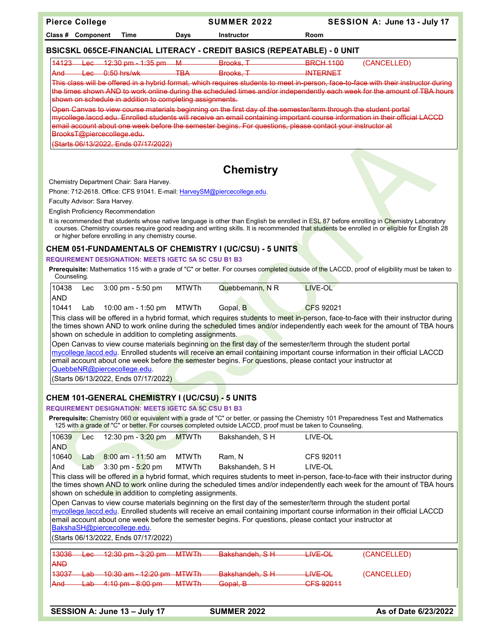**Pierce College SUMMER 2022 SESSION A: June 13 - July 17** 

**Class # Component Time Days Instructor Room**

## **BSICSKL 065CE-FINANCIAL LITERACY - CREDIT BASICS (REPEATABLE) - 0 UNIT**

| 11192           | ۔ مہ ا | $12.20 \text{ nm}$<br>$1.25 \text{ nm}$<br><u>19140 - Lou - 14.00 pm - 1.00 pm - 1</u>                               | ᠇ᠬ   | <b>Drooke</b><br><del>ы оско,</del> | RPCH 1100<br><del>- 1980 - 1990 - 1990 - 1990 - 1990 - 1990 - 1990 - 1990 - 1990 - 1990 - 1990 - 1990 - 1990 - 1990 - 1990 - 1990</del> | (CANCELLED) |
|-----------------|--------|----------------------------------------------------------------------------------------------------------------------|------|-------------------------------------|-----------------------------------------------------------------------------------------------------------------------------------------|-------------|
| And             | $\sim$ | $0.50$ hre halk                                                                                                      | 7R A | Rrooke                              | <b>INITEDNET</b>                                                                                                                        |             |
| <del>nuna</del> | ---    | $\overline{v}$ , $\overline{v}$ , $\overline{v}$ , $\overline{v}$ , $\overline{v}$ , $\overline{v}$ , $\overline{v}$ | —    | <u> Enconomic T</u>                 | --------------                                                                                                                          |             |

This class will be offered in a hybrid format, which requires students to meet in-person, face-to-face with their instructor during the times shown AND to work online during the scheduled times and/or independently each week for the amount of TBA hours ...<br>shown on schedule in addition to completing assignments.

Open Canvas to view course materials beginning on the first day of the semester/term through the student portal mycollege.laccd.edu. Enrolled students will receive an email containing important course information in their official LACCD email account about one week before the semester begins. For questions, please contact your instructor at [BrooksT@piercecollege.edu.](mailto:BrooksT@piercecollege.edu)

(Starts 06/13/2022, Ends 07/17/2022)

# **Chemistry**

Chemistry Department Chair: Sara Harvey.

Phone: 712-2618. Office: CFS 91041. E-mail[: HarveySM@piercecollege.edu.](mailto:HarveySM@piercecollege.edu) 

Faculty Advisor: Sara Harvey.

English Proficiency Recommendation

It is recommended that students whose native language is other than English be enrolled in ESL 87 before enrolling in Chemistry Laboratory courses. Chemistry courses require good reading and writing skills. It is recommended that students be enrolled in or eligible for English 28 or higher before enrolling in any chemistry course.

## **CHEM 051-FUNDAMENTALS OF CHEMISTRY I (UC/CSU) - 5 UNITS**

#### **REQUIREMENT DESIGNATION: MEETS IGETC 5A 5C CSU B1 B3**

Prerequisite: Mathematics 115 with a grade of "C" or better. For courses completed outside of the LACCD, proof of eligibility must be taken to Counseling.

| 10438      | Lec $3:00 \text{ pm} - 5:50 \text{ pm}$                  | MTWTh | Quebbemann, N R | <b>I</b> IVE-OL                                                                                                                     |
|------------|----------------------------------------------------------|-------|-----------------|-------------------------------------------------------------------------------------------------------------------------------------|
| <b>AND</b> |                                                          |       |                 |                                                                                                                                     |
| 10441      | Lab $10:00$ am - 1:50 pm MTWTh                           |       | Gopal, B        | CFS 92021                                                                                                                           |
|            |                                                          |       |                 | This class will be offered in a hybrid format, which requires students to meet in-person, face-to-face with their instructor during |
|            |                                                          |       |                 | the times shown AND to work online during the scheduled times and/or independently each week for the amount of TBA hours            |
|            | shown on schedule in addition to completing assignments. |       |                 |                                                                                                                                     |
|            |                                                          |       |                 | Open Canvas to view course materials beginning on the first day of the semester/term through the student portal                     |
|            |                                                          |       |                 | mycollege.laccd.edu. Enrolled students will receive an email containing important course information in their official LACCD        |
|            |                                                          |       |                 | email account about one week before the semester begins. For questions, please contact your instructor at                           |
|            | QuebbeNR@piercecollege.edu.                              |       |                 |                                                                                                                                     |
|            | (Starts 06/13/2022, Ends 07/17/2022)                     |       |                 |                                                                                                                                     |

## **CHEM 101-GENERAL CHEMISTRY I (UC/CSU) - 5 UNITS**

### **REQUIREMENT DESIGNATION: MEETS IGETC 5A 5C CSU B1 B3**

**Prerequisite:** Chemistry 060 or equivalent with a grade of "C" or better, or passing the Chemistry 101 Preparedness Test and Mathematics 125 with a grade of "C" or better. For courses completed outside LACCD, proof must be taken to Counseling.

| 10639      | ∟ec | 12:30 pm $-$ 3:20 pm $-MTWTh$           |       | Bakshandeh. S H | LIVE-OL                                                                                                                      |
|------------|-----|-----------------------------------------|-------|-----------------|------------------------------------------------------------------------------------------------------------------------------|
| <b>AND</b> |     |                                         |       |                 |                                                                                                                              |
| 10640      | Lab | $8:00$ am - 11:50 am                    | MTWTh | Ram. N          | CFS 92011                                                                                                                    |
| <b>And</b> |     | Lab $3:30 \text{ pm} - 5:20 \text{ pm}$ | MTWTh | Bakshandeh. S H | LIVE-OL                                                                                                                      |
|            |     |                                         |       |                 | This class will be offered in a hybrid format, which requires students to meet in-person, face-to-face with their instructor |

This class will be offered in a hybrid format, which requires students to meet in-person, face-to-face with their instructor during the times shown AND to work online during the scheduled times and/or independently each week for the amount of TBA hours shown on schedule in addition to completing assignments.

Open Canvas to view course materials beginning on the first day of the semester/term through the student portal mycollege.laccd.edu. Enrolled students will receive an email containing important course information in their official LACCD email account about one week before the semester begins. For questions, please contact your instructor at [BakshaSH@piercecollege.edu.](mailto:BakshaSH@piercecollege.edu)

(Starts 06/13/2022, Ends 07/17/2022)

| 13036      |                | $Lec = 12:30 \text{ pm} - 3:20 \text{ pm}$ | M T M T h<br>___________ | Rakchandah SH<br><u>Panonanaon, Om</u> | <del>LIVE OL</del> | (CANCELLED) |
|------------|----------------|--------------------------------------------|--------------------------|----------------------------------------|--------------------|-------------|
| <b>AND</b> |                |                                            |                          |                                        |                    |             |
|            |                |                                            |                          |                                        |                    |             |
|            |                | 13037 Lab 10:30 am - 12:20 pm MTWTh-       |                          | <b>Dokchondob</b> C U                  | $I$ INE $\Omega$   | (CANCELLED) |
|            |                |                                            |                          | <u>Panonanaon, Om</u>                  | <del>uve oc</del>  |             |
| And        |                | $1ah - 1.10 nm - 8.00 nm$                  | <b>MTM/Th</b>            | Conal R                                | CES 02011          |             |
|            | <b>CONTACT</b> | <del>1.10 pm - 0.00 pm</del>               |                          | $\bullet$ opar, p                      |                    |             |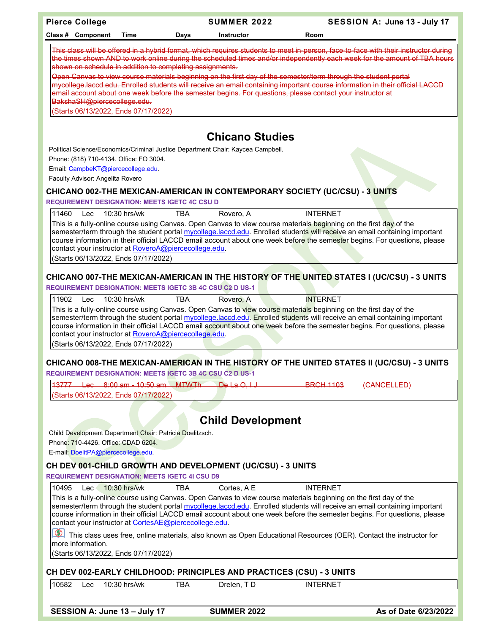| <b>Pierce College</b>                                                                                                      | <b>SUMMER 2022</b>       | SESSION A: June 13 - July 17                                                                                                                                                                                                                                    |  |
|----------------------------------------------------------------------------------------------------------------------------|--------------------------|-----------------------------------------------------------------------------------------------------------------------------------------------------------------------------------------------------------------------------------------------------------------|--|
| Class # Component<br>Time<br>Days                                                                                          | <b>Instructor</b>        | Room                                                                                                                                                                                                                                                            |  |
|                                                                                                                            |                          |                                                                                                                                                                                                                                                                 |  |
|                                                                                                                            |                          | This class will be offered in a hybrid format, which requires students to meet in-person, face-to-face with their instructor during<br>the times shown AND to work online during the scheduled times and/or independently each week for the amount of TBA hours |  |
| shown on schedule in addition to completing assignments.                                                                   |                          |                                                                                                                                                                                                                                                                 |  |
| Open Canvas to view course materials beginning on the first day of the semester/term through the student portal            |                          | mycollege laccd edu. Enrolled students will receive an email containing important course information in their official LACCD                                                                                                                                    |  |
| email account about one week before the semester begins. For questions, please contact your instructor at                  |                          |                                                                                                                                                                                                                                                                 |  |
| BakshaSH@piercecollege.edu.                                                                                                |                          |                                                                                                                                                                                                                                                                 |  |
| (Starts 06/13/2022, Ends 07/17/2022)                                                                                       |                          |                                                                                                                                                                                                                                                                 |  |
|                                                                                                                            |                          |                                                                                                                                                                                                                                                                 |  |
|                                                                                                                            | <b>Chicano Studies</b>   |                                                                                                                                                                                                                                                                 |  |
| Political Science/Economics/Criminal Justice Department Chair: Kaycea Campbell.<br>Phone: (818) 710-4134. Office: FO 3004. |                          |                                                                                                                                                                                                                                                                 |  |
| Email: CampbeKT@piercecollege.edu.                                                                                         |                          |                                                                                                                                                                                                                                                                 |  |
| Faculty Advisor: Angelita Rovero                                                                                           |                          |                                                                                                                                                                                                                                                                 |  |
| CHICANO 002-THE MEXICAN-AMERICAN IN CONTEMPORARY SOCIETY (UC/CSU) - 3 UNITS                                                |                          |                                                                                                                                                                                                                                                                 |  |
| <b>REQUIREMENT DESIGNATION: MEETS IGETC 4C CSU D</b>                                                                       |                          |                                                                                                                                                                                                                                                                 |  |
| 11460<br>10:30 hrs/wk<br>TBA<br>Lec                                                                                        | Rovero, A                | <b>INTERNET</b>                                                                                                                                                                                                                                                 |  |
| This is a fully-online course using Canvas. Open Canvas to view course materials beginning on the first day of the         |                          |                                                                                                                                                                                                                                                                 |  |
|                                                                                                                            |                          | semester/term through the student portal mycollege.laccd.edu. Enrolled students will receive an email containing important<br>course information in their official LACCD email account about one week before the semester begins. For questions, please         |  |
| contact your instructor at RoveroA@piercecollege.edu.                                                                      |                          |                                                                                                                                                                                                                                                                 |  |
| (Starts 06/13/2022, Ends 07/17/2022)                                                                                       |                          |                                                                                                                                                                                                                                                                 |  |
| CHICANO 007-THE MEXICAN-AMERICAN IN THE HISTORY OF THE UNITED STATES I (UC/CSU) - 3 UNITS                                  |                          |                                                                                                                                                                                                                                                                 |  |
| <b>REQUIREMENT DESIGNATION: MEETS IGETC 3B 4C CSU C2 D US-1</b>                                                            |                          |                                                                                                                                                                                                                                                                 |  |
| 11902<br>Lec<br>$10:30$ hrs/wk<br><b>TBA</b>                                                                               | Rovero, A                | <b>INTERNET</b>                                                                                                                                                                                                                                                 |  |
| This is a fully-online course using Canvas. Open Canvas to view course materials beginning on the first day of the         |                          |                                                                                                                                                                                                                                                                 |  |
|                                                                                                                            |                          | semester/term through the student portal mycollege.laccd.edu. Enrolled students will receive an email containing important                                                                                                                                      |  |
|                                                                                                                            |                          | course information in their official LACCD email account about one week before the semester begins. For questions, please                                                                                                                                       |  |
| contact your instructor at RoveroA@piercecollege.edu.<br>(Starts 06/13/2022, Ends 07/17/2022)                              |                          |                                                                                                                                                                                                                                                                 |  |
|                                                                                                                            |                          |                                                                                                                                                                                                                                                                 |  |
| CHICANO 008-THE MEXICAN-AMERICAN IN THE HISTORY OF THE UNITED STATES II (UC/CSU) - 3 UNITS                                 |                          |                                                                                                                                                                                                                                                                 |  |
| <b>REQUIREMENT DESIGNATION: MEETS IGETC 3B 4C CSU C2 D US-1</b>                                                            |                          |                                                                                                                                                                                                                                                                 |  |
| 13777   Lec   8:00 am   10:50 am   MTWTh   De La   O.I   J                                                                 |                          | <b>BRCH 1103</b><br>(CANCELLED)                                                                                                                                                                                                                                 |  |
| (Starts 06/13/2022, Ends 07/17/2022)                                                                                       |                          |                                                                                                                                                                                                                                                                 |  |
|                                                                                                                            |                          |                                                                                                                                                                                                                                                                 |  |
|                                                                                                                            | <b>Child Development</b> |                                                                                                                                                                                                                                                                 |  |
| Child Development Department Chair: Patricia Doelitzsch.                                                                   |                          |                                                                                                                                                                                                                                                                 |  |
| Phone: 710-4426. Office: CDAD 6204.                                                                                        |                          |                                                                                                                                                                                                                                                                 |  |
| E-mail: DoelitPA@piercecollege.edu.                                                                                        |                          |                                                                                                                                                                                                                                                                 |  |
| CH DEV 001-CHILD GROWTH AND DEVELOPMENT (UC/CSU) - 3 UNITS                                                                 |                          |                                                                                                                                                                                                                                                                 |  |
| <b>REQUIREMENT DESIGNATION: MEETS IGETC 4I CSU D9</b>                                                                      |                          |                                                                                                                                                                                                                                                                 |  |
| 10495<br>10:30 hrs/wk<br><b>TBA</b><br>Lec                                                                                 | Cortes, A E              | <b>INTERNET</b>                                                                                                                                                                                                                                                 |  |
| This is a fully-online course using Canvas. Open Canvas to view course materials beginning on the first day of the         |                          | semester/term through the student portal mycollege.laccd.edu. Enrolled students will receive an email containing important                                                                                                                                      |  |
|                                                                                                                            |                          | course information in their official LACCD email account about one week before the semester begins. For questions, please                                                                                                                                       |  |
| contact your instructor at CortesAE@piercecollege.edu.                                                                     |                          |                                                                                                                                                                                                                                                                 |  |
| more information.                                                                                                          |                          | This class uses free, online materials, also known as Open Educational Resources (OER). Contact the instructor for                                                                                                                                              |  |
| (Starts 06/13/2022, Ends 07/17/2022)                                                                                       |                          |                                                                                                                                                                                                                                                                 |  |
|                                                                                                                            |                          |                                                                                                                                                                                                                                                                 |  |
| CH DEV 002-EARLY CHILDHOOD: PRINCIPLES AND PRACTICES (CSU) - 3 UNITS                                                       |                          |                                                                                                                                                                                                                                                                 |  |
| 10582<br>10:30 hrs/wk<br><b>TBA</b><br>Lec                                                                                 | Drelen, TD               | <b>INTERNET</b>                                                                                                                                                                                                                                                 |  |
|                                                                                                                            |                          |                                                                                                                                                                                                                                                                 |  |
| SESSION A: June 13 - July 17                                                                                               | <b>SUMMER 2022</b>       | As of Date 6/23/2022                                                                                                                                                                                                                                            |  |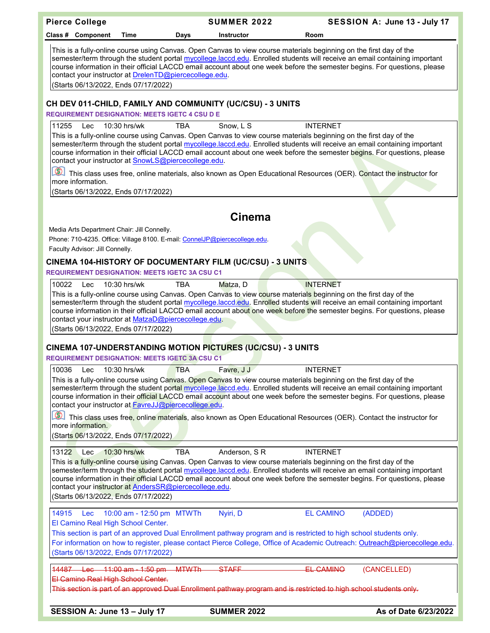| <b>Pierce College</b>                                                                                                        |                                                                                                                                                                                                                                                                                                                                                                                                                                                                                 | <b>SUMMER 2022</b> | SESSION A: June 13 - July 17                                                                                                                                                                                                                                                                                                                                                                     |  |  |  |  |
|------------------------------------------------------------------------------------------------------------------------------|---------------------------------------------------------------------------------------------------------------------------------------------------------------------------------------------------------------------------------------------------------------------------------------------------------------------------------------------------------------------------------------------------------------------------------------------------------------------------------|--------------------|--------------------------------------------------------------------------------------------------------------------------------------------------------------------------------------------------------------------------------------------------------------------------------------------------------------------------------------------------------------------------------------------------|--|--|--|--|
| Class # Component<br>Time                                                                                                    | <b>Days</b>                                                                                                                                                                                                                                                                                                                                                                                                                                                                     | <b>Instructor</b>  | Room                                                                                                                                                                                                                                                                                                                                                                                             |  |  |  |  |
|                                                                                                                              | This is a fully-online course using Canvas. Open Canvas to view course materials beginning on the first day of the<br>semester/term through the student portal mycollege.laccd.edu. Enrolled students will receive an email containing important<br>course information in their official LACCD email account about one week before the semester begins. For questions, please<br>contact your instructor at DrelenTD@piercecollege.edu.<br>(Starts 06/13/2022, Ends 07/17/2022) |                    |                                                                                                                                                                                                                                                                                                                                                                                                  |  |  |  |  |
| CH DEV 011-CHILD, FAMILY AND COMMUNITY (UC/CSU) - 3 UNITS                                                                    |                                                                                                                                                                                                                                                                                                                                                                                                                                                                                 |                    |                                                                                                                                                                                                                                                                                                                                                                                                  |  |  |  |  |
| <b>REQUIREMENT DESIGNATION: MEETS IGETC 4 CSU D E</b>                                                                        |                                                                                                                                                                                                                                                                                                                                                                                                                                                                                 |                    |                                                                                                                                                                                                                                                                                                                                                                                                  |  |  |  |  |
| 11255<br>Lec<br>$10:30$ hrs/wk                                                                                               | TBA                                                                                                                                                                                                                                                                                                                                                                                                                                                                             | Snow, L S          | <b>INTERNET</b>                                                                                                                                                                                                                                                                                                                                                                                  |  |  |  |  |
| contact your instructor at <b>SnowLS@piercecollege.edu</b> .                                                                 |                                                                                                                                                                                                                                                                                                                                                                                                                                                                                 |                    | This is a fully-online course using Canvas. Open Canvas to view course materials beginning on the first day of the<br>semester/term through the student portal mycollege.laccd.edu. Enrolled students will receive an email containing important<br>course information in their official LACCD email account about one week before the semester begins. For questions, please                    |  |  |  |  |
|                                                                                                                              |                                                                                                                                                                                                                                                                                                                                                                                                                                                                                 |                    | This class uses free, online materials, also known as Open Educational Resources (OER). Contact the instructor for                                                                                                                                                                                                                                                                               |  |  |  |  |
| more information.                                                                                                            |                                                                                                                                                                                                                                                                                                                                                                                                                                                                                 |                    |                                                                                                                                                                                                                                                                                                                                                                                                  |  |  |  |  |
| (Starts 06/13/2022, Ends 07/17/2022)                                                                                         |                                                                                                                                                                                                                                                                                                                                                                                                                                                                                 |                    |                                                                                                                                                                                                                                                                                                                                                                                                  |  |  |  |  |
|                                                                                                                              |                                                                                                                                                                                                                                                                                                                                                                                                                                                                                 |                    |                                                                                                                                                                                                                                                                                                                                                                                                  |  |  |  |  |
|                                                                                                                              |                                                                                                                                                                                                                                                                                                                                                                                                                                                                                 | <b>Cinema</b>      |                                                                                                                                                                                                                                                                                                                                                                                                  |  |  |  |  |
| Media Arts Department Chair: Jill Connelly.                                                                                  |                                                                                                                                                                                                                                                                                                                                                                                                                                                                                 |                    |                                                                                                                                                                                                                                                                                                                                                                                                  |  |  |  |  |
| Phone: 710-4235. Office: Village 8100. E-mail: ConnelJP@piercecollege.edu.                                                   |                                                                                                                                                                                                                                                                                                                                                                                                                                                                                 |                    |                                                                                                                                                                                                                                                                                                                                                                                                  |  |  |  |  |
| Faculty Advisor: Jill Connelly.                                                                                              |                                                                                                                                                                                                                                                                                                                                                                                                                                                                                 |                    |                                                                                                                                                                                                                                                                                                                                                                                                  |  |  |  |  |
| CINEMA 104-HISTORY OF DOCUMENTARY FILM (UC/CSU) - 3 UNITS                                                                    |                                                                                                                                                                                                                                                                                                                                                                                                                                                                                 |                    |                                                                                                                                                                                                                                                                                                                                                                                                  |  |  |  |  |
| <b>REQUIREMENT DESIGNATION: MEETS IGETC 3A CSU C1</b>                                                                        |                                                                                                                                                                                                                                                                                                                                                                                                                                                                                 |                    |                                                                                                                                                                                                                                                                                                                                                                                                  |  |  |  |  |
| 10022<br>10:30 hrs/wk<br>Lec<br>contact your instructor at MatzaD@piercecollege.edu.<br>(Starts 06/13/2022, Ends 07/17/2022) | <b>TBA</b>                                                                                                                                                                                                                                                                                                                                                                                                                                                                      | Matza, D           | <b>INTERNET</b><br>This is a fully-online course using Canvas. Open Canvas to view course materials beginning on the first day of the<br>semester/term through the student portal mycollege.laccd.edu. Enrolled students will receive an email containing important<br>course information in their official LACCD email account about one week before the semester begins. For questions, please |  |  |  |  |
|                                                                                                                              |                                                                                                                                                                                                                                                                                                                                                                                                                                                                                 |                    |                                                                                                                                                                                                                                                                                                                                                                                                  |  |  |  |  |
| <b>CINEMA 107-UNDERSTANDING MOTION PICTURES (UC/CSU) - 3 UNITS</b>                                                           |                                                                                                                                                                                                                                                                                                                                                                                                                                                                                 |                    |                                                                                                                                                                                                                                                                                                                                                                                                  |  |  |  |  |
| <b>REQUIREMENT DESIGNATION: MEETS IGETC 3A CSU C1</b>                                                                        |                                                                                                                                                                                                                                                                                                                                                                                                                                                                                 |                    |                                                                                                                                                                                                                                                                                                                                                                                                  |  |  |  |  |
| 10036<br>10:30 hrs/wk<br>Lec                                                                                                 | <b>TBA</b>                                                                                                                                                                                                                                                                                                                                                                                                                                                                      | Favre, J J         | <b>INTERNET</b>                                                                                                                                                                                                                                                                                                                                                                                  |  |  |  |  |
| contact your instructor at <b>FavreJJ@piercecollege.edu</b> .                                                                |                                                                                                                                                                                                                                                                                                                                                                                                                                                                                 |                    | This is a fully-online course using Canvas. Open Canvas to view course materials beginning on the first day of the<br>semester/term through the student portal mycollege.laccd.edu. Enrolled students will receive an email containing important<br>course information in their official LACCD email account about one week before the semester begins. For questions, please                    |  |  |  |  |
|                                                                                                                              |                                                                                                                                                                                                                                                                                                                                                                                                                                                                                 |                    | This class uses free, online materials, also known as Open Educational Resources (OER). Contact the instructor for                                                                                                                                                                                                                                                                               |  |  |  |  |
| more information.                                                                                                            |                                                                                                                                                                                                                                                                                                                                                                                                                                                                                 |                    |                                                                                                                                                                                                                                                                                                                                                                                                  |  |  |  |  |
| (Starts 06/13/2022, Ends 07/17/2022)                                                                                         |                                                                                                                                                                                                                                                                                                                                                                                                                                                                                 |                    |                                                                                                                                                                                                                                                                                                                                                                                                  |  |  |  |  |
| 13122 Lec<br>10:30 hrs/wk                                                                                                    | <b>TBA</b>                                                                                                                                                                                                                                                                                                                                                                                                                                                                      | Anderson, SR       | <b>INTERNET</b>                                                                                                                                                                                                                                                                                                                                                                                  |  |  |  |  |
| contact your instructor at AndersSR@piercecollege.edu.<br>(Starts 06/13/2022, Ends 07/17/2022)                               |                                                                                                                                                                                                                                                                                                                                                                                                                                                                                 |                    | This is a fully-online course using Canvas. Open Canvas to view course materials beginning on the first day of the<br>semester/term through the student portal mycollege.laccd.edu. Enrolled students will receive an email containing important<br>course information in their official LACCD email account about one week before the semester begins. For questions, please                    |  |  |  |  |
| 14915<br>10:00 am - 12:50 pm MTWTh<br>Lec.                                                                                   |                                                                                                                                                                                                                                                                                                                                                                                                                                                                                 | Nyiri, D           | <b>EL CAMINO</b><br>(ADDED)                                                                                                                                                                                                                                                                                                                                                                      |  |  |  |  |
| El Camino Real High School Center.                                                                                           |                                                                                                                                                                                                                                                                                                                                                                                                                                                                                 |                    |                                                                                                                                                                                                                                                                                                                                                                                                  |  |  |  |  |
|                                                                                                                              |                                                                                                                                                                                                                                                                                                                                                                                                                                                                                 |                    | This section is part of an approved Dual Enrollment pathway program and is restricted to high school students only.                                                                                                                                                                                                                                                                              |  |  |  |  |
| (Starts 06/13/2022, Ends 07/17/2022)                                                                                         |                                                                                                                                                                                                                                                                                                                                                                                                                                                                                 |                    | For information on how to register, please contact Pierce College, Office of Academic Outreach: Outreach@piercecollege.edu.                                                                                                                                                                                                                                                                      |  |  |  |  |
|                                                                                                                              |                                                                                                                                                                                                                                                                                                                                                                                                                                                                                 |                    |                                                                                                                                                                                                                                                                                                                                                                                                  |  |  |  |  |
| 14487 Lec 11:00 am - 1:50 pm MTWTh                                                                                           |                                                                                                                                                                                                                                                                                                                                                                                                                                                                                 | <b>STAFF</b>       | EL CAMINO<br>(CANCELLED)                                                                                                                                                                                                                                                                                                                                                                         |  |  |  |  |
| El Camino Real High School Center.                                                                                           |                                                                                                                                                                                                                                                                                                                                                                                                                                                                                 |                    | This section is part of an approved Dual Enrollment pathway program and is restricted to high school students only.                                                                                                                                                                                                                                                                              |  |  |  |  |
|                                                                                                                              |                                                                                                                                                                                                                                                                                                                                                                                                                                                                                 |                    |                                                                                                                                                                                                                                                                                                                                                                                                  |  |  |  |  |
| SESSION A: June 13 - July 17                                                                                                 |                                                                                                                                                                                                                                                                                                                                                                                                                                                                                 | <b>SUMMER 2022</b> | As of Date 6/23/2022                                                                                                                                                                                                                                                                                                                                                                             |  |  |  |  |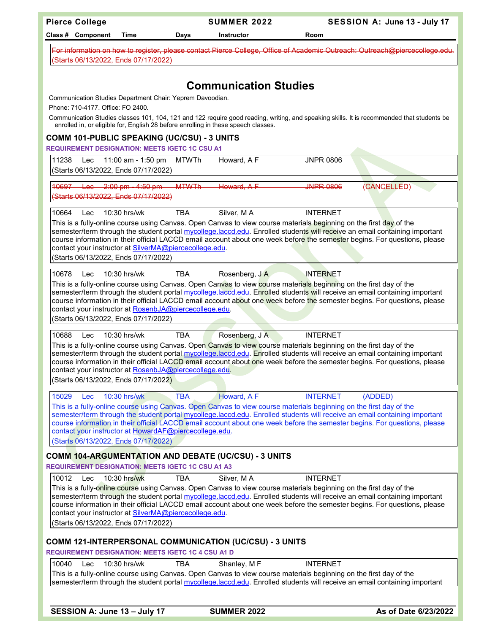| <b>Pierce College</b>                                                                                                                                                                                                                                                                                                                                                                                                                                                           |                                                                                                             | <b>SUMMER 2022</b>                                                                 |                                                                                                                                       | SESSION A: June 13 - July 17                                                                                                                                                                                                                            |  |  |  |  |
|---------------------------------------------------------------------------------------------------------------------------------------------------------------------------------------------------------------------------------------------------------------------------------------------------------------------------------------------------------------------------------------------------------------------------------------------------------------------------------|-------------------------------------------------------------------------------------------------------------|------------------------------------------------------------------------------------|---------------------------------------------------------------------------------------------------------------------------------------|---------------------------------------------------------------------------------------------------------------------------------------------------------------------------------------------------------------------------------------------------------|--|--|--|--|
| Class # Component                                                                                                                                                                                                                                                                                                                                                                                                                                                               | Time<br>Days                                                                                                | <b>Instructor</b>                                                                  | Room                                                                                                                                  |                                                                                                                                                                                                                                                         |  |  |  |  |
| (Starts 06/13/2022, Ends 07/17/2022)                                                                                                                                                                                                                                                                                                                                                                                                                                            |                                                                                                             |                                                                                    |                                                                                                                                       | For information on how to register, please contact Pierce College, Office of Academic Outreach: Outreach@piercecollege.edu.                                                                                                                             |  |  |  |  |
|                                                                                                                                                                                                                                                                                                                                                                                                                                                                                 |                                                                                                             |                                                                                    |                                                                                                                                       |                                                                                                                                                                                                                                                         |  |  |  |  |
|                                                                                                                                                                                                                                                                                                                                                                                                                                                                                 |                                                                                                             | <b>Communication Studies</b>                                                       |                                                                                                                                       |                                                                                                                                                                                                                                                         |  |  |  |  |
|                                                                                                                                                                                                                                                                                                                                                                                                                                                                                 | Communication Studies Department Chair: Yeprem Davoodian.<br>Phone: 710-4177, Office: FO 2400.              |                                                                                    |                                                                                                                                       |                                                                                                                                                                                                                                                         |  |  |  |  |
|                                                                                                                                                                                                                                                                                                                                                                                                                                                                                 |                                                                                                             |                                                                                    |                                                                                                                                       | Communication Studies classes 101, 104, 121 and 122 require good reading, writing, and speaking skills. It is recommended that students be                                                                                                              |  |  |  |  |
|                                                                                                                                                                                                                                                                                                                                                                                                                                                                                 |                                                                                                             | enrolled in, or eligible for, English 28 before enrolling in these speech classes. |                                                                                                                                       |                                                                                                                                                                                                                                                         |  |  |  |  |
|                                                                                                                                                                                                                                                                                                                                                                                                                                                                                 | <b>COMM 101-PUBLIC SPEAKING (UC/CSU) - 3 UNITS</b><br><b>REQUIREMENT DESIGNATION: MEETS IGETC 1C CSU A1</b> |                                                                                    |                                                                                                                                       |                                                                                                                                                                                                                                                         |  |  |  |  |
| 11238<br>Lec                                                                                                                                                                                                                                                                                                                                                                                                                                                                    | 11:00 am - 1:50 pm                                                                                          | Howard, A F<br><b>MTWTh</b>                                                        | <b>JNPR 0806</b>                                                                                                                      |                                                                                                                                                                                                                                                         |  |  |  |  |
| (Starts 06/13/2022, Ends 07/17/2022)                                                                                                                                                                                                                                                                                                                                                                                                                                            |                                                                                                             |                                                                                    |                                                                                                                                       |                                                                                                                                                                                                                                                         |  |  |  |  |
| 10697 Lec 2:00 pm - 4:50 pm<br>(Starts 06/13/2022, Ends 07/17/2022)                                                                                                                                                                                                                                                                                                                                                                                                             |                                                                                                             | <b>MTWTh</b><br>Howard, A E                                                        | <b>INPR 0806</b>                                                                                                                      | (CANCELLED)                                                                                                                                                                                                                                             |  |  |  |  |
| 10664<br>Lec                                                                                                                                                                                                                                                                                                                                                                                                                                                                    | 10:30 hrs/wk<br><b>TBA</b>                                                                                  | Silver, MA                                                                         | <b>INTERNET</b>                                                                                                                       |                                                                                                                                                                                                                                                         |  |  |  |  |
| (Starts 06/13/2022, Ends 07/17/2022)                                                                                                                                                                                                                                                                                                                                                                                                                                            | contact your instructor at SilverMA@piercecollege.edu.                                                      |                                                                                    | This is a fully-online course using Canvas. Open Canvas to view course materials beginning on the first day of the                    | semester/term through the student portal mycollege.laccd.edu. Enrolled students will receive an email containing important<br>course information in their official LACCD email account about one week before the semester begins. For questions, please |  |  |  |  |
| 10678<br>Lec<br>(Starts 06/13/2022, Ends 07/17/2022)                                                                                                                                                                                                                                                                                                                                                                                                                            | 10:30 hrs/wk<br><b>TBA</b><br>contact your instructor at RosenbJA@piercecollege.edu.                        | Rosenberg, JA                                                                      | <b>INTERNET</b><br>This is a fully-online course using Canvas. Open Canvas to view course materials beginning on the first day of the | semester/term through the student portal mycollege.laccd.edu. Enrolled students will receive an email containing important<br>course information in their official LACCD email account about one week before the semester begins. For questions, please |  |  |  |  |
| 10688<br>Lec                                                                                                                                                                                                                                                                                                                                                                                                                                                                    | 10:30 hrs/wk<br><b>TBA</b>                                                                                  | Rosenberg, J A                                                                     | <b>INTERNET</b>                                                                                                                       |                                                                                                                                                                                                                                                         |  |  |  |  |
| (Starts 06/13/2022, Ends 07/17/2022)                                                                                                                                                                                                                                                                                                                                                                                                                                            | contact your instructor at RosenbJA@piercecollege.edu.                                                      |                                                                                    | This is a fully-online course using Canvas. Open Canvas to view course materials beginning on the first day of the                    | semester/term through the student portal mycollege.laccd.edu. Enrolled students will receive an email containing important<br>course information in their official LACCD email account about one week before the semester begins. For questions, please |  |  |  |  |
| 15029<br>Lec                                                                                                                                                                                                                                                                                                                                                                                                                                                                    | 10:30 hrs/wk<br><b>TBA</b>                                                                                  | Howard, AF                                                                         | <b>INTERNET</b>                                                                                                                       | (ADDED)                                                                                                                                                                                                                                                 |  |  |  |  |
|                                                                                                                                                                                                                                                                                                                                                                                                                                                                                 |                                                                                                             |                                                                                    | This is a fully-online course using Canvas. Open Canvas to view course materials beginning on the first day of the                    |                                                                                                                                                                                                                                                         |  |  |  |  |
| (Starts 06/13/2022, Ends 07/17/2022)                                                                                                                                                                                                                                                                                                                                                                                                                                            | contact your instructor at HowardAF@piercecollege.edu.                                                      |                                                                                    |                                                                                                                                       | semester/term through the student portal mycollege.laccd.edu. Enrolled students will receive an email containing important<br>course information in their official LACCD email account about one week before the semester begins. For questions, please |  |  |  |  |
|                                                                                                                                                                                                                                                                                                                                                                                                                                                                                 |                                                                                                             | <b>COMM 104-ARGUMENTATION AND DEBATE (UC/CSU) - 3 UNITS</b>                        |                                                                                                                                       |                                                                                                                                                                                                                                                         |  |  |  |  |
|                                                                                                                                                                                                                                                                                                                                                                                                                                                                                 | <b>REQUIREMENT DESIGNATION: MEETS IGETC 1C CSU A1 A3</b>                                                    |                                                                                    |                                                                                                                                       |                                                                                                                                                                                                                                                         |  |  |  |  |
| 10012<br>Lec                                                                                                                                                                                                                                                                                                                                                                                                                                                                    | 10:30 hrs/wk<br><b>TBA</b>                                                                                  | Silver, MA                                                                         | <b>INTERNET</b>                                                                                                                       |                                                                                                                                                                                                                                                         |  |  |  |  |
| This is a fully-online course using Canvas. Open Canvas to view course materials beginning on the first day of the<br>semester/term through the student portal mycollege.laccd.edu. Enrolled students will receive an email containing important<br>course information in their official LACCD email account about one week before the semester begins. For questions, please<br>contact your instructor at SilverMA@piercecollege.edu.<br>(Starts 06/13/2022, Ends 07/17/2022) |                                                                                                             |                                                                                    |                                                                                                                                       |                                                                                                                                                                                                                                                         |  |  |  |  |
|                                                                                                                                                                                                                                                                                                                                                                                                                                                                                 | <b>REQUIREMENT DESIGNATION: MEETS IGETC 1C 4 CSU A1 D</b>                                                   | COMM 121-INTERPERSONAL COMMUNICATION (UC/CSU) - 3 UNITS                            |                                                                                                                                       |                                                                                                                                                                                                                                                         |  |  |  |  |
| 10040<br>Lec                                                                                                                                                                                                                                                                                                                                                                                                                                                                    | 10:30 hrs/wk<br><b>TBA</b>                                                                                  | Shanley, MF                                                                        | <b>INTERNET</b>                                                                                                                       |                                                                                                                                                                                                                                                         |  |  |  |  |
|                                                                                                                                                                                                                                                                                                                                                                                                                                                                                 |                                                                                                             |                                                                                    | This is a fully-online course using Canvas. Open Canvas to view course materials beginning on the first day of the                    | semester/term through the student portal mycollege.laccd.edu. Enrolled students will receive an email containing important                                                                                                                              |  |  |  |  |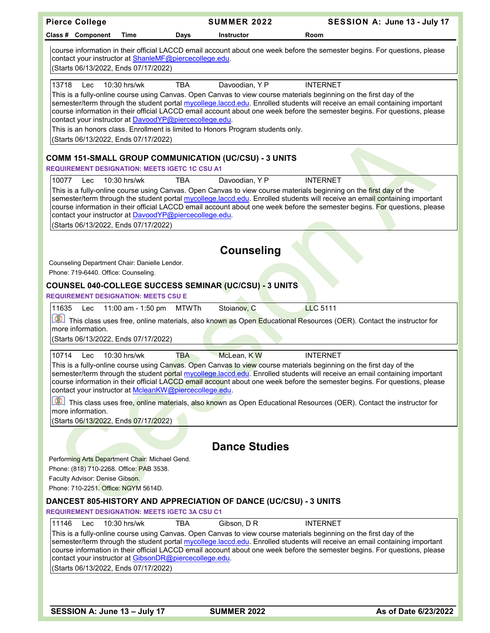| <b>Pierce College</b>                                                                                                                                                                                                                                                                                                                                                                                                                                                                                                                                                                                                                                                                                     |            | <b>SUMMER 2022</b>   | SESSION A: June 13 - July 17                                                                                                                                                                                                                                                                                                                                                                     |  |
|-----------------------------------------------------------------------------------------------------------------------------------------------------------------------------------------------------------------------------------------------------------------------------------------------------------------------------------------------------------------------------------------------------------------------------------------------------------------------------------------------------------------------------------------------------------------------------------------------------------------------------------------------------------------------------------------------------------|------------|----------------------|--------------------------------------------------------------------------------------------------------------------------------------------------------------------------------------------------------------------------------------------------------------------------------------------------------------------------------------------------------------------------------------------------|--|
| Class # Component<br>Time                                                                                                                                                                                                                                                                                                                                                                                                                                                                                                                                                                                                                                                                                 | Days       | <b>Instructor</b>    | Room                                                                                                                                                                                                                                                                                                                                                                                             |  |
| contact your instructor at ShanleMF@piercecollege.edu.<br>(Starts 06/13/2022, Ends 07/17/2022)                                                                                                                                                                                                                                                                                                                                                                                                                                                                                                                                                                                                            |            |                      | course information in their official LACCD email account about one week before the semester begins. For questions, please                                                                                                                                                                                                                                                                        |  |
| 13718<br>10:30 hrs/wk<br>Lec                                                                                                                                                                                                                                                                                                                                                                                                                                                                                                                                                                                                                                                                              | <b>TBA</b> | Davoodian, Y P       | <b>INTERNET</b>                                                                                                                                                                                                                                                                                                                                                                                  |  |
| contact your instructor at DavoodYP@piercecollege.edu.<br>This is an honors class. Enrollment is limited to Honors Program students only.<br>(Starts 06/13/2022, Ends 07/17/2022)                                                                                                                                                                                                                                                                                                                                                                                                                                                                                                                         |            |                      | This is a fully-online course using Canvas. Open Canvas to view course materials beginning on the first day of the<br>semester/term through the student portal mycollege.laccd.edu. Enrolled students will receive an email containing important<br>course information in their official LACCD email account about one week before the semester begins. For questions, please                    |  |
| <b>COMM 151-SMALL GROUP COMMUNICATION (UC/CSU) - 3 UNITS</b>                                                                                                                                                                                                                                                                                                                                                                                                                                                                                                                                                                                                                                              |            |                      |                                                                                                                                                                                                                                                                                                                                                                                                  |  |
| <b>REQUIREMENT DESIGNATION: MEETS IGETC 1C CSU A1</b>                                                                                                                                                                                                                                                                                                                                                                                                                                                                                                                                                                                                                                                     |            |                      |                                                                                                                                                                                                                                                                                                                                                                                                  |  |
| 10077<br>10:30 hrs/wk<br>Lec<br>contact your instructor at DavoodYP@piercecollege.edu.<br>(Starts 06/13/2022, Ends 07/17/2022)                                                                                                                                                                                                                                                                                                                                                                                                                                                                                                                                                                            | <b>TBA</b> | Davoodian, Y P       | <b>INTERNET</b><br>This is a fully-online course using Canvas. Open Canvas to view course materials beginning on the first day of the<br>semester/term through the student portal mycollege.laccd.edu. Enrolled students will receive an email containing important<br>course information in their official LACCD email account about one week before the semester begins. For questions, please |  |
|                                                                                                                                                                                                                                                                                                                                                                                                                                                                                                                                                                                                                                                                                                           |            | <b>Counseling</b>    |                                                                                                                                                                                                                                                                                                                                                                                                  |  |
| Counseling Department Chair: Danielle Lendor.<br>Phone: 719-6440. Office: Counseling.                                                                                                                                                                                                                                                                                                                                                                                                                                                                                                                                                                                                                     |            |                      |                                                                                                                                                                                                                                                                                                                                                                                                  |  |
| COUNSEL 040-COLLEGE SUCCESS SEMINAR (UC/CSU) - 3 UNITS<br><b>REQUIREMENT DESIGNATION: MEETS CSU E</b>                                                                                                                                                                                                                                                                                                                                                                                                                                                                                                                                                                                                     |            |                      |                                                                                                                                                                                                                                                                                                                                                                                                  |  |
| 11:00 am - 1:50 pm<br>11635<br>Lec                                                                                                                                                                                                                                                                                                                                                                                                                                                                                                                                                                                                                                                                        | MTWTh      | Stoianov, C          | <b>LLC 5111</b><br>This class uses free, online materials, also known as Open Educational Resources (OER). Contact the instructor for                                                                                                                                                                                                                                                            |  |
| more information.<br>(Starts 06/13/2022, Ends 07/17/2022)                                                                                                                                                                                                                                                                                                                                                                                                                                                                                                                                                                                                                                                 |            |                      |                                                                                                                                                                                                                                                                                                                                                                                                  |  |
|                                                                                                                                                                                                                                                                                                                                                                                                                                                                                                                                                                                                                                                                                                           |            |                      |                                                                                                                                                                                                                                                                                                                                                                                                  |  |
| 10:30 hrs/wk<br>McLean, KW<br>10714<br><b>TBA</b><br><b>INTERNET</b><br>Lec<br>This is a fully-online course using Canvas. Open Canvas to view course materials beginning on the first day of the<br>semester/term through the student portal mycollege.laccd.edu. Enrolled students will receive an email containing important<br>course information in their official LACCD email account about one week before the semester begins. For questions, please<br>contact your instructor at McleanKW@piercecollege.edu.<br>This class uses free, online materials, also known as Open Educational Resources (OER). Contact the instructor for<br>more information.<br>(Starts 06/13/2022, Ends 07/17/2022) |            |                      |                                                                                                                                                                                                                                                                                                                                                                                                  |  |
|                                                                                                                                                                                                                                                                                                                                                                                                                                                                                                                                                                                                                                                                                                           |            |                      |                                                                                                                                                                                                                                                                                                                                                                                                  |  |
|                                                                                                                                                                                                                                                                                                                                                                                                                                                                                                                                                                                                                                                                                                           |            | <b>Dance Studies</b> |                                                                                                                                                                                                                                                                                                                                                                                                  |  |
| Performing Arts Department Chair: Michael Gend.<br>Phone: (818) 710-2268. Office: PAB 3538.<br>Faculty Advisor: Denise Gibson.<br>Phone: 710-2251, Office: NGYM 5614D.                                                                                                                                                                                                                                                                                                                                                                                                                                                                                                                                    |            |                      |                                                                                                                                                                                                                                                                                                                                                                                                  |  |
| <b>DANCEST 805-HISTORY AND APPRECIATION OF DANCE (UC/CSU) - 3 UNITS</b>                                                                                                                                                                                                                                                                                                                                                                                                                                                                                                                                                                                                                                   |            |                      |                                                                                                                                                                                                                                                                                                                                                                                                  |  |
| <b>REQUIREMENT DESIGNATION: MEETS IGETC 3A CSU C1</b>                                                                                                                                                                                                                                                                                                                                                                                                                                                                                                                                                                                                                                                     |            |                      |                                                                                                                                                                                                                                                                                                                                                                                                  |  |
| 11146<br>10:30 hrs/wk<br>Lec<br>contact your instructor at GibsonDR@piercecollege.edu.<br>(Starts 06/13/2022, Ends 07/17/2022)                                                                                                                                                                                                                                                                                                                                                                                                                                                                                                                                                                            | TBA        | Gibson, D R          | <b>INTERNET</b><br>This is a fully-online course using Canvas. Open Canvas to view course materials beginning on the first day of the<br>semester/term through the student portal mycollege.laccd.edu. Enrolled students will receive an email containing important<br>course information in their official LACCD email account about one week before the semester begins. For questions, please |  |
|                                                                                                                                                                                                                                                                                                                                                                                                                                                                                                                                                                                                                                                                                                           |            |                      |                                                                                                                                                                                                                                                                                                                                                                                                  |  |

**SESSION A: June 13 – July 17 SUMMER 2022 As of Date 6/23/2022**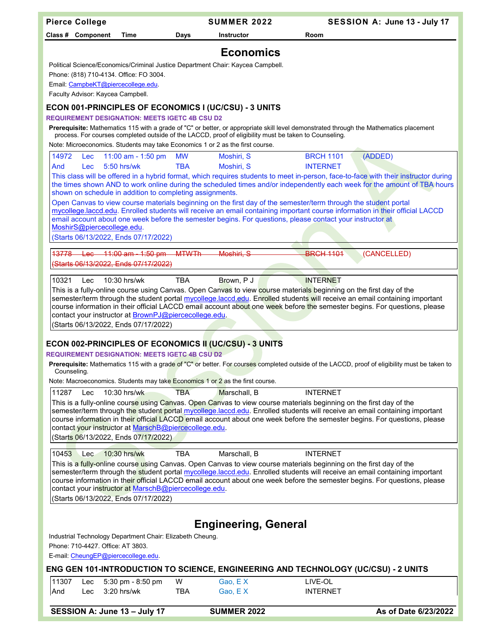| <b>Pierce College</b>                                                                                                                                                                                                                                          | <b>SUMMER 2022</b>                                                                                                 | SESSION A: June 13 - July 17                                                                                                                                                                                                                                    |  |  |
|----------------------------------------------------------------------------------------------------------------------------------------------------------------------------------------------------------------------------------------------------------------|--------------------------------------------------------------------------------------------------------------------|-----------------------------------------------------------------------------------------------------------------------------------------------------------------------------------------------------------------------------------------------------------------|--|--|
| Class # Component<br>Time                                                                                                                                                                                                                                      | Days<br><b>Instructor</b>                                                                                          | Room                                                                                                                                                                                                                                                            |  |  |
|                                                                                                                                                                                                                                                                | <b>Economics</b>                                                                                                   |                                                                                                                                                                                                                                                                 |  |  |
| Political Science/Economics/Criminal Justice Department Chair: Kaycea Campbell.                                                                                                                                                                                |                                                                                                                    |                                                                                                                                                                                                                                                                 |  |  |
| Phone: (818) 710-4134. Office: FO 3004.                                                                                                                                                                                                                        |                                                                                                                    |                                                                                                                                                                                                                                                                 |  |  |
| Email: CampbeKT@piercecollege.edu.                                                                                                                                                                                                                             |                                                                                                                    |                                                                                                                                                                                                                                                                 |  |  |
| Faculty Advisor: Kaycea Campbell.                                                                                                                                                                                                                              |                                                                                                                    |                                                                                                                                                                                                                                                                 |  |  |
| <b>ECON 001-PRINCIPLES OF ECONOMICS I (UC/CSU) - 3 UNITS</b>                                                                                                                                                                                                   |                                                                                                                    |                                                                                                                                                                                                                                                                 |  |  |
| <b>REQUIREMENT DESIGNATION: MEETS IGETC 4B CSU D2</b>                                                                                                                                                                                                          |                                                                                                                    |                                                                                                                                                                                                                                                                 |  |  |
|                                                                                                                                                                                                                                                                | process. For courses completed outside of the LACCD, proof of eligibility must be taken to Counseling.             | Prerequisite: Mathematics 115 with a grade of "C" or better, or appropriate skill level demonstrated through the Mathematics placement                                                                                                                          |  |  |
| Note: Microeconomics. Students may take Economics 1 or 2 as the first course.                                                                                                                                                                                  |                                                                                                                    |                                                                                                                                                                                                                                                                 |  |  |
| 14972<br>11:00 am - 1:50 pm<br>Lec                                                                                                                                                                                                                             | <b>MW</b><br>Moshiri, S                                                                                            | <b>BRCH 1101</b><br>(ADDED)                                                                                                                                                                                                                                     |  |  |
| $5:50$ hrs/wk<br>And<br><b>Lec</b>                                                                                                                                                                                                                             | <b>TBA</b><br>Moshiri, S                                                                                           | <b>INTERNET</b>                                                                                                                                                                                                                                                 |  |  |
|                                                                                                                                                                                                                                                                |                                                                                                                    | This class will be offered in a hybrid format, which requires students to meet in-person, face-to-face with their instructor during<br>the times shown AND to work online during the scheduled times and/or independently each week for the amount of TBA hours |  |  |
| shown on schedule in addition to completing assignments.                                                                                                                                                                                                       |                                                                                                                    |                                                                                                                                                                                                                                                                 |  |  |
|                                                                                                                                                                                                                                                                | Open Canvas to view course materials beginning on the first day of the semester/term through the student portal    |                                                                                                                                                                                                                                                                 |  |  |
|                                                                                                                                                                                                                                                                | email account about one week before the semester begins. For questions, please contact your instructor at          | mycollege.laccd.edu. Enrolled students will receive an email containing important course information in their official LACCD                                                                                                                                    |  |  |
| MoshirS@piercecollege.edu.                                                                                                                                                                                                                                     |                                                                                                                    |                                                                                                                                                                                                                                                                 |  |  |
| (Starts 06/13/2022, Ends 07/17/2022)                                                                                                                                                                                                                           |                                                                                                                    |                                                                                                                                                                                                                                                                 |  |  |
| 13778<br>$11:00$ am $-1:50$ pm<br><del>Lac</del>                                                                                                                                                                                                               | <b>MTWTh</b><br>Moshiri, S                                                                                         | <b>BRCH 1101</b><br>(CANCELLED)                                                                                                                                                                                                                                 |  |  |
| Starts 06/13/2022, Ends 07/17/2022)                                                                                                                                                                                                                            |                                                                                                                    |                                                                                                                                                                                                                                                                 |  |  |
| 10321<br>10:30 hrs/wk<br>Lec                                                                                                                                                                                                                                   | <b>TBA</b><br>Brown, P J                                                                                           | <b>INTERNET</b>                                                                                                                                                                                                                                                 |  |  |
|                                                                                                                                                                                                                                                                | This is a fully-online course using Canvas. Open Canvas to view course materials beginning on the first day of the |                                                                                                                                                                                                                                                                 |  |  |
|                                                                                                                                                                                                                                                                |                                                                                                                    | semester/term through the student portal mycollege.laccd.edu. Enrolled students will receive an email containing important                                                                                                                                      |  |  |
| contact your instructor at <b>BrownPJ@piercecollege.edu</b> .                                                                                                                                                                                                  |                                                                                                                    | course information in their official LACCD email account about one week before the semester begins. For questions, please                                                                                                                                       |  |  |
| (Starts 06/13/2022, Ends 07/17/2022)                                                                                                                                                                                                                           |                                                                                                                    |                                                                                                                                                                                                                                                                 |  |  |
|                                                                                                                                                                                                                                                                |                                                                                                                    |                                                                                                                                                                                                                                                                 |  |  |
| <b>ECON 002-PRINCIPLES OF ECONOMICS II (UC/CSU) - 3 UNITS</b><br><b>REQUIREMENT DESIGNATION: MEETS IGETC 4B CSU D2</b>                                                                                                                                         |                                                                                                                    |                                                                                                                                                                                                                                                                 |  |  |
|                                                                                                                                                                                                                                                                |                                                                                                                    | Prerequisite: Mathematics 115 with a grade of "C" or better. For courses completed outside of the LACCD, proof of eligibility must be taken to                                                                                                                  |  |  |
| Counseling.<br>Note: Macroeconomics. Students may take Economics 1 or 2 as the first course.                                                                                                                                                                   |                                                                                                                    |                                                                                                                                                                                                                                                                 |  |  |
| 11287<br>10:30 hrs/wk<br>Lec                                                                                                                                                                                                                                   | <b>TBA</b><br>Marschall, B                                                                                         | <b>INTERNET</b>                                                                                                                                                                                                                                                 |  |  |
|                                                                                                                                                                                                                                                                | This is a fully-online course using Canyas. Open Canyas to view course materials beginning on the first day of the |                                                                                                                                                                                                                                                                 |  |  |
|                                                                                                                                                                                                                                                                |                                                                                                                    | semester/term through the student portal mycollege.laccd.edu. Enrolled students will receive an email containing important                                                                                                                                      |  |  |
| contact your instructor at MarschB@piercecollege.edu.                                                                                                                                                                                                          |                                                                                                                    | course information in their official LACCD email account about one week before the semester begins. For questions, please                                                                                                                                       |  |  |
| (Starts 06/13/2022, Ends 07/17/2022)                                                                                                                                                                                                                           |                                                                                                                    |                                                                                                                                                                                                                                                                 |  |  |
|                                                                                                                                                                                                                                                                |                                                                                                                    |                                                                                                                                                                                                                                                                 |  |  |
| 10453<br>10:30 hrs/wk<br>Lec                                                                                                                                                                                                                                   | <b>TBA</b><br>Marschall, B                                                                                         | <b>INTERNET</b>                                                                                                                                                                                                                                                 |  |  |
| This is a <mark>fully-onl</mark> ine course using Canvas. Open Canvas to view course materials beginning on the first day of the<br>semester/term through the student portal mycollege.laccd.edu. Enrolled students will receive an email containing important |                                                                                                                    |                                                                                                                                                                                                                                                                 |  |  |
|                                                                                                                                                                                                                                                                |                                                                                                                    | course information in their official LACCD email account about one week before the semester begins. For questions, please                                                                                                                                       |  |  |
| contact your instructor at MarschB@piercecollege.edu.                                                                                                                                                                                                          |                                                                                                                    |                                                                                                                                                                                                                                                                 |  |  |
| (Starts 06/13/2022, Ends 07/17/2022)                                                                                                                                                                                                                           |                                                                                                                    |                                                                                                                                                                                                                                                                 |  |  |
|                                                                                                                                                                                                                                                                |                                                                                                                    |                                                                                                                                                                                                                                                                 |  |  |
| <b>Engineering, General</b>                                                                                                                                                                                                                                    |                                                                                                                    |                                                                                                                                                                                                                                                                 |  |  |
| Industrial Technology Department Chair: Elizabeth Cheung.                                                                                                                                                                                                      |                                                                                                                    |                                                                                                                                                                                                                                                                 |  |  |
| Phone: 710-4427. Office: AT 3803.<br>E-mail: CheungEP@piercecollege.edu.                                                                                                                                                                                       |                                                                                                                    |                                                                                                                                                                                                                                                                 |  |  |
| ENG GEN 101-INTRODUCTION TO SCIENCE, ENGINEERING AND TECHNOLOGY (UC/CSU) - 2 UNITS                                                                                                                                                                             |                                                                                                                    |                                                                                                                                                                                                                                                                 |  |  |
| 11307<br>5:30 pm - 8:50 pm<br>Lec                                                                                                                                                                                                                              | W<br>Gao, EX                                                                                                       | LIVE-OL                                                                                                                                                                                                                                                         |  |  |
| 3:20 hrs/wk<br>And<br>Lec                                                                                                                                                                                                                                      | <b>TBA</b><br>Gao, $E X$                                                                                           | <b>INTERNET</b>                                                                                                                                                                                                                                                 |  |  |
| SESSION A: June 13 - July 17                                                                                                                                                                                                                                   | <b>SUMMER 2022</b>                                                                                                 | As of Date 6/23/2022                                                                                                                                                                                                                                            |  |  |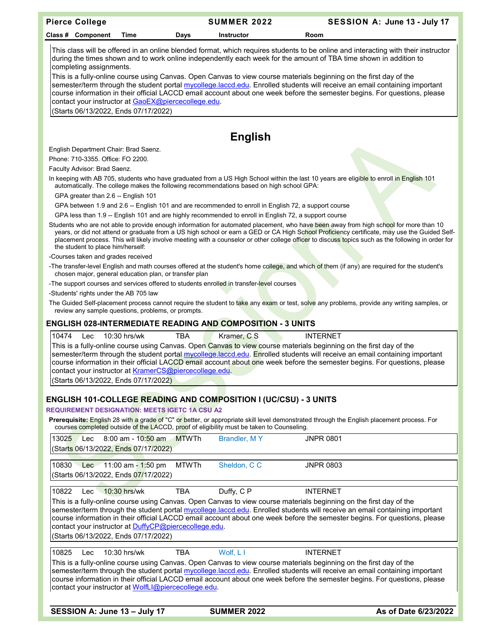| <b>Pierce College</b>                                                                                                                              |                                                                                                                                                                                                                                                                                                                                                                                                                                         | <b>SUMMER 2022</b> | SESSION A: June 13 - July 17                                                                                                                                                                                                                                                                                                                                                                                                                                                                                |  |  |
|----------------------------------------------------------------------------------------------------------------------------------------------------|-----------------------------------------------------------------------------------------------------------------------------------------------------------------------------------------------------------------------------------------------------------------------------------------------------------------------------------------------------------------------------------------------------------------------------------------|--------------------|-------------------------------------------------------------------------------------------------------------------------------------------------------------------------------------------------------------------------------------------------------------------------------------------------------------------------------------------------------------------------------------------------------------------------------------------------------------------------------------------------------------|--|--|
| Class # Component<br>Time                                                                                                                          | Days                                                                                                                                                                                                                                                                                                                                                                                                                                    | Instructor         | Room                                                                                                                                                                                                                                                                                                                                                                                                                                                                                                        |  |  |
| completing assignments.                                                                                                                            |                                                                                                                                                                                                                                                                                                                                                                                                                                         |                    | This class will be offered in an online blended format, which requires students to be online and interacting with their instructor<br>during the times shown and to work online independently each week for the amount of TBA time shown in addition to<br>This is a fully-online course using Canvas. Open Canvas to view course materials beginning on the first day of the<br>semester/term through the student portal mycollege.laccd.edu. Enrolled students will receive an email containing important |  |  |
| contact your instructor at GaoEX@piercecollege.edu.<br>Starts 06/13/2022, Ends 07/17/2022)                                                         |                                                                                                                                                                                                                                                                                                                                                                                                                                         |                    | course information in their official LACCD email account about one week before the semester begins. For questions, please                                                                                                                                                                                                                                                                                                                                                                                   |  |  |
|                                                                                                                                                    |                                                                                                                                                                                                                                                                                                                                                                                                                                         | <b>English</b>     |                                                                                                                                                                                                                                                                                                                                                                                                                                                                                                             |  |  |
| English Department Chair: Brad Saenz.                                                                                                              |                                                                                                                                                                                                                                                                                                                                                                                                                                         |                    |                                                                                                                                                                                                                                                                                                                                                                                                                                                                                                             |  |  |
| Phone: 710-3355. Office: FO 2200.                                                                                                                  |                                                                                                                                                                                                                                                                                                                                                                                                                                         |                    |                                                                                                                                                                                                                                                                                                                                                                                                                                                                                                             |  |  |
| Faculty Advisor: Brad Saenz.                                                                                                                       |                                                                                                                                                                                                                                                                                                                                                                                                                                         |                    |                                                                                                                                                                                                                                                                                                                                                                                                                                                                                                             |  |  |
| automatically. The college makes the following recommendations based on high school GPA:<br>GPA greater than 2.6 -- English 101                    |                                                                                                                                                                                                                                                                                                                                                                                                                                         |                    | In keeping with AB 705, students who have graduated from a US High School within the last 10 years are eligible to enroll in English 101                                                                                                                                                                                                                                                                                                                                                                    |  |  |
| GPA between 1.9 and 2.6 -- English 101 and are recommended to enroll in English 72, a support course                                               |                                                                                                                                                                                                                                                                                                                                                                                                                                         |                    |                                                                                                                                                                                                                                                                                                                                                                                                                                                                                                             |  |  |
| GPA less than 1.9 -- English 101 and are highly recommended to enroll in English 72, a support course                                              |                                                                                                                                                                                                                                                                                                                                                                                                                                         |                    |                                                                                                                                                                                                                                                                                                                                                                                                                                                                                                             |  |  |
| the student to place him/herself:                                                                                                                  |                                                                                                                                                                                                                                                                                                                                                                                                                                         |                    | Students who are not able to provide enough information for automated placement, who have been away from high school for more than 10<br>years, or did not attend or graduate from a US high school or earn a GED or CA High School Proficiency certificate, may use the Guided Self-<br>placement process. This will likely involve meeting with a counselor or other college officer to discuss topics such as the following in order for                                                                 |  |  |
| -Courses taken and grades received                                                                                                                 |                                                                                                                                                                                                                                                                                                                                                                                                                                         |                    | -The transfer-level English and math courses offered at the student's home college, and which of them (if any) are required for the student's                                                                                                                                                                                                                                                                                                                                                               |  |  |
| chosen major, general education plan, or transfer plan<br>-The support courses and services offered to students enrolled in transfer-level courses |                                                                                                                                                                                                                                                                                                                                                                                                                                         |                    |                                                                                                                                                                                                                                                                                                                                                                                                                                                                                                             |  |  |
| -Students' rights under the AB 705 law                                                                                                             |                                                                                                                                                                                                                                                                                                                                                                                                                                         |                    |                                                                                                                                                                                                                                                                                                                                                                                                                                                                                                             |  |  |
| review any sample questions, problems, or prompts.                                                                                                 |                                                                                                                                                                                                                                                                                                                                                                                                                                         |                    | The Guided Self-placement process cannot require the student to take any exam or test, solve any problems, provide any writing samples, or                                                                                                                                                                                                                                                                                                                                                                  |  |  |
| <b>ENGLISH 028-INTERMEDIATE READING AND COMPOSITION - 3 UNITS</b>                                                                                  |                                                                                                                                                                                                                                                                                                                                                                                                                                         |                    |                                                                                                                                                                                                                                                                                                                                                                                                                                                                                                             |  |  |
| 10474<br>10:30 hrs/wk<br>Lec                                                                                                                       | <b>TBA</b>                                                                                                                                                                                                                                                                                                                                                                                                                              | Kramer, C S        | <b>INTERNET</b>                                                                                                                                                                                                                                                                                                                                                                                                                                                                                             |  |  |
| (Starts 06/13/2022, Ends 07/17/2022)                                                                                                               | This is a fully-online course using Canvas. Open Canvas to view course materials beginning on the first day of the<br>semester/term through the student portal mycollege laccd edu. Enrolled students will receive an email containing important<br>course information in their official LACCD email account about one week before the semester begins. For questions, please<br>contact your instructor at KramerCS@piercecollege.edu. |                    |                                                                                                                                                                                                                                                                                                                                                                                                                                                                                                             |  |  |
|                                                                                                                                                    |                                                                                                                                                                                                                                                                                                                                                                                                                                         |                    |                                                                                                                                                                                                                                                                                                                                                                                                                                                                                                             |  |  |
| <b>ENGLISH 101-COLLEGE READING AND COMPOSITION I (UC/CSU) - 3 UNITS</b>                                                                            |                                                                                                                                                                                                                                                                                                                                                                                                                                         |                    |                                                                                                                                                                                                                                                                                                                                                                                                                                                                                                             |  |  |
| <b>REQUIREMENT DESIGNATION: MEETS IGETC 1A CSU A2</b>                                                                                              |                                                                                                                                                                                                                                                                                                                                                                                                                                         |                    |                                                                                                                                                                                                                                                                                                                                                                                                                                                                                                             |  |  |
| courses completed outside of the LACCD, proof of eligibility must be taken to Counseling.                                                          |                                                                                                                                                                                                                                                                                                                                                                                                                                         |                    | Prerequisite: English 28 with a grade of "C" or better, or appropriate skill level demonstrated through the English placement process. For                                                                                                                                                                                                                                                                                                                                                                  |  |  |
| 13025<br>$8:00$ am - $10:50$ am<br>Lec<br>(Starts 06/13/2022, Ends 07/17/2022)                                                                     | <b>MTWTh</b>                                                                                                                                                                                                                                                                                                                                                                                                                            | Brandler, MY       | <b>JNPR 0801</b>                                                                                                                                                                                                                                                                                                                                                                                                                                                                                            |  |  |
| Lec $11:00$ am $-1:50$ pm<br>10830<br>(Starts 06/13/2022, Ends 07/17/2022)                                                                         | <b>MTWTh</b>                                                                                                                                                                                                                                                                                                                                                                                                                            | Sheldon, CC        | <b>JNPR 0803</b>                                                                                                                                                                                                                                                                                                                                                                                                                                                                                            |  |  |
|                                                                                                                                                    |                                                                                                                                                                                                                                                                                                                                                                                                                                         |                    |                                                                                                                                                                                                                                                                                                                                                                                                                                                                                                             |  |  |
| 10822<br>10:30 hrs/wk<br>Lec                                                                                                                       | <b>TBA</b>                                                                                                                                                                                                                                                                                                                                                                                                                              | Duffy, C P         | <b>INTERNET</b>                                                                                                                                                                                                                                                                                                                                                                                                                                                                                             |  |  |
| contact your instructor at DuffyCP@piercecollege.edu.<br>(Starts 06/13/2022, Ends 07/17/2022)                                                      |                                                                                                                                                                                                                                                                                                                                                                                                                                         |                    | This is a fully-online course using Canvas. Open Canvas to view course materials beginning on the first day of the<br>semester/term through the student portal mycollege.laccd.edu. Enrolled students will receive an email containing important<br>course information in their official LACCD email account about one week before the semester begins. For questions, please                                                                                                                               |  |  |
| 10825<br>10:30 hrs/wk<br>Lec                                                                                                                       | <b>TBA</b>                                                                                                                                                                                                                                                                                                                                                                                                                              | Wolf, L I          | <b>INTERNET</b>                                                                                                                                                                                                                                                                                                                                                                                                                                                                                             |  |  |
| contact your instructor at WolfLI@piercecollege.edu.                                                                                               |                                                                                                                                                                                                                                                                                                                                                                                                                                         |                    | This is a fully-online course using Canvas. Open Canvas to view course materials beginning on the first day of the<br>semester/term through the student portal mycollege.laccd.edu. Enrolled students will receive an email containing important<br>course information in their official LACCD email account about one week before the semester begins. For questions, please                                                                                                                               |  |  |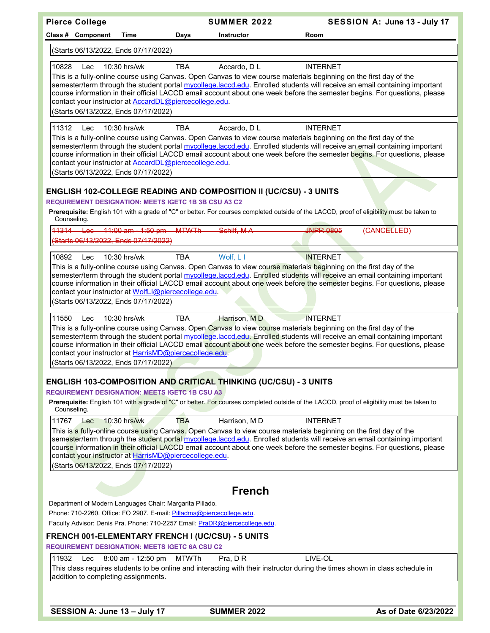| <b>Pierce College</b>                                                                                                                                                                                            |                    |              | <b>SUMMER 2022</b>                                                       | SESSION A: June 13 - July 17                                                                                                                                                                                                                                                                                                                                                                     |
|------------------------------------------------------------------------------------------------------------------------------------------------------------------------------------------------------------------|--------------------|--------------|--------------------------------------------------------------------------|--------------------------------------------------------------------------------------------------------------------------------------------------------------------------------------------------------------------------------------------------------------------------------------------------------------------------------------------------------------------------------------------------|
| Class # Component                                                                                                                                                                                                | Time               | Days         | <b>Instructor</b>                                                        | Room                                                                                                                                                                                                                                                                                                                                                                                             |
| (Starts 06/13/2022, Ends 07/17/2022)                                                                                                                                                                             |                    |              |                                                                          |                                                                                                                                                                                                                                                                                                                                                                                                  |
| 10828<br>Lec<br>contact your instructor at <b>AccardDL@piercecollege.edu</b> .<br>(Starts 06/13/2022, Ends 07/17/2022)                                                                                           | 10:30 hrs/wk       | <b>TBA</b>   | Accardo, D L                                                             | <b>INTERNET</b><br>This is a fully-online course using Canvas. Open Canvas to view course materials beginning on the first day of the<br>semester/term through the student portal mycollege.laccd.edu. Enrolled students will receive an email containing important<br>course information in their official LACCD email account about one week before the semester begins. For questions, please |
| 11312<br>Lec<br>contact your instructor at <b>AccardDL@piercecollege.edu</b> .<br>(Starts 06/13/2022, Ends 07/17/2022)                                                                                           | $10:30$ hrs/wk     | <b>TBA</b>   | Accardo, D L                                                             | <b>INTERNET</b><br>This is a fully-online course using Canvas. Open Canvas to view course materials beginning on the first day of the<br>semester/term through the student portal mycollege.laccd.edu. Enrolled students will receive an email containing important<br>course information in their official LACCD email account about one week before the semester begins. For questions, please |
| <b>REQUIREMENT DESIGNATION: MEETS IGETC 1B 3B CSU A3 C2</b>                                                                                                                                                      |                    |              | <b>ENGLISH 102-COLLEGE READING AND COMPOSITION II (UC/CSU) - 3 UNITS</b> | Prerequisite: English 101 with a grade of "C" or better. For courses completed outside of the LACCD, proof of eligibility must be taken to                                                                                                                                                                                                                                                       |
| Counseling.                                                                                                                                                                                                      |                    |              |                                                                          |                                                                                                                                                                                                                                                                                                                                                                                                  |
| 11314 Lec 11:00 am - 1:50 pm MTWTh<br>(Starts 06/13/2022, Ends 07/17/2022)                                                                                                                                       |                    |              | Schilf, MA                                                               | <b>INPR 0805</b><br>(CANCELLED)                                                                                                                                                                                                                                                                                                                                                                  |
| 10892<br>Lec<br>contact your instructor at WolfLI@piercecollege.edu.<br>(Starts 06/13/2022, Ends 07/17/2022)                                                                                                     | 10:30 hrs/wk       | <b>TBA</b>   | Wolf, L I                                                                | <b>INTERNET</b><br>This is a fully-online course using Canvas. Open Canvas to view course materials beginning on the first day of the<br>semester/term through the student portal mycollege.laccd.edu. Enrolled students will receive an email containing important<br>course information in their official LACCD email account about one week before the semester begins. For questions, please |
| 11550<br>Lec                                                                                                                                                                                                     | 10:30 hrs/wk       | TBA          | Harrison, MD                                                             | <b>INTERNET</b>                                                                                                                                                                                                                                                                                                                                                                                  |
| contact your instructor at HarrisMD@piercecollege.edu.<br>(Starts 06/13/2022, Ends 07/17/2022)                                                                                                                   |                    |              |                                                                          | This is a fully-online course using Canvas. Open Canvas to view course materials beginning on the first day of the<br>semester/term through the student portal mycollege.laccd.edu. Enrolled students will receive an email containing important<br>course information in their official LACCD email account about one week before the semester begins. For questions, please                    |
|                                                                                                                                                                                                                  |                    |              | ENGLISH 103-COMPOSITION AND CRITICAL THINKING (UC/CSU) - 3 UNITS         |                                                                                                                                                                                                                                                                                                                                                                                                  |
| <b>REQUIREMENT DESIGNATION: MEETS IGETC 1B CSU A3</b><br>Counseling.                                                                                                                                             |                    |              |                                                                          | Prerequisite: English 101 with a grade of "C" or better. For courses completed outside of the LACCD, proof of eligibility must be taken to                                                                                                                                                                                                                                                       |
| 11767<br>Lec<br>contact your instructor at HarrisMD@piercecollege.edu.<br>(Starts 06/13/2022, Ends 07/17/2022)                                                                                                   | 10:30 hrs/wk       | <b>TBA</b>   | Harrison, MD                                                             | <b>INTERNET</b><br>This is a fully-online course using Canvas. Open Canvas to view course materials beginning on the first day of the<br>semester/term through the student portal mycollege.laccd.edu. Enrolled students will receive an email containing important<br>course information in their official LACCD email account about one week before the semester begins. For questions, please |
|                                                                                                                                                                                                                  |                    |              | <b>French</b>                                                            |                                                                                                                                                                                                                                                                                                                                                                                                  |
| Department of Modern Languages Chair: Margarita Pillado.<br>Phone: 710-2260. Office: FO 2907. E-mail: Pilladma@piercecollege.edu.<br>Faculty Advisor: Denis Pra. Phone: 710-2257 Email: PraDR@piercecollege.edu. |                    |              |                                                                          |                                                                                                                                                                                                                                                                                                                                                                                                  |
| FRENCH 001-ELEMENTARY FRENCH I (UC/CSU) - 5 UNITS                                                                                                                                                                |                    |              |                                                                          |                                                                                                                                                                                                                                                                                                                                                                                                  |
| <b>REQUIREMENT DESIGNATION: MEETS IGETC 6A CSU C2</b>                                                                                                                                                            |                    |              |                                                                          |                                                                                                                                                                                                                                                                                                                                                                                                  |
| 11932<br>Lec<br>addition to completing assignments.                                                                                                                                                              | 8:00 am - 12:50 pm | <b>MTWTh</b> | Pra, DR                                                                  | LIVE-OL<br>This class requires students to be online and interacting with their instructor during the times shown in class schedule in                                                                                                                                                                                                                                                           |
| SESSION A: June 13 - July 17                                                                                                                                                                                     |                    |              | <b>SUMMER 2022</b>                                                       | As of Date 6/23/2022                                                                                                                                                                                                                                                                                                                                                                             |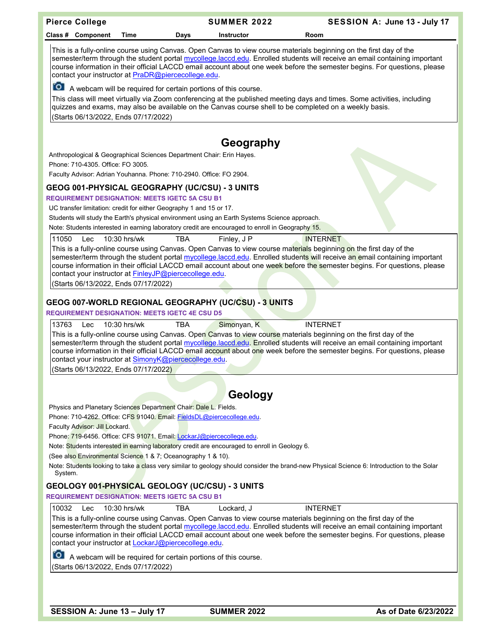| <b>Pierce College</b>                                                                                                                                                                                                                                                                                                                                                                                                                                                                                                                                          | <b>SUMMER 2022</b>                                                                                                                                                                                                                                                                                                                                                                                                                                                                                         | SESSION A: June 13 - July 17 |  |  |  |  |
|----------------------------------------------------------------------------------------------------------------------------------------------------------------------------------------------------------------------------------------------------------------------------------------------------------------------------------------------------------------------------------------------------------------------------------------------------------------------------------------------------------------------------------------------------------------|------------------------------------------------------------------------------------------------------------------------------------------------------------------------------------------------------------------------------------------------------------------------------------------------------------------------------------------------------------------------------------------------------------------------------------------------------------------------------------------------------------|------------------------------|--|--|--|--|
| Class # Component<br>Time                                                                                                                                                                                                                                                                                                                                                                                                                                                                                                                                      | Days<br>Instructor                                                                                                                                                                                                                                                                                                                                                                                                                                                                                         | Room                         |  |  |  |  |
|                                                                                                                                                                                                                                                                                                                                                                                                                                                                                                                                                                | This is a fully-online course using Canvas. Open Canvas to view course materials beginning on the first day of the<br>semester/term through the student portal mycollege.laccd.edu. Enrolled students will receive an email containing important<br>course information in their official LACCD email account about one week before the semester begins. For questions, please<br>contact your instructor at PraDR@piercecollege.edu.<br>[O] A webcam will be required for certain portions of this course. |                              |  |  |  |  |
| (Starts 06/13/2022, Ends 07/17/2022)                                                                                                                                                                                                                                                                                                                                                                                                                                                                                                                           | This class will meet virtually via Zoom conferencing at the published meeting days and times. Some activities, including<br>quizzes and exams, may also be available on the Canvas course shell to be completed on a weekly basis.                                                                                                                                                                                                                                                                         |                              |  |  |  |  |
|                                                                                                                                                                                                                                                                                                                                                                                                                                                                                                                                                                | Geography                                                                                                                                                                                                                                                                                                                                                                                                                                                                                                  |                              |  |  |  |  |
| Anthropological & Geographical Sciences Department Chair: Erin Hayes.                                                                                                                                                                                                                                                                                                                                                                                                                                                                                          |                                                                                                                                                                                                                                                                                                                                                                                                                                                                                                            |                              |  |  |  |  |
| Phone: 710-4305. Office: FO 3005.                                                                                                                                                                                                                                                                                                                                                                                                                                                                                                                              |                                                                                                                                                                                                                                                                                                                                                                                                                                                                                                            |                              |  |  |  |  |
| Faculty Advisor: Adrian Youhanna. Phone: 710-2940. Office: FO 2904.                                                                                                                                                                                                                                                                                                                                                                                                                                                                                            |                                                                                                                                                                                                                                                                                                                                                                                                                                                                                                            |                              |  |  |  |  |
| GEOG 001-PHYSICAL GEOGRAPHY (UC/CSU) - 3 UNITS                                                                                                                                                                                                                                                                                                                                                                                                                                                                                                                 |                                                                                                                                                                                                                                                                                                                                                                                                                                                                                                            |                              |  |  |  |  |
| <b>REQUIREMENT DESIGNATION: MEETS IGETC 5A CSU B1</b>                                                                                                                                                                                                                                                                                                                                                                                                                                                                                                          |                                                                                                                                                                                                                                                                                                                                                                                                                                                                                                            |                              |  |  |  |  |
| UC transfer limitation: credit for either Geography 1 and 15 or 17.                                                                                                                                                                                                                                                                                                                                                                                                                                                                                            |                                                                                                                                                                                                                                                                                                                                                                                                                                                                                                            |                              |  |  |  |  |
|                                                                                                                                                                                                                                                                                                                                                                                                                                                                                                                                                                | Students will study the Earth's physical environment using an Earth Systems Science approach.                                                                                                                                                                                                                                                                                                                                                                                                              |                              |  |  |  |  |
|                                                                                                                                                                                                                                                                                                                                                                                                                                                                                                                                                                | Note: Students interested in earning laboratory credit are encouraged to enroll in Geography 15.                                                                                                                                                                                                                                                                                                                                                                                                           |                              |  |  |  |  |
| 11050<br>10:30 hrs/wk<br>Lec                                                                                                                                                                                                                                                                                                                                                                                                                                                                                                                                   | <b>TBA</b><br>Finley, J P                                                                                                                                                                                                                                                                                                                                                                                                                                                                                  | <b>INTERNET</b>              |  |  |  |  |
| This is a fully-online course using Canvas. Open Canvas to view course materials beginning on the first day of the<br>semester/term through the student portal mycollege.laccd.edu. Enrolled students will receive an email containing important<br>course information in their official LACCD email account about one week before the semester begins. For questions, please<br>contact your instructor at FinleyJP@piercecollege.edu.<br>(Starts 06/13/2022, Ends 07/17/2022)                                                                                |                                                                                                                                                                                                                                                                                                                                                                                                                                                                                                            |                              |  |  |  |  |
|                                                                                                                                                                                                                                                                                                                                                                                                                                                                                                                                                                |                                                                                                                                                                                                                                                                                                                                                                                                                                                                                                            |                              |  |  |  |  |
|                                                                                                                                                                                                                                                                                                                                                                                                                                                                                                                                                                | GEOG 007-WORLD REGIONAL GEOGRAPHY (UC/CSU) - 3 UNITS                                                                                                                                                                                                                                                                                                                                                                                                                                                       |                              |  |  |  |  |
| <b>REQUIREMENT DESIGNATION: MEETS IGETC 4E CSU D5</b>                                                                                                                                                                                                                                                                                                                                                                                                                                                                                                          |                                                                                                                                                                                                                                                                                                                                                                                                                                                                                                            |                              |  |  |  |  |
| Simonyan, K<br><b>INTERNET</b><br>13763<br>10:30 hrs/wk<br><b>TBA</b><br>Lec<br>This is a fully-online course using Canvas. Open Canvas to view course materials beginning on the first day of the<br>semester/term through the student portal mycollege.laccd.edu. Enrolled students will receive an email containing important<br>course information in their official LACCD email account about one week before the semester begins. For questions, please<br>contact your instructor at SimonyK@piercecollege.edu.<br>(Starts 06/13/2022, Ends 07/17/2022) |                                                                                                                                                                                                                                                                                                                                                                                                                                                                                                            |                              |  |  |  |  |
|                                                                                                                                                                                                                                                                                                                                                                                                                                                                                                                                                                |                                                                                                                                                                                                                                                                                                                                                                                                                                                                                                            |                              |  |  |  |  |
|                                                                                                                                                                                                                                                                                                                                                                                                                                                                                                                                                                | Geology                                                                                                                                                                                                                                                                                                                                                                                                                                                                                                    |                              |  |  |  |  |
| Physics and Planetary Sciences Department Chair: Dale L. Fields.                                                                                                                                                                                                                                                                                                                                                                                                                                                                                               |                                                                                                                                                                                                                                                                                                                                                                                                                                                                                                            |                              |  |  |  |  |
| Phone: 710-4262. Office: CFS 91040. Email: FieldsDL@piercecollege.edu.                                                                                                                                                                                                                                                                                                                                                                                                                                                                                         |                                                                                                                                                                                                                                                                                                                                                                                                                                                                                                            |                              |  |  |  |  |
| Faculty Advisor: Jill Lockard.                                                                                                                                                                                                                                                                                                                                                                                                                                                                                                                                 |                                                                                                                                                                                                                                                                                                                                                                                                                                                                                                            |                              |  |  |  |  |
| Phone: 719-6456. Office: CFS 91071. Email: LockarJ@piercecollege.edu.                                                                                                                                                                                                                                                                                                                                                                                                                                                                                          |                                                                                                                                                                                                                                                                                                                                                                                                                                                                                                            |                              |  |  |  |  |
|                                                                                                                                                                                                                                                                                                                                                                                                                                                                                                                                                                | Note: Students interested in earning laboratory credit are encouraged to enroll in Geology 6.                                                                                                                                                                                                                                                                                                                                                                                                              |                              |  |  |  |  |
| (See also Environmental Science 1 & 7; Oceanography 1 & 10).                                                                                                                                                                                                                                                                                                                                                                                                                                                                                                   |                                                                                                                                                                                                                                                                                                                                                                                                                                                                                                            |                              |  |  |  |  |
| Note: Students looking to take a class very similar to geology should consider the brand-new Physical Science 6: Introduction to the Solar<br>System.                                                                                                                                                                                                                                                                                                                                                                                                          |                                                                                                                                                                                                                                                                                                                                                                                                                                                                                                            |                              |  |  |  |  |
| GEOLOGY 00 <mark>1-PHYSICA</mark> L GEOLOGY (UC/CSU) - 3 UNITS                                                                                                                                                                                                                                                                                                                                                                                                                                                                                                 |                                                                                                                                                                                                                                                                                                                                                                                                                                                                                                            |                              |  |  |  |  |
| <b>REQUIREMENT DESIGNATION: MEETS IGETC 5A CSU B1</b>                                                                                                                                                                                                                                                                                                                                                                                                                                                                                                          |                                                                                                                                                                                                                                                                                                                                                                                                                                                                                                            |                              |  |  |  |  |
| 10032<br>10:30 hrs/wk<br>Lockard, J<br><b>INTERNET</b><br>Lec<br>TBA<br>This is a fully-online course using Canvas. Open Canvas to view course materials beginning on the first day of the<br>semester/term through the student portal mycollege.laccd.edu. Enrolled students will receive an email containing important<br>course information in their official LACCD email account about one week before the semester begins. For questions, please<br>contact your instructor at LockarJ@piercecollege.edu.                                                 |                                                                                                                                                                                                                                                                                                                                                                                                                                                                                                            |                              |  |  |  |  |
| A webcam will be required for certain portions of this course.<br>(Starts 06/13/2022, Ends 07/17/2022)                                                                                                                                                                                                                                                                                                                                                                                                                                                         |                                                                                                                                                                                                                                                                                                                                                                                                                                                                                                            |                              |  |  |  |  |
|                                                                                                                                                                                                                                                                                                                                                                                                                                                                                                                                                                |                                                                                                                                                                                                                                                                                                                                                                                                                                                                                                            |                              |  |  |  |  |
|                                                                                                                                                                                                                                                                                                                                                                                                                                                                                                                                                                |                                                                                                                                                                                                                                                                                                                                                                                                                                                                                                            |                              |  |  |  |  |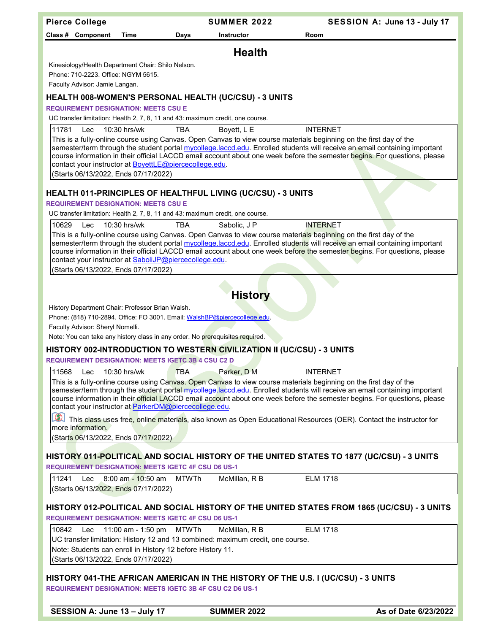| <b>Pierce College</b>                                                                                                                                                                                                                                                                                                                                                                                                                                                                                                                                                                                                                                                                                |                                                                                                                                                                   | <b>SUMMER 2022</b> | SESSION A: June 13 - July 17                                                                                                                                                                                                                                                                                                                                                                     |  |  |  |
|------------------------------------------------------------------------------------------------------------------------------------------------------------------------------------------------------------------------------------------------------------------------------------------------------------------------------------------------------------------------------------------------------------------------------------------------------------------------------------------------------------------------------------------------------------------------------------------------------------------------------------------------------------------------------------------------------|-------------------------------------------------------------------------------------------------------------------------------------------------------------------|--------------------|--------------------------------------------------------------------------------------------------------------------------------------------------------------------------------------------------------------------------------------------------------------------------------------------------------------------------------------------------------------------------------------------------|--|--|--|
| Class # Component                                                                                                                                                                                                                                                                                                                                                                                                                                                                                                                                                                                                                                                                                    | Time<br>Days                                                                                                                                                      | <b>Instructor</b>  | Room                                                                                                                                                                                                                                                                                                                                                                                             |  |  |  |
|                                                                                                                                                                                                                                                                                                                                                                                                                                                                                                                                                                                                                                                                                                      |                                                                                                                                                                   | <b>Health</b>      |                                                                                                                                                                                                                                                                                                                                                                                                  |  |  |  |
| Phone: 710-2223. Office: NGYM 5615.<br>Faculty Advisor: Jamie Langan.                                                                                                                                                                                                                                                                                                                                                                                                                                                                                                                                                                                                                                | Kinesiology/Health Department Chair: Shilo Nelson.                                                                                                                |                    |                                                                                                                                                                                                                                                                                                                                                                                                  |  |  |  |
|                                                                                                                                                                                                                                                                                                                                                                                                                                                                                                                                                                                                                                                                                                      | HEALTH 008-WOMEN'S PERSONAL HEALTH (UC/CSU) - 3 UNITS                                                                                                             |                    |                                                                                                                                                                                                                                                                                                                                                                                                  |  |  |  |
| <b>REQUIREMENT DESIGNATION: MEETS CSU E</b>                                                                                                                                                                                                                                                                                                                                                                                                                                                                                                                                                                                                                                                          |                                                                                                                                                                   |                    |                                                                                                                                                                                                                                                                                                                                                                                                  |  |  |  |
|                                                                                                                                                                                                                                                                                                                                                                                                                                                                                                                                                                                                                                                                                                      | UC transfer limitation: Health 2, 7, 8, 11 and 43: maximum credit, one course.                                                                                    |                    |                                                                                                                                                                                                                                                                                                                                                                                                  |  |  |  |
| 11781<br>Lec<br>(Starts 06/13/2022, Ends 07/17/2022)                                                                                                                                                                                                                                                                                                                                                                                                                                                                                                                                                                                                                                                 | 10:30 hrs/wk<br><b>TBA</b><br>contact your instructor at BoyettLE@piercecollege.edu.                                                                              | Boyett, L E        | <b>INTERNET</b><br>This is a fully-online course using Canvas. Open Canvas to view course materials beginning on the first day of the<br>semester/term through the student portal mycollege.laccd.edu. Enrolled students will receive an email containing important<br>course information in their official LACCD email account about one week before the semester begins. For questions, please |  |  |  |
|                                                                                                                                                                                                                                                                                                                                                                                                                                                                                                                                                                                                                                                                                                      |                                                                                                                                                                   |                    |                                                                                                                                                                                                                                                                                                                                                                                                  |  |  |  |
| <b>REQUIREMENT DESIGNATION: MEETS CSU E</b>                                                                                                                                                                                                                                                                                                                                                                                                                                                                                                                                                                                                                                                          | HEALTH 011-PRINCIPLES OF HEALTHFUL LIVING (UC/CSU) - 3 UNITS                                                                                                      |                    |                                                                                                                                                                                                                                                                                                                                                                                                  |  |  |  |
|                                                                                                                                                                                                                                                                                                                                                                                                                                                                                                                                                                                                                                                                                                      | UC transfer limitation: Health 2, 7, 8, 11 and 43: maximum credit, one course.                                                                                    |                    |                                                                                                                                                                                                                                                                                                                                                                                                  |  |  |  |
| 10629<br>Lec                                                                                                                                                                                                                                                                                                                                                                                                                                                                                                                                                                                                                                                                                         | 10:30 hrs/wk<br><b>TBA</b>                                                                                                                                        | Sabolic, J P       | <b>INTERNET</b>                                                                                                                                                                                                                                                                                                                                                                                  |  |  |  |
| (Starts 06/13/2022, Ends 07/17/2022)                                                                                                                                                                                                                                                                                                                                                                                                                                                                                                                                                                                                                                                                 | contact your instructor at SaboliJP@piercecollege.edu.                                                                                                            |                    | This is a fully-online course using Canvas. Open Canvas to view course materials beginning on the first day of the<br>semester/term through the student portal mycollege.laccd.edu. Enrolled students will receive an email containing important<br>course information in their official LACCD email account about one week before the semester begins. For questions, please                    |  |  |  |
|                                                                                                                                                                                                                                                                                                                                                                                                                                                                                                                                                                                                                                                                                                      |                                                                                                                                                                   |                    |                                                                                                                                                                                                                                                                                                                                                                                                  |  |  |  |
|                                                                                                                                                                                                                                                                                                                                                                                                                                                                                                                                                                                                                                                                                                      |                                                                                                                                                                   | <b>History</b>     |                                                                                                                                                                                                                                                                                                                                                                                                  |  |  |  |
|                                                                                                                                                                                                                                                                                                                                                                                                                                                                                                                                                                                                                                                                                                      | History Department Chair: Professor Brian Walsh.<br>Phone: (818) 710-2894. Office: FO 3001. Email: WalshBP@piercecollege.edu.<br>Faculty Advisor: Sheryl Nomelli. |                    |                                                                                                                                                                                                                                                                                                                                                                                                  |  |  |  |
|                                                                                                                                                                                                                                                                                                                                                                                                                                                                                                                                                                                                                                                                                                      | Note: You can take any history class in any order. No prerequisites required.                                                                                     |                    |                                                                                                                                                                                                                                                                                                                                                                                                  |  |  |  |
|                                                                                                                                                                                                                                                                                                                                                                                                                                                                                                                                                                                                                                                                                                      | HISTORY 002-INTRODUCTION TO WESTERN CIVILIZATION II (UC/CSU) - 3 UNITS<br><b>REQUIREMENT DESIGNATION: MEETS IGETC 3B 4 CSU C2 D</b>                               |                    |                                                                                                                                                                                                                                                                                                                                                                                                  |  |  |  |
| 11568 Lec 10:30 hrs/wk<br><b>TBA</b><br>Parker, D M<br><b>INTERNET</b><br>This is a fully-online course using Canvas. Open Canvas to view course materials beginning on the first day of the<br>semester/term through the student portal mycollege.laccd.edu. Enrolled students will receive an email containing important<br>course information in their official LACCD email account about one week before the semester begins. For questions, please<br>contact your instructor at ParkerDM@piercecollege.edu.<br>This class uses free, online materials, also known as Open Educational Resources (OER). Contact the instructor for<br>more information.<br>(Starts 06/13/2022, Ends 07/17/2022) |                                                                                                                                                                   |                    |                                                                                                                                                                                                                                                                                                                                                                                                  |  |  |  |
|                                                                                                                                                                                                                                                                                                                                                                                                                                                                                                                                                                                                                                                                                                      |                                                                                                                                                                   |                    | HISTORY 011-POLITICAL AND SOCIAL HISTORY OF THE UNITED STATES TO 1877 (UC/CSU) - 3 UNITS                                                                                                                                                                                                                                                                                                         |  |  |  |
|                                                                                                                                                                                                                                                                                                                                                                                                                                                                                                                                                                                                                                                                                                      | <b>REQUIREMENT DESIGNATION: MEETS IGETC 4F CSU D6 US-1</b>                                                                                                        |                    |                                                                                                                                                                                                                                                                                                                                                                                                  |  |  |  |
| 11241<br>Lec<br>(Starts 06/13/2022, Ends 07/17/2022)                                                                                                                                                                                                                                                                                                                                                                                                                                                                                                                                                                                                                                                 | 8:00 am - 10:50 am<br>MTWTh                                                                                                                                       | McMillan, R B      | <b>ELM 1718</b>                                                                                                                                                                                                                                                                                                                                                                                  |  |  |  |
|                                                                                                                                                                                                                                                                                                                                                                                                                                                                                                                                                                                                                                                                                                      | <b>REQUIREMENT DESIGNATION: MEETS IGETC 4F CSU D6 US-1</b>                                                                                                        |                    | HISTORY 012-POLITICAL AND SOCIAL HISTORY OF THE UNITED STATES FROM 1865 (UC/CSU) - 3 UNITS                                                                                                                                                                                                                                                                                                       |  |  |  |
| 10842<br>Lec                                                                                                                                                                                                                                                                                                                                                                                                                                                                                                                                                                                                                                                                                         | 11:00 am - 1:50 pm   MTWTh                                                                                                                                        | McMillan, R B      | <b>ELM 1718</b>                                                                                                                                                                                                                                                                                                                                                                                  |  |  |  |
|                                                                                                                                                                                                                                                                                                                                                                                                                                                                                                                                                                                                                                                                                                      | UC transfer limitation: History 12 and 13 combined: maximum credit, one course.                                                                                   |                    |                                                                                                                                                                                                                                                                                                                                                                                                  |  |  |  |
| (Starts 06/13/2022, Ends 07/17/2022)                                                                                                                                                                                                                                                                                                                                                                                                                                                                                                                                                                                                                                                                 | Note: Students can enroll in History 12 before History 11.                                                                                                        |                    |                                                                                                                                                                                                                                                                                                                                                                                                  |  |  |  |
|                                                                                                                                                                                                                                                                                                                                                                                                                                                                                                                                                                                                                                                                                                      | <b>REQUIREMENT DESIGNATION: MEETS IGETC 3B 4F CSU C2 D6 US-1</b>                                                                                                  |                    | HISTORY 041-THE AFRICAN AMERICAN IN THE HISTORY OF THE U.S. I (UC/CSU) - 3 UNITS                                                                                                                                                                                                                                                                                                                 |  |  |  |
| SESSION A: June 13 - July 17                                                                                                                                                                                                                                                                                                                                                                                                                                                                                                                                                                                                                                                                         |                                                                                                                                                                   | <b>SUMMER 2022</b> | As of Date 6/23/2022                                                                                                                                                                                                                                                                                                                                                                             |  |  |  |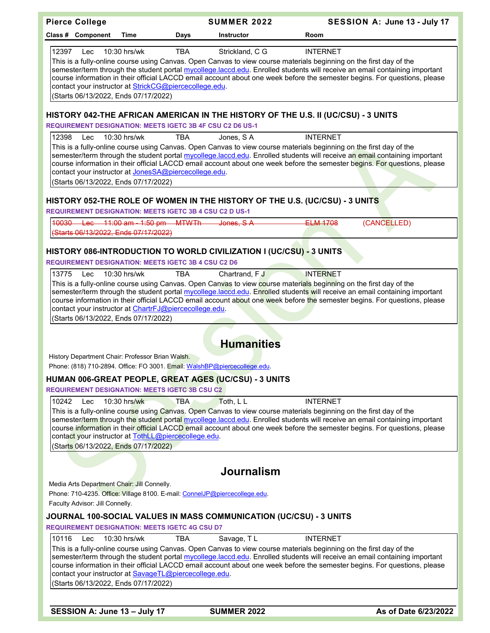|       | <b>Pierce College</b>           |                                                                                                                |            | <b>SUMMER 2022</b>                                                                                                                                                                                                                                                                                                                                                                                                          |                 | SESSION A: June 13 - July 17 |
|-------|---------------------------------|----------------------------------------------------------------------------------------------------------------|------------|-----------------------------------------------------------------------------------------------------------------------------------------------------------------------------------------------------------------------------------------------------------------------------------------------------------------------------------------------------------------------------------------------------------------------------|-----------------|------------------------------|
|       | Class # Component               | Time                                                                                                           | Days       | <b>Instructor</b>                                                                                                                                                                                                                                                                                                                                                                                                           | Room            |                              |
| 12397 | Lec                             | 10:30 hrs/wk<br>contact your instructor at StrickCG@piercecollege.edu.<br>(Starts 06/13/2022, Ends 07/17/2022) | <b>TBA</b> | Strickland, C G<br>This is a fully-online course using Canvas. Open Canvas to view course materials beginning on the first day of the<br>semester/term through the student portal mycollege.laccd.edu. Enrolled students will receive an email containing important<br>course information in their official LACCD email account about one week before the semester begins. For questions, please                            | <b>INTERNET</b> |                              |
|       |                                 | <b>REQUIREMENT DESIGNATION: MEETS IGETC 3B 4F CSU C2 D6 US-1</b>                                               |            | HISTORY 042-THE AFRICAN AMERICAN IN THE HISTORY OF THE U.S. II (UC/CSU) - 3 UNITS                                                                                                                                                                                                                                                                                                                                           |                 |                              |
| 12398 | Lec                             | $10:30$ hrs/wk                                                                                                 | <b>TBA</b> | Jones, SA                                                                                                                                                                                                                                                                                                                                                                                                                   | <b>INTERNET</b> |                              |
|       |                                 | contact your instructor at JonesSA@piercecollege.edu.<br>(Starts 06/13/2022, Ends 07/17/2022)                  |            | This is a fully-online course using Canvas. Open Canvas to view course materials beginning on the first day of the<br>semester/term through the student portal mycollege.laccd.edu. Enrolled students will receive an email containing important<br>course information in their official LACCD email account about one week before the semester begins. For questions, please                                               |                 |                              |
|       |                                 | <b>REQUIREMENT DESIGNATION: MEETS IGETC 3B 4 CSU C2 D US-1</b>                                                 |            | HISTORY 052-THE ROLE OF WOMEN IN THE HISTORY OF THE U.S. (UC/CSU) - 3 UNITS                                                                                                                                                                                                                                                                                                                                                 |                 |                              |
|       |                                 | 10030 Lec 11:00 am - 1:50 pm MTWTh<br>(Starts 06/13/2022, Ends 07/17/2022)                                     |            | Jones, S.A.                                                                                                                                                                                                                                                                                                                                                                                                                 | <b>ELM 1708</b> | (CANCELLED)                  |
|       |                                 | <b>REQUIREMENT DESIGNATION: MEETS IGETC 3B 4 CSU C2 D6</b>                                                     |            | HISTORY 086-INTRODUCTION TO WORLD CIVILIZATION I (UC/CSU) - 3 UNITS                                                                                                                                                                                                                                                                                                                                                         |                 |                              |
| 13775 | Lec                             | 10:30 hrs/wk<br>contact your instructor at ChartrFJ@piercecollege.edu.<br>(Starts 06/13/2022, Ends 07/17/2022) | <b>TBA</b> | Chartrand, FJ<br>This is a fully-online course using Canvas. Open Canvas to view course mater <mark>ials</mark> begi <mark>nni</mark> ng on the first day of the<br>semester/term through the student portal mycollege.laccd.edu. Enrolled students will receive an email containing important<br>course information in their official LACCD email account about one week before the semester begins. For questions, please | <b>INTERNET</b> |                              |
|       |                                 |                                                                                                                |            | <b>Humanities</b>                                                                                                                                                                                                                                                                                                                                                                                                           |                 |                              |
|       |                                 | History Department Chair: Professor Brian Walsh.                                                               |            | Phone: (818) 710-2894. Office: FO 3001. Email: WalshBP@piercecollege.edu.                                                                                                                                                                                                                                                                                                                                                   |                 |                              |
|       |                                 |                                                                                                                |            | HUMAN 006-GREAT PEOPLE, GREAT AGES (UC/CSU) - 3 UNITS                                                                                                                                                                                                                                                                                                                                                                       |                 |                              |
|       |                                 | <b>REQUIREMENT DESIGNATION: MEETS IGETC 3B CSU C2</b>                                                          |            |                                                                                                                                                                                                                                                                                                                                                                                                                             |                 |                              |
| 10242 | Lec                             | 10:30 hrs/wk<br>contact your instructor at TothLL@piercecollege.edu.<br>(Starts 06/13/2022, Ends 07/17/2022)   | TBA        | Toth, L L<br>This is a fully-online course using Canvas. Open Canvas to view course materials beginning on the first day of the<br>semester/term through the student portal mycollege.laccd.edu. Enrolled students will receive an email containing important<br>course information in their official LACCD email account about one week before the semester begins. For questions, please                                  | <b>INTERNET</b> |                              |
|       |                                 |                                                                                                                |            | <b>Journalism</b>                                                                                                                                                                                                                                                                                                                                                                                                           |                 |                              |
|       |                                 | Media Arts Department Chair: Jill Connelly.                                                                    |            | Phone: 710-4235. Office: Village 8100. E-mail: ConnelJP@piercecollege.edu.                                                                                                                                                                                                                                                                                                                                                  |                 |                              |
|       | Faculty Advisor: Jill Connelly. |                                                                                                                |            |                                                                                                                                                                                                                                                                                                                                                                                                                             |                 |                              |
|       |                                 |                                                                                                                |            | JOURNAL 100-SOCIAL VALUES IN MASS COMMUNICATION (UC/CSU) - 3 UNITS                                                                                                                                                                                                                                                                                                                                                          |                 |                              |
|       |                                 | <b>REQUIREMENT DESIGNATION: MEETS IGETC 4G CSU D7</b>                                                          |            |                                                                                                                                                                                                                                                                                                                                                                                                                             |                 |                              |
| 10116 | Lec                             | 10:30 hrs/wk<br>contact your instructor at SavageTL@piercecollege.edu.<br>(Starts 06/13/2022, Ends 07/17/2022) | TBA        | Savage, TL<br>This is a fully-online course using Canvas. Open Canvas to view course materials beginning on the first day of the<br>semester/term through the student portal mycollege.laccd.edu. Enrolled students will receive an email containing important<br>course information in their official LACCD email account about one week before the semester begins. For questions, please                                 | <b>INTERNET</b> |                              |
|       |                                 |                                                                                                                |            |                                                                                                                                                                                                                                                                                                                                                                                                                             |                 |                              |
|       |                                 | SESSION A: June 13 - July 17                                                                                   |            | <b>SUMMER 2022</b>                                                                                                                                                                                                                                                                                                                                                                                                          |                 | As of Date 6/23/2022         |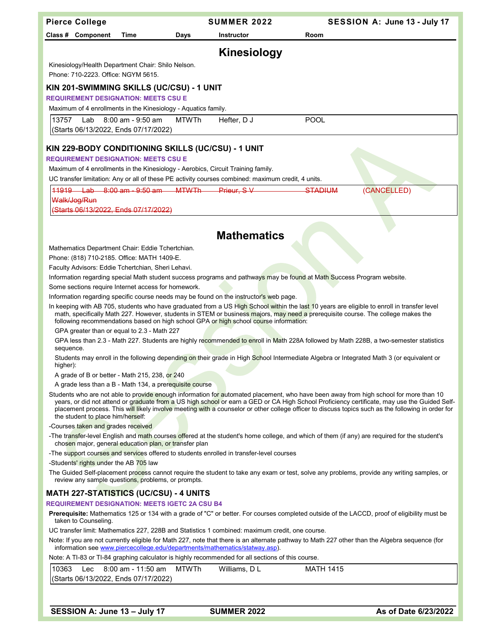|                                                                                                                                                                                                                               | <b>Pierce College</b>                                                                                                                                                                                                                                                                                                                                                                                                                                              |                                                                |              | <b>SUMMER 2022</b>                                                                                 | SESSION A: June 13 - July 17                                                                                                                                                                                                                                                                                                                                                                                                                |
|-------------------------------------------------------------------------------------------------------------------------------------------------------------------------------------------------------------------------------|--------------------------------------------------------------------------------------------------------------------------------------------------------------------------------------------------------------------------------------------------------------------------------------------------------------------------------------------------------------------------------------------------------------------------------------------------------------------|----------------------------------------------------------------|--------------|----------------------------------------------------------------------------------------------------|---------------------------------------------------------------------------------------------------------------------------------------------------------------------------------------------------------------------------------------------------------------------------------------------------------------------------------------------------------------------------------------------------------------------------------------------|
|                                                                                                                                                                                                                               | Class # Component                                                                                                                                                                                                                                                                                                                                                                                                                                                  | Time                                                           | Days         | <b>Instructor</b>                                                                                  | Room                                                                                                                                                                                                                                                                                                                                                                                                                                        |
|                                                                                                                                                                                                                               |                                                                                                                                                                                                                                                                                                                                                                                                                                                                    |                                                                |              |                                                                                                    |                                                                                                                                                                                                                                                                                                                                                                                                                                             |
|                                                                                                                                                                                                                               |                                                                                                                                                                                                                                                                                                                                                                                                                                                                    |                                                                |              | <b>Kinesiology</b>                                                                                 |                                                                                                                                                                                                                                                                                                                                                                                                                                             |
|                                                                                                                                                                                                                               | Phone: 710-2223. Office: NGYM 5615.                                                                                                                                                                                                                                                                                                                                                                                                                                | Kinesiology/Health Department Chair: Shilo Nelson.             |              |                                                                                                    |                                                                                                                                                                                                                                                                                                                                                                                                                                             |
|                                                                                                                                                                                                                               |                                                                                                                                                                                                                                                                                                                                                                                                                                                                    | KIN 201-SWIMMING SKILLS (UC/CSU) - 1 UNIT                      |              |                                                                                                    |                                                                                                                                                                                                                                                                                                                                                                                                                                             |
|                                                                                                                                                                                                                               |                                                                                                                                                                                                                                                                                                                                                                                                                                                                    | <b>REQUIREMENT DESIGNATION: MEETS CSU E</b>                    |              |                                                                                                    |                                                                                                                                                                                                                                                                                                                                                                                                                                             |
|                                                                                                                                                                                                                               |                                                                                                                                                                                                                                                                                                                                                                                                                                                                    | Maximum of 4 enrollments in the Kinesiology - Aquatics family. |              |                                                                                                    |                                                                                                                                                                                                                                                                                                                                                                                                                                             |
| 13757                                                                                                                                                                                                                         | Lab                                                                                                                                                                                                                                                                                                                                                                                                                                                                | 8:00 am - 9:50 am                                              | <b>MTWTh</b> | Hefter, D J                                                                                        | <b>POOL</b>                                                                                                                                                                                                                                                                                                                                                                                                                                 |
|                                                                                                                                                                                                                               |                                                                                                                                                                                                                                                                                                                                                                                                                                                                    | (Starts 06/13/2022, Ends 07/17/2022)                           |              |                                                                                                    |                                                                                                                                                                                                                                                                                                                                                                                                                                             |
|                                                                                                                                                                                                                               |                                                                                                                                                                                                                                                                                                                                                                                                                                                                    | KIN 229-BODY CONDITIONING SKILLS (UC/CSU) - 1 UNIT             |              |                                                                                                    |                                                                                                                                                                                                                                                                                                                                                                                                                                             |
|                                                                                                                                                                                                                               |                                                                                                                                                                                                                                                                                                                                                                                                                                                                    | <b>REQUIREMENT DESIGNATION: MEETS CSU E</b>                    |              |                                                                                                    |                                                                                                                                                                                                                                                                                                                                                                                                                                             |
|                                                                                                                                                                                                                               |                                                                                                                                                                                                                                                                                                                                                                                                                                                                    |                                                                |              | Maximum of 4 enrollments in the Kinesiology - Aerobics, Circuit Training family.                   |                                                                                                                                                                                                                                                                                                                                                                                                                                             |
|                                                                                                                                                                                                                               |                                                                                                                                                                                                                                                                                                                                                                                                                                                                    |                                                                |              | UC transfer limitation: Any or all of these PE activity courses combined: maximum credit, 4 units. |                                                                                                                                                                                                                                                                                                                                                                                                                                             |
|                                                                                                                                                                                                                               |                                                                                                                                                                                                                                                                                                                                                                                                                                                                    | 11919 Lab 8:00 am - 9:50 am MTWTh                              |              | Prieur, SV                                                                                         | <b>STADIUM</b><br>(CANCELLED)                                                                                                                                                                                                                                                                                                                                                                                                               |
|                                                                                                                                                                                                                               | Walk/Jog/Run                                                                                                                                                                                                                                                                                                                                                                                                                                                       |                                                                |              |                                                                                                    |                                                                                                                                                                                                                                                                                                                                                                                                                                             |
|                                                                                                                                                                                                                               |                                                                                                                                                                                                                                                                                                                                                                                                                                                                    | (Starts 06/13/2022, Ends 07/17/2022)                           |              |                                                                                                    |                                                                                                                                                                                                                                                                                                                                                                                                                                             |
|                                                                                                                                                                                                                               |                                                                                                                                                                                                                                                                                                                                                                                                                                                                    |                                                                |              |                                                                                                    |                                                                                                                                                                                                                                                                                                                                                                                                                                             |
|                                                                                                                                                                                                                               |                                                                                                                                                                                                                                                                                                                                                                                                                                                                    |                                                                |              | <b>Mathematics</b>                                                                                 |                                                                                                                                                                                                                                                                                                                                                                                                                                             |
|                                                                                                                                                                                                                               |                                                                                                                                                                                                                                                                                                                                                                                                                                                                    | Mathematics Department Chair: Eddie Tchertchian.               |              |                                                                                                    |                                                                                                                                                                                                                                                                                                                                                                                                                                             |
|                                                                                                                                                                                                                               |                                                                                                                                                                                                                                                                                                                                                                                                                                                                    | Phone: (818) 710-2185. Office: MATH 1409-E.                    |              |                                                                                                    |                                                                                                                                                                                                                                                                                                                                                                                                                                             |
|                                                                                                                                                                                                                               |                                                                                                                                                                                                                                                                                                                                                                                                                                                                    | Faculty Advisors: Eddie Tchertchian, Sheri Lehavi.             |              |                                                                                                    |                                                                                                                                                                                                                                                                                                                                                                                                                                             |
|                                                                                                                                                                                                                               |                                                                                                                                                                                                                                                                                                                                                                                                                                                                    |                                                                |              |                                                                                                    | Information regarding special Math student success programs and pathways may be found at Math Success Program website.                                                                                                                                                                                                                                                                                                                      |
|                                                                                                                                                                                                                               |                                                                                                                                                                                                                                                                                                                                                                                                                                                                    | Some sections require Internet access for homework.            |              |                                                                                                    |                                                                                                                                                                                                                                                                                                                                                                                                                                             |
|                                                                                                                                                                                                                               |                                                                                                                                                                                                                                                                                                                                                                                                                                                                    |                                                                |              |                                                                                                    |                                                                                                                                                                                                                                                                                                                                                                                                                                             |
|                                                                                                                                                                                                                               | Information regarding specific course needs may be found on the instructor's web page.<br>In keeping with AB 705, students who have graduated from a US High School within the last 10 years are eligible to enroll in transfer level<br>math, specifically Math 227. However, students in STEM or business majors, may need a prerequisite course. The college makes the<br>following recommendations based on high school GPA or high school course information: |                                                                |              |                                                                                                    |                                                                                                                                                                                                                                                                                                                                                                                                                                             |
|                                                                                                                                                                                                                               |                                                                                                                                                                                                                                                                                                                                                                                                                                                                    | GPA greater than or equal to 2.3 - Math 227                    |              |                                                                                                    |                                                                                                                                                                                                                                                                                                                                                                                                                                             |
| sequence.                                                                                                                                                                                                                     |                                                                                                                                                                                                                                                                                                                                                                                                                                                                    |                                                                |              |                                                                                                    | GPA less than 2.3 - Math 227. Students are highly recommended to enroll in Math 228A followed by Math 228B, a two-semester statistics                                                                                                                                                                                                                                                                                                       |
| higher):                                                                                                                                                                                                                      |                                                                                                                                                                                                                                                                                                                                                                                                                                                                    |                                                                |              |                                                                                                    | Students may enroll in the following depending on their grade in High School Intermediate Algebra or Integrated Math 3 (or equivalent or                                                                                                                                                                                                                                                                                                    |
|                                                                                                                                                                                                                               |                                                                                                                                                                                                                                                                                                                                                                                                                                                                    | A grade of B or better - Math 215, 238, or 240                 |              |                                                                                                    |                                                                                                                                                                                                                                                                                                                                                                                                                                             |
|                                                                                                                                                                                                                               | A grade less than a B - Math 134, a prerequisite course                                                                                                                                                                                                                                                                                                                                                                                                            |                                                                |              |                                                                                                    |                                                                                                                                                                                                                                                                                                                                                                                                                                             |
|                                                                                                                                                                                                                               | the student to place him/herself:                                                                                                                                                                                                                                                                                                                                                                                                                                  |                                                                |              |                                                                                                    | Students who are not able to provide enough information for automated placement, who have been away from high school for more than 10<br>years, or did not attend or graduate from a US high school or earn a GED or CA High School Proficiency certificate, may use the Guided Self-<br>placement process. This will likely involve meeting with a counselor or other college officer to discuss topics such as the following in order for |
|                                                                                                                                                                                                                               | -Courses taken and grades received                                                                                                                                                                                                                                                                                                                                                                                                                                 |                                                                |              |                                                                                                    |                                                                                                                                                                                                                                                                                                                                                                                                                                             |
|                                                                                                                                                                                                                               |                                                                                                                                                                                                                                                                                                                                                                                                                                                                    | chosen major, general education plan, or transfer plan         |              |                                                                                                    | -The transfer-level English and math courses offered at the student's home college, and which of them (if any) are required for the student's                                                                                                                                                                                                                                                                                               |
|                                                                                                                                                                                                                               |                                                                                                                                                                                                                                                                                                                                                                                                                                                                    |                                                                |              | -The support courses and services offered to students enrolled in transfer-level courses           |                                                                                                                                                                                                                                                                                                                                                                                                                                             |
|                                                                                                                                                                                                                               | -Students' rights under the AB 705 law                                                                                                                                                                                                                                                                                                                                                                                                                             |                                                                |              |                                                                                                    |                                                                                                                                                                                                                                                                                                                                                                                                                                             |
|                                                                                                                                                                                                                               | The Guided Self-placement process cannot require the student to take any exam or test, solve any problems, provide any writing samples, or<br>review any sample questions, problems, or prompts.                                                                                                                                                                                                                                                                   |                                                                |              |                                                                                                    |                                                                                                                                                                                                                                                                                                                                                                                                                                             |
| <b>MATH 227-STATISTICS (UC/CSU) - 4 UNITS</b>                                                                                                                                                                                 |                                                                                                                                                                                                                                                                                                                                                                                                                                                                    |                                                                |              |                                                                                                    |                                                                                                                                                                                                                                                                                                                                                                                                                                             |
|                                                                                                                                                                                                                               |                                                                                                                                                                                                                                                                                                                                                                                                                                                                    | <b>REQUIREMENT DESIGNATION: MEETS IGETC 2A CSU B4</b>          |              |                                                                                                    |                                                                                                                                                                                                                                                                                                                                                                                                                                             |
|                                                                                                                                                                                                                               | Prerequisite: Mathematics 125 or 134 with a grade of "C" or better. For courses completed outside of the LACCD, proof of eligibility must be<br>taken to Counseling.                                                                                                                                                                                                                                                                                               |                                                                |              |                                                                                                    |                                                                                                                                                                                                                                                                                                                                                                                                                                             |
|                                                                                                                                                                                                                               |                                                                                                                                                                                                                                                                                                                                                                                                                                                                    |                                                                |              | UC transfer limit: Mathematics 227, 228B and Statistics 1 combined: maximum credit, one course.    |                                                                                                                                                                                                                                                                                                                                                                                                                                             |
| Note: If you are not currently eligible for Math 227, note that there is an alternate pathway to Math 227 other than the Algebra sequence (for<br>information see www.piercecollege.edu/departments/mathematics/statway.asp). |                                                                                                                                                                                                                                                                                                                                                                                                                                                                    |                                                                |              |                                                                                                    |                                                                                                                                                                                                                                                                                                                                                                                                                                             |
|                                                                                                                                                                                                                               |                                                                                                                                                                                                                                                                                                                                                                                                                                                                    |                                                                |              | Note: A TI-83 or TI-84 graphing calculator is highly recommended for all sections of this course.  |                                                                                                                                                                                                                                                                                                                                                                                                                                             |
| 10363                                                                                                                                                                                                                         | Lec                                                                                                                                                                                                                                                                                                                                                                                                                                                                | 8:00 am - 11:50 am                                             | <b>MTWTh</b> | Williams, D L                                                                                      | <b>MATH 1415</b>                                                                                                                                                                                                                                                                                                                                                                                                                            |
|                                                                                                                                                                                                                               |                                                                                                                                                                                                                                                                                                                                                                                                                                                                    | (Starts 06/13/2022, Ends 07/17/2022)                           |              |                                                                                                    |                                                                                                                                                                                                                                                                                                                                                                                                                                             |
|                                                                                                                                                                                                                               |                                                                                                                                                                                                                                                                                                                                                                                                                                                                    |                                                                |              |                                                                                                    |                                                                                                                                                                                                                                                                                                                                                                                                                                             |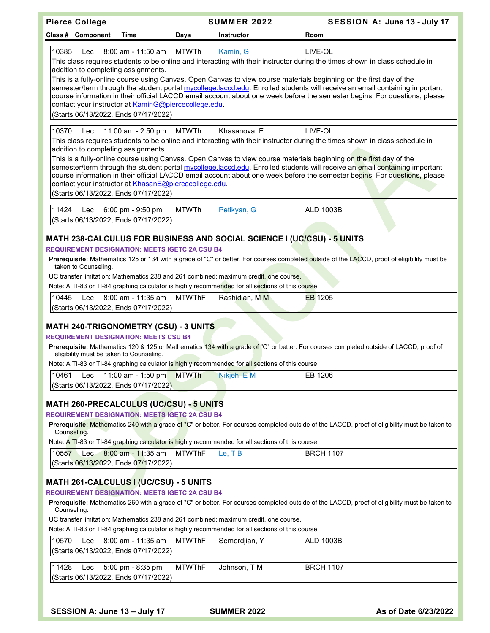| <b>Pierce College</b>                                                                                                                                                                                                                                                                                                                                                                      |               | <b>SUMMER 2022</b> | SESSION A: June 13 - July 17                                                                                                                                                                                                                                                                                                                                                                                                                                                                                            |
|--------------------------------------------------------------------------------------------------------------------------------------------------------------------------------------------------------------------------------------------------------------------------------------------------------------------------------------------------------------------------------------------|---------------|--------------------|-------------------------------------------------------------------------------------------------------------------------------------------------------------------------------------------------------------------------------------------------------------------------------------------------------------------------------------------------------------------------------------------------------------------------------------------------------------------------------------------------------------------------|
| Class # Component<br>Time                                                                                                                                                                                                                                                                                                                                                                  | Days          | <b>Instructor</b>  | Room                                                                                                                                                                                                                                                                                                                                                                                                                                                                                                                    |
| 8:00 am - 11:50 am<br>10385<br>Lec<br>addition to completing assignments.<br>contact your instructor at KaminG@piercecollege.edu.                                                                                                                                                                                                                                                          | <b>MTWTh</b>  | Kamin, G           | LIVE-OL<br>This class requires students to be online and interacting with their instructor during the times shown in class schedule in<br>This is a fully-online course using Canvas. Open Canvas to view course materials beginning on the first day of the<br>semester/term through the student portal mycollege.laccd.edu. Enrolled students will receive an email containing important<br>course information in their official LACCD email account about one week before the semester begins. For questions, please |
| (Starts 06/13/2022, Ends 07/17/2022)                                                                                                                                                                                                                                                                                                                                                       |               |                    |                                                                                                                                                                                                                                                                                                                                                                                                                                                                                                                         |
| 10370<br>11:00 am - 2:50 pm<br>Lec<br>addition to completing assignments.<br>contact your instructor at KhasanE@piercecollege.edu.<br>(Starts 06/13/2022, Ends 07/17/2022)                                                                                                                                                                                                                 | MTWTh         | Khasanova, E       | LIVE-OL<br>This class requires students to be online and interacting with their instructor during the times shown in class schedule in<br>This is a fully-online course using Canvas. Open Canvas to view course materials beginning on the first day of the<br>semester/term through the student portal mycollege.laccd.edu. Enrolled students will receive an email containing important<br>course information in their official LACCD email account about one week before the semester begins. For questions, please |
| 11424<br>6:00 pm - 9:50 pm<br>Lec<br>(Starts 06/13/2022, Ends 07/17/2022)                                                                                                                                                                                                                                                                                                                  | <b>MTWTh</b>  | Petikyan, G        | ALD 1003B                                                                                                                                                                                                                                                                                                                                                                                                                                                                                                               |
| MATH 238-CALCULUS FOR BUSINESS AND SOCIAL SCIENCE I (UC/CSU) - 5 UNITS<br><b>REQUIREMENT DESIGNATION: MEETS IGETC 2A CSU B4</b><br>taken to Counseling.<br>UC transfer limitation: Mathematics 238 and 261 combined: maximum credit, one course.<br>Note: A TI-83 or TI-84 graphing calculator is highly recommended for all sections of this course.                                      |               |                    | Prerequisite: Mathematics 125 or 134 with a grade of "C" or better. For courses completed outside of the LACCD, proof of eligibility must be                                                                                                                                                                                                                                                                                                                                                                            |
| 8:00 am - 11:35 am<br>10445<br>Lec<br>(Starts 06/13/2022, Ends 07/17/2022)                                                                                                                                                                                                                                                                                                                 | <b>MTWThF</b> | Rashidian, M M     | <b>EB</b> 1205                                                                                                                                                                                                                                                                                                                                                                                                                                                                                                          |
| <b>MATH 240-TRIGONOMETRY (CSU) - 3 UNITS</b><br><b>REQUIREMENT DESIGNATION: MEETS CSU B4</b><br>eligibility must be taken to Counseling.<br>Note: A TI-83 or TI-84 graphing calculator is highly recommended for all sections of this course.                                                                                                                                              |               |                    | Prerequisite: Mathematics 120 & 125 or Mathematics 134 with a grade of "C" or better. For courses completed outside of LACCD, proof of                                                                                                                                                                                                                                                                                                                                                                                  |
| 10461<br>11:00 am - 1:50 pm<br>Lec<br>(Starts 06/13/2022, Ends 07/17/2022)                                                                                                                                                                                                                                                                                                                 | <b>MTWTh</b>  | Nikjeh, E M        | EB 1206                                                                                                                                                                                                                                                                                                                                                                                                                                                                                                                 |
| <b>MATH 260-PRECALCULUS (UC/CSU) - 5 UNITS</b><br><b>REQUIREMENT DESIGNATION: MEETS IGETC 2A CSU B4</b><br>Counseling.<br>Note: A TI-83 or TI-84 graphing calculator is highly recommended for all sections of this course.<br>10557<br>8:00 am - 11:35 am<br>Lec.<br>(Starts 06/13/2022, Ends 07/17/2022)                                                                                 | <b>MTWThF</b> | Le, TB             | Prerequisite: Mathematics 240 with a grade of "C" or better. For courses completed outside of the LACCD, proof of eligibility must be taken to<br><b>BRCH 1107</b>                                                                                                                                                                                                                                                                                                                                                      |
| MATH 261-CALCULUS I (UC/CSU) - 5 UNITS<br><b>REQUIREMENT DESIGNATION: MEETS IGETC 2A CSU B4</b><br>Counseling.<br>UC transfer limitation: Mathematics 238 and 261 combined: maximum credit, one course.<br>Note: A TI-83 or TI-84 graphing calculator is highly recommended for all sections of this course.<br>10570<br>8:00 am - 11:35 am<br>Lec<br>(Starts 06/13/2022, Ends 07/17/2022) | <b>MTWThF</b> | Semerdjian, Y      | Prerequisite: Mathematics 260 with a grade of "C" or better. For courses completed outside of the LACCD, proof of eligibility must be taken to<br><b>ALD 1003B</b>                                                                                                                                                                                                                                                                                                                                                      |
| 11428<br>5:00 pm - 8:35 pm<br>Lec<br>(Starts 06/13/2022, Ends 07/17/2022)                                                                                                                                                                                                                                                                                                                  | <b>MTWThF</b> | Johnson, T M       | <b>BRCH 1107</b>                                                                                                                                                                                                                                                                                                                                                                                                                                                                                                        |
|                                                                                                                                                                                                                                                                                                                                                                                            |               |                    |                                                                                                                                                                                                                                                                                                                                                                                                                                                                                                                         |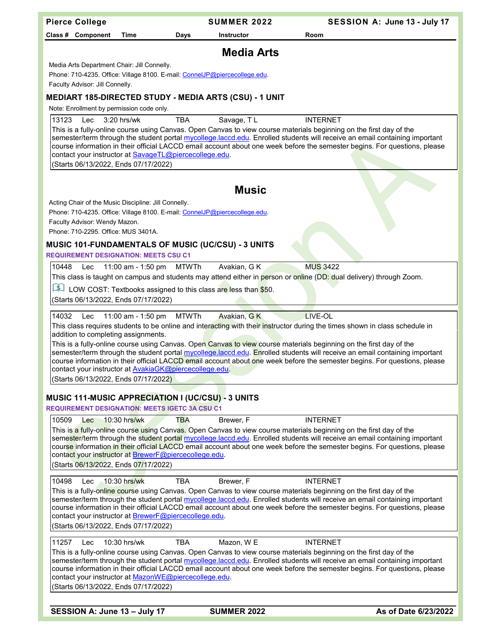| <b>Pierce College</b>                                                                                                                                                                                                                               | <b>SUMMER 2022</b>        | SESSION A: June 13 - July 17                                                                                                                                                                                                                                               |
|-----------------------------------------------------------------------------------------------------------------------------------------------------------------------------------------------------------------------------------------------------|---------------------------|----------------------------------------------------------------------------------------------------------------------------------------------------------------------------------------------------------------------------------------------------------------------------|
| Class # Component<br><b>Time</b>                                                                                                                                                                                                                    | Days<br><b>Instructor</b> | Room                                                                                                                                                                                                                                                                       |
|                                                                                                                                                                                                                                                     | <b>Media Arts</b>         |                                                                                                                                                                                                                                                                            |
| Media Arts Department Chair: Jill Connelly.<br>Phone: 710-4235. Office: Village 8100. E-mail: ConnelJP@piercecollege.edu.                                                                                                                           |                           |                                                                                                                                                                                                                                                                            |
| Faculty Advisor: Jill Connelly.                                                                                                                                                                                                                     |                           |                                                                                                                                                                                                                                                                            |
| MEDIART 185-DIRECTED STUDY - MEDIA ARTS (CSU) - 1 UNIT                                                                                                                                                                                              |                           |                                                                                                                                                                                                                                                                            |
| Note: Enrollment by permission code only.                                                                                                                                                                                                           |                           |                                                                                                                                                                                                                                                                            |
| 13123<br>Lec<br>3:20 hrs/wk<br>This is a fully-online course using Canvas. Open Canvas to view course materials beginning on the first day of the<br>contact your instructor at SavageTL@piercecollege.edu.<br>(Starts 06/13/2022, Ends 07/17/2022) | Savage, TL<br><b>TBA</b>  | <b>INTERNET</b><br>semester/term through the student portal mycollege.laccd.edu. Enrolled students will receive an email containing important<br>course information in their official LACCD email account about one week before the semester begins. For questions, please |
|                                                                                                                                                                                                                                                     |                           |                                                                                                                                                                                                                                                                            |
|                                                                                                                                                                                                                                                     | <b>Music</b>              |                                                                                                                                                                                                                                                                            |
| Acting Chair of the Music Discipline: Jill Connelly.<br>Phone: 710-4235. Office: Village 8100. E-mail: ConnelJP@piercecollege.edu.                                                                                                                  |                           |                                                                                                                                                                                                                                                                            |
| Faculty Advisor: Wendy Mazon.                                                                                                                                                                                                                       |                           |                                                                                                                                                                                                                                                                            |
| Phone: 710-2295. Office: MUS 3401A.                                                                                                                                                                                                                 |                           |                                                                                                                                                                                                                                                                            |
| <b>MUSIC 101-FUNDAMENTALS OF MUSIC (UC/CSU) - 3 UNITS</b><br><b>REQUIREMENT DESIGNATION: MEETS CSU C1</b>                                                                                                                                           |                           |                                                                                                                                                                                                                                                                            |
| 11:00 am - 1:50 pm<br>10448<br>Lec                                                                                                                                                                                                                  | Avakian, G K<br>MTWTh     | <b>MUS 3422</b>                                                                                                                                                                                                                                                            |
|                                                                                                                                                                                                                                                     |                           | This class is taught on campus and students may attend either in person or online (DD: dual delivery) through Zoom.                                                                                                                                                        |
| LOW COST: Textbooks assigned to this class are less than \$50.<br>(Starts 06/13/2022, Ends 07/17/2022)                                                                                                                                              |                           |                                                                                                                                                                                                                                                                            |
|                                                                                                                                                                                                                                                     |                           |                                                                                                                                                                                                                                                                            |
| 14032<br>11:00 am - 1:50 pm<br>Lec<br>addition to completing assignments.                                                                                                                                                                           | Avakian, GK<br>MTWTh      | LIVE-OL<br>This class requires students to be online and interacting with their instructor during the times shown in class schedule in                                                                                                                                     |
| This is a fully-online course using Canvas. Open Canvas to view course materials beginning on the first day of the<br>contact your instructor at <b>AvakiaGK@piercecollege.edu</b> .                                                                |                           | semester/term through the student portal mycollege.laccd.edu. Enrolled students will receive an email containing important<br>course information in their official LACCD email account about one week before the semester begins. For questions, please                    |
| (Starts 06/13/2022, Ends 07/17/2022)                                                                                                                                                                                                                |                           |                                                                                                                                                                                                                                                                            |
| MUSIC 111-MUSIC APPRECIATION I (UC/CSU) - 3 UNITS<br><b>REQUIREMENT DESIGNATION: MEETS IGETC 3A CSU C1</b>                                                                                                                                          |                           |                                                                                                                                                                                                                                                                            |
| 10509<br>$10:30$ hrs/wk<br>$1$                                                                                                                                                                                                                      | Brewer, F<br>TBA          | <b>INTERNET</b>                                                                                                                                                                                                                                                            |
| This is a fully-online cours <mark>e usin</mark> g Canva <mark>s.</mark> Open Canvas to view course materials beginning on the first day of the<br>contact your instructor at BrewerF@piercecollege.edu.<br>(Starts 06/13/2022, Ends 07/17/2022)    |                           | semester/term through the student portal mycollege.laccd.edu. Enrolled students will receive an email containing important<br>course information in their official LACCD email account about one week before the semester begins. For questions, please                    |
| 10498<br>10:30 hrs/wk<br>Lec                                                                                                                                                                                                                        | <b>TBA</b><br>Brewer, F   | <b>INTERNET</b>                                                                                                                                                                                                                                                            |
| This is a fully-onl <mark>ine cour</mark> se using Canvas. Open Canvas to view course materials beginning on the first day of the<br>contact your instructor at BrewerF@piercecollege.edu.<br>(Starts 06/13/2022, Ends 07/17/2022)                  |                           | semester/term through the student portal mycollege.laccd.edu. Enrolled students will receive an email containing important<br>course information in their official LACCD email account about one week before the semester begins. For questions, please                    |
| 11257<br>10:30 hrs/wk<br>Lec                                                                                                                                                                                                                        | Mazon, W E<br>TBA         | <b>INTERNET</b>                                                                                                                                                                                                                                                            |
| This is a fully-online course using Canvas. Open Canvas to view course materials beginning on the first day of the<br>contact your instructor at MazonWE@piercecollege.edu.<br>(Starts 06/13/2022, Ends 07/17/2022)                                 |                           | semester/term through the student portal mycollege.laccd.edu. Enrolled students will receive an email containing important<br>course information in their official LACCD email account about one week before the semester begins. For questions, please                    |
|                                                                                                                                                                                                                                                     |                           |                                                                                                                                                                                                                                                                            |
| SESSION A: June 13 - July 17                                                                                                                                                                                                                        | <b>SUMMER 2022</b>        | As of Date 6/23/2022                                                                                                                                                                                                                                                       |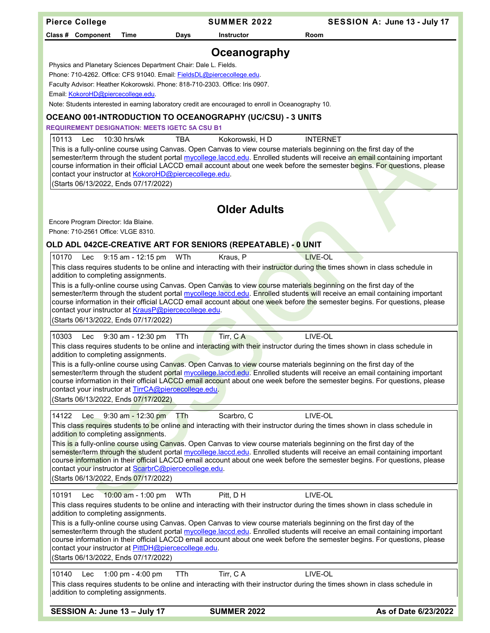| Class # Component<br>Room<br><b>Time</b><br>Days<br><b>Instructor</b><br>Oceanography<br>Physics and Planetary Sciences Department Chair: Dale L. Fields.<br>Phone: 710-4262. Office: CFS 91040. Email: FieldsDL@piercecollege.edu.<br>Faculty Advisor: Heather Kokorowski. Phone: 818-710-2303. Office: Iris 0907.<br>Email: KokoroHD@piercecollege.edu.<br>Note: Students interested in earning laboratory credit are encouraged to enroll in Oceanography 10.<br>OCEANO 001-INTRODUCTION TO OCEANOGRAPHY (UC/CSU) - 3 UNITS<br><b>REQUIREMENT DESIGNATION: MEETS IGETC 5A CSU B1</b><br>10113<br>10:30 hrs/wk<br><b>TBA</b><br>Kokorowski, HD<br><b>INTERNET</b><br>Lec<br>This is a fully-online course using Canvas. Open Canvas to view course materials beginning on the first day of the<br>semester/term through the student portal mycollege.laccd.edu. Enrolled students will receive an email containing important<br>course information in their official LACCD email account about one week before the semester begins. For questions, please<br>contact your instructor at KokoroHD@piercecollege.edu.<br>(Starts 06/13/2022, Ends 07/17/2022)<br><b>Older Adults</b><br>Encore Program Director: Ida Blaine.<br>Phone: 710-2561 Office: VLGE 8310.<br>OLD ADL 042CE-CREATIVE ART FOR SENIORS (REPEATABLE) - 0 UNIT<br>LIVE-OL<br>10170<br>9:15 am - 12:15 pm<br>WTh<br>Kraus, P<br>Lec<br>This class requires students to be online and interacting with their instructor during the times shown in class schedule in<br>addition to completing assignments.<br>This is a fully-online course using Canvas. Open Canvas to view course materials beginning on the first day of the<br>semester/term through the student portal mycollege.laccd.edu. Enrolled students will receive an email containing important<br>course information in their official LACCD email account about one week before the semester begins. For questions, please<br>contact your instructor at KrausP@piercecollege.edu.<br>(Starts 06/13/2022, Ends 07/17/2022)<br>Tirr, CA<br>LIVE-OL<br>10303<br>9:30 am - 12:30 pm<br>TTh<br>Lec<br>This class requires students to be online and interacting with their instructor during the times shown in class schedule in<br>addition to completing assignments.<br>This is a fully-online course using Canvas. Open Canvas to view course materials beginning on the first day of the<br>semester/term through the student portal mycollege.laccd.edu. Enrolled students will receive an email containing important<br>course information in their official LACCD email account about one week before the semester begins. For questions, please<br>contact your instructor at TirrCA@piercecollege.edu.<br>(Starts 06/13/2022, Ends 07/17/2022)<br>LIVE-OL<br>14122<br>Lec $9:30$ am - 12:30 pm<br>Scarbro, C<br>TTh<br>This class requires students to be online and interacting with their instructor during the times shown in class schedule in<br>addition to completing assignments.<br>This is a fully-online course using Canyas. Open Canvas to view course materials beginning on the first day of the<br>semester/term through the student portal mycollege.laccd.edu. Enrolled students will receive an email containing important<br>course information in their official LACCD email account about one week before the semester begins. For questions, please<br>contact your instructor at ScarbrC@piercecollege.edu.<br>(Starts 06/13/2022, Ends 07/17/2022)<br>10:00 am - 1:00 pm WTh<br>Pitt, D H<br>LIVE-OL<br>10191<br>Lec<br>This class requires students to be online and interacting with their instructor during the times shown in class schedule in<br>addition to completing assignments.<br>This is a fully-online course using Canvas. Open Canvas to view course materials beginning on the first day of the<br>semester/term through the student portal mycollege.laccd.edu. Enrolled students will receive an email containing important<br>course information in their official LACCD email account about one week before the semester begins. For questions, please<br>contact your instructor at PittDH@piercecollege.edu.<br>(Starts 06/13/2022, Ends 07/17/2022)<br>Tirr, CA<br>LIVE-OL<br>10140<br>1:00 pm - 4:00 pm<br><b>TTh</b><br>Lec<br>This class requires students to be online and interacting with their instructor during the times shown in class schedule in<br>addition to completing assignments. | <b>Pierce College</b>        | <b>SUMMER 2022</b> | SESSION A: June 13 - July 17 |
|------------------------------------------------------------------------------------------------------------------------------------------------------------------------------------------------------------------------------------------------------------------------------------------------------------------------------------------------------------------------------------------------------------------------------------------------------------------------------------------------------------------------------------------------------------------------------------------------------------------------------------------------------------------------------------------------------------------------------------------------------------------------------------------------------------------------------------------------------------------------------------------------------------------------------------------------------------------------------------------------------------------------------------------------------------------------------------------------------------------------------------------------------------------------------------------------------------------------------------------------------------------------------------------------------------------------------------------------------------------------------------------------------------------------------------------------------------------------------------------------------------------------------------------------------------------------------------------------------------------------------------------------------------------------------------------------------------------------------------------------------------------------------------------------------------------------------------------------------------------------------------------------------------------------------------------------------------------------------------------------------------------------------------------------------------------------------------------------------------------------------------------------------------------------------------------------------------------------------------------------------------------------------------------------------------------------------------------------------------------------------------------------------------------------------------------------------------------------------------------------------------------------------------------------------------------------------------------------------------------------------------------------------------------------------------------------------------------------------------------------------------------------------------------------------------------------------------------------------------------------------------------------------------------------------------------------------------------------------------------------------------------------------------------------------------------------------------------------------------------------------------------------------------------------------------------------------------------------------------------------------------------------------------------------------------------------------------------------------------------------------------------------------------------------------------------------------------------------------------------------------------------------------------------------------------------------------------------------------------------------------------------------------------------------------------------------------------------------------------------------------------------------------------------------------------------------------------------------------------------------------------------------------------------------------------------------------------------------------------------------------------------------------------------------------------------------------------------------------------------------------------------------------------------------------------------------------------------------------------------------------------------------------------------------------------------------------------------------------------------------------------------------------------------------------------------------------------------------------------------------|------------------------------|--------------------|------------------------------|
|                                                                                                                                                                                                                                                                                                                                                                                                                                                                                                                                                                                                                                                                                                                                                                                                                                                                                                                                                                                                                                                                                                                                                                                                                                                                                                                                                                                                                                                                                                                                                                                                                                                                                                                                                                                                                                                                                                                                                                                                                                                                                                                                                                                                                                                                                                                                                                                                                                                                                                                                                                                                                                                                                                                                                                                                                                                                                                                                                                                                                                                                                                                                                                                                                                                                                                                                                                                                                                                                                                                                                                                                                                                                                                                                                                                                                                                                                                                                                                                                                                                                                                                                                                                                                                                                                                                                                                                                                                                                                                |                              |                    |                              |
|                                                                                                                                                                                                                                                                                                                                                                                                                                                                                                                                                                                                                                                                                                                                                                                                                                                                                                                                                                                                                                                                                                                                                                                                                                                                                                                                                                                                                                                                                                                                                                                                                                                                                                                                                                                                                                                                                                                                                                                                                                                                                                                                                                                                                                                                                                                                                                                                                                                                                                                                                                                                                                                                                                                                                                                                                                                                                                                                                                                                                                                                                                                                                                                                                                                                                                                                                                                                                                                                                                                                                                                                                                                                                                                                                                                                                                                                                                                                                                                                                                                                                                                                                                                                                                                                                                                                                                                                                                                                                                |                              |                    |                              |
|                                                                                                                                                                                                                                                                                                                                                                                                                                                                                                                                                                                                                                                                                                                                                                                                                                                                                                                                                                                                                                                                                                                                                                                                                                                                                                                                                                                                                                                                                                                                                                                                                                                                                                                                                                                                                                                                                                                                                                                                                                                                                                                                                                                                                                                                                                                                                                                                                                                                                                                                                                                                                                                                                                                                                                                                                                                                                                                                                                                                                                                                                                                                                                                                                                                                                                                                                                                                                                                                                                                                                                                                                                                                                                                                                                                                                                                                                                                                                                                                                                                                                                                                                                                                                                                                                                                                                                                                                                                                                                |                              |                    |                              |
|                                                                                                                                                                                                                                                                                                                                                                                                                                                                                                                                                                                                                                                                                                                                                                                                                                                                                                                                                                                                                                                                                                                                                                                                                                                                                                                                                                                                                                                                                                                                                                                                                                                                                                                                                                                                                                                                                                                                                                                                                                                                                                                                                                                                                                                                                                                                                                                                                                                                                                                                                                                                                                                                                                                                                                                                                                                                                                                                                                                                                                                                                                                                                                                                                                                                                                                                                                                                                                                                                                                                                                                                                                                                                                                                                                                                                                                                                                                                                                                                                                                                                                                                                                                                                                                                                                                                                                                                                                                                                                |                              |                    |                              |
|                                                                                                                                                                                                                                                                                                                                                                                                                                                                                                                                                                                                                                                                                                                                                                                                                                                                                                                                                                                                                                                                                                                                                                                                                                                                                                                                                                                                                                                                                                                                                                                                                                                                                                                                                                                                                                                                                                                                                                                                                                                                                                                                                                                                                                                                                                                                                                                                                                                                                                                                                                                                                                                                                                                                                                                                                                                                                                                                                                                                                                                                                                                                                                                                                                                                                                                                                                                                                                                                                                                                                                                                                                                                                                                                                                                                                                                                                                                                                                                                                                                                                                                                                                                                                                                                                                                                                                                                                                                                                                |                              |                    |                              |
|                                                                                                                                                                                                                                                                                                                                                                                                                                                                                                                                                                                                                                                                                                                                                                                                                                                                                                                                                                                                                                                                                                                                                                                                                                                                                                                                                                                                                                                                                                                                                                                                                                                                                                                                                                                                                                                                                                                                                                                                                                                                                                                                                                                                                                                                                                                                                                                                                                                                                                                                                                                                                                                                                                                                                                                                                                                                                                                                                                                                                                                                                                                                                                                                                                                                                                                                                                                                                                                                                                                                                                                                                                                                                                                                                                                                                                                                                                                                                                                                                                                                                                                                                                                                                                                                                                                                                                                                                                                                                                |                              |                    |                              |
|                                                                                                                                                                                                                                                                                                                                                                                                                                                                                                                                                                                                                                                                                                                                                                                                                                                                                                                                                                                                                                                                                                                                                                                                                                                                                                                                                                                                                                                                                                                                                                                                                                                                                                                                                                                                                                                                                                                                                                                                                                                                                                                                                                                                                                                                                                                                                                                                                                                                                                                                                                                                                                                                                                                                                                                                                                                                                                                                                                                                                                                                                                                                                                                                                                                                                                                                                                                                                                                                                                                                                                                                                                                                                                                                                                                                                                                                                                                                                                                                                                                                                                                                                                                                                                                                                                                                                                                                                                                                                                |                              |                    |                              |
|                                                                                                                                                                                                                                                                                                                                                                                                                                                                                                                                                                                                                                                                                                                                                                                                                                                                                                                                                                                                                                                                                                                                                                                                                                                                                                                                                                                                                                                                                                                                                                                                                                                                                                                                                                                                                                                                                                                                                                                                                                                                                                                                                                                                                                                                                                                                                                                                                                                                                                                                                                                                                                                                                                                                                                                                                                                                                                                                                                                                                                                                                                                                                                                                                                                                                                                                                                                                                                                                                                                                                                                                                                                                                                                                                                                                                                                                                                                                                                                                                                                                                                                                                                                                                                                                                                                                                                                                                                                                                                |                              |                    |                              |
|                                                                                                                                                                                                                                                                                                                                                                                                                                                                                                                                                                                                                                                                                                                                                                                                                                                                                                                                                                                                                                                                                                                                                                                                                                                                                                                                                                                                                                                                                                                                                                                                                                                                                                                                                                                                                                                                                                                                                                                                                                                                                                                                                                                                                                                                                                                                                                                                                                                                                                                                                                                                                                                                                                                                                                                                                                                                                                                                                                                                                                                                                                                                                                                                                                                                                                                                                                                                                                                                                                                                                                                                                                                                                                                                                                                                                                                                                                                                                                                                                                                                                                                                                                                                                                                                                                                                                                                                                                                                                                |                              |                    |                              |
|                                                                                                                                                                                                                                                                                                                                                                                                                                                                                                                                                                                                                                                                                                                                                                                                                                                                                                                                                                                                                                                                                                                                                                                                                                                                                                                                                                                                                                                                                                                                                                                                                                                                                                                                                                                                                                                                                                                                                                                                                                                                                                                                                                                                                                                                                                                                                                                                                                                                                                                                                                                                                                                                                                                                                                                                                                                                                                                                                                                                                                                                                                                                                                                                                                                                                                                                                                                                                                                                                                                                                                                                                                                                                                                                                                                                                                                                                                                                                                                                                                                                                                                                                                                                                                                                                                                                                                                                                                                                                                |                              |                    |                              |
|                                                                                                                                                                                                                                                                                                                                                                                                                                                                                                                                                                                                                                                                                                                                                                                                                                                                                                                                                                                                                                                                                                                                                                                                                                                                                                                                                                                                                                                                                                                                                                                                                                                                                                                                                                                                                                                                                                                                                                                                                                                                                                                                                                                                                                                                                                                                                                                                                                                                                                                                                                                                                                                                                                                                                                                                                                                                                                                                                                                                                                                                                                                                                                                                                                                                                                                                                                                                                                                                                                                                                                                                                                                                                                                                                                                                                                                                                                                                                                                                                                                                                                                                                                                                                                                                                                                                                                                                                                                                                                |                              |                    |                              |
|                                                                                                                                                                                                                                                                                                                                                                                                                                                                                                                                                                                                                                                                                                                                                                                                                                                                                                                                                                                                                                                                                                                                                                                                                                                                                                                                                                                                                                                                                                                                                                                                                                                                                                                                                                                                                                                                                                                                                                                                                                                                                                                                                                                                                                                                                                                                                                                                                                                                                                                                                                                                                                                                                                                                                                                                                                                                                                                                                                                                                                                                                                                                                                                                                                                                                                                                                                                                                                                                                                                                                                                                                                                                                                                                                                                                                                                                                                                                                                                                                                                                                                                                                                                                                                                                                                                                                                                                                                                                                                |                              |                    |                              |
|                                                                                                                                                                                                                                                                                                                                                                                                                                                                                                                                                                                                                                                                                                                                                                                                                                                                                                                                                                                                                                                                                                                                                                                                                                                                                                                                                                                                                                                                                                                                                                                                                                                                                                                                                                                                                                                                                                                                                                                                                                                                                                                                                                                                                                                                                                                                                                                                                                                                                                                                                                                                                                                                                                                                                                                                                                                                                                                                                                                                                                                                                                                                                                                                                                                                                                                                                                                                                                                                                                                                                                                                                                                                                                                                                                                                                                                                                                                                                                                                                                                                                                                                                                                                                                                                                                                                                                                                                                                                                                |                              |                    |                              |
|                                                                                                                                                                                                                                                                                                                                                                                                                                                                                                                                                                                                                                                                                                                                                                                                                                                                                                                                                                                                                                                                                                                                                                                                                                                                                                                                                                                                                                                                                                                                                                                                                                                                                                                                                                                                                                                                                                                                                                                                                                                                                                                                                                                                                                                                                                                                                                                                                                                                                                                                                                                                                                                                                                                                                                                                                                                                                                                                                                                                                                                                                                                                                                                                                                                                                                                                                                                                                                                                                                                                                                                                                                                                                                                                                                                                                                                                                                                                                                                                                                                                                                                                                                                                                                                                                                                                                                                                                                                                                                |                              |                    |                              |
|                                                                                                                                                                                                                                                                                                                                                                                                                                                                                                                                                                                                                                                                                                                                                                                                                                                                                                                                                                                                                                                                                                                                                                                                                                                                                                                                                                                                                                                                                                                                                                                                                                                                                                                                                                                                                                                                                                                                                                                                                                                                                                                                                                                                                                                                                                                                                                                                                                                                                                                                                                                                                                                                                                                                                                                                                                                                                                                                                                                                                                                                                                                                                                                                                                                                                                                                                                                                                                                                                                                                                                                                                                                                                                                                                                                                                                                                                                                                                                                                                                                                                                                                                                                                                                                                                                                                                                                                                                                                                                |                              |                    |                              |
|                                                                                                                                                                                                                                                                                                                                                                                                                                                                                                                                                                                                                                                                                                                                                                                                                                                                                                                                                                                                                                                                                                                                                                                                                                                                                                                                                                                                                                                                                                                                                                                                                                                                                                                                                                                                                                                                                                                                                                                                                                                                                                                                                                                                                                                                                                                                                                                                                                                                                                                                                                                                                                                                                                                                                                                                                                                                                                                                                                                                                                                                                                                                                                                                                                                                                                                                                                                                                                                                                                                                                                                                                                                                                                                                                                                                                                                                                                                                                                                                                                                                                                                                                                                                                                                                                                                                                                                                                                                                                                |                              |                    |                              |
|                                                                                                                                                                                                                                                                                                                                                                                                                                                                                                                                                                                                                                                                                                                                                                                                                                                                                                                                                                                                                                                                                                                                                                                                                                                                                                                                                                                                                                                                                                                                                                                                                                                                                                                                                                                                                                                                                                                                                                                                                                                                                                                                                                                                                                                                                                                                                                                                                                                                                                                                                                                                                                                                                                                                                                                                                                                                                                                                                                                                                                                                                                                                                                                                                                                                                                                                                                                                                                                                                                                                                                                                                                                                                                                                                                                                                                                                                                                                                                                                                                                                                                                                                                                                                                                                                                                                                                                                                                                                                                |                              |                    |                              |
|                                                                                                                                                                                                                                                                                                                                                                                                                                                                                                                                                                                                                                                                                                                                                                                                                                                                                                                                                                                                                                                                                                                                                                                                                                                                                                                                                                                                                                                                                                                                                                                                                                                                                                                                                                                                                                                                                                                                                                                                                                                                                                                                                                                                                                                                                                                                                                                                                                                                                                                                                                                                                                                                                                                                                                                                                                                                                                                                                                                                                                                                                                                                                                                                                                                                                                                                                                                                                                                                                                                                                                                                                                                                                                                                                                                                                                                                                                                                                                                                                                                                                                                                                                                                                                                                                                                                                                                                                                                                                                |                              |                    |                              |
|                                                                                                                                                                                                                                                                                                                                                                                                                                                                                                                                                                                                                                                                                                                                                                                                                                                                                                                                                                                                                                                                                                                                                                                                                                                                                                                                                                                                                                                                                                                                                                                                                                                                                                                                                                                                                                                                                                                                                                                                                                                                                                                                                                                                                                                                                                                                                                                                                                                                                                                                                                                                                                                                                                                                                                                                                                                                                                                                                                                                                                                                                                                                                                                                                                                                                                                                                                                                                                                                                                                                                                                                                                                                                                                                                                                                                                                                                                                                                                                                                                                                                                                                                                                                                                                                                                                                                                                                                                                                                                |                              |                    |                              |
|                                                                                                                                                                                                                                                                                                                                                                                                                                                                                                                                                                                                                                                                                                                                                                                                                                                                                                                                                                                                                                                                                                                                                                                                                                                                                                                                                                                                                                                                                                                                                                                                                                                                                                                                                                                                                                                                                                                                                                                                                                                                                                                                                                                                                                                                                                                                                                                                                                                                                                                                                                                                                                                                                                                                                                                                                                                                                                                                                                                                                                                                                                                                                                                                                                                                                                                                                                                                                                                                                                                                                                                                                                                                                                                                                                                                                                                                                                                                                                                                                                                                                                                                                                                                                                                                                                                                                                                                                                                                                                |                              |                    |                              |
|                                                                                                                                                                                                                                                                                                                                                                                                                                                                                                                                                                                                                                                                                                                                                                                                                                                                                                                                                                                                                                                                                                                                                                                                                                                                                                                                                                                                                                                                                                                                                                                                                                                                                                                                                                                                                                                                                                                                                                                                                                                                                                                                                                                                                                                                                                                                                                                                                                                                                                                                                                                                                                                                                                                                                                                                                                                                                                                                                                                                                                                                                                                                                                                                                                                                                                                                                                                                                                                                                                                                                                                                                                                                                                                                                                                                                                                                                                                                                                                                                                                                                                                                                                                                                                                                                                                                                                                                                                                                                                |                              |                    |                              |
|                                                                                                                                                                                                                                                                                                                                                                                                                                                                                                                                                                                                                                                                                                                                                                                                                                                                                                                                                                                                                                                                                                                                                                                                                                                                                                                                                                                                                                                                                                                                                                                                                                                                                                                                                                                                                                                                                                                                                                                                                                                                                                                                                                                                                                                                                                                                                                                                                                                                                                                                                                                                                                                                                                                                                                                                                                                                                                                                                                                                                                                                                                                                                                                                                                                                                                                                                                                                                                                                                                                                                                                                                                                                                                                                                                                                                                                                                                                                                                                                                                                                                                                                                                                                                                                                                                                                                                                                                                                                                                |                              |                    |                              |
|                                                                                                                                                                                                                                                                                                                                                                                                                                                                                                                                                                                                                                                                                                                                                                                                                                                                                                                                                                                                                                                                                                                                                                                                                                                                                                                                                                                                                                                                                                                                                                                                                                                                                                                                                                                                                                                                                                                                                                                                                                                                                                                                                                                                                                                                                                                                                                                                                                                                                                                                                                                                                                                                                                                                                                                                                                                                                                                                                                                                                                                                                                                                                                                                                                                                                                                                                                                                                                                                                                                                                                                                                                                                                                                                                                                                                                                                                                                                                                                                                                                                                                                                                                                                                                                                                                                                                                                                                                                                                                |                              |                    |                              |
|                                                                                                                                                                                                                                                                                                                                                                                                                                                                                                                                                                                                                                                                                                                                                                                                                                                                                                                                                                                                                                                                                                                                                                                                                                                                                                                                                                                                                                                                                                                                                                                                                                                                                                                                                                                                                                                                                                                                                                                                                                                                                                                                                                                                                                                                                                                                                                                                                                                                                                                                                                                                                                                                                                                                                                                                                                                                                                                                                                                                                                                                                                                                                                                                                                                                                                                                                                                                                                                                                                                                                                                                                                                                                                                                                                                                                                                                                                                                                                                                                                                                                                                                                                                                                                                                                                                                                                                                                                                                                                |                              |                    |                              |
|                                                                                                                                                                                                                                                                                                                                                                                                                                                                                                                                                                                                                                                                                                                                                                                                                                                                                                                                                                                                                                                                                                                                                                                                                                                                                                                                                                                                                                                                                                                                                                                                                                                                                                                                                                                                                                                                                                                                                                                                                                                                                                                                                                                                                                                                                                                                                                                                                                                                                                                                                                                                                                                                                                                                                                                                                                                                                                                                                                                                                                                                                                                                                                                                                                                                                                                                                                                                                                                                                                                                                                                                                                                                                                                                                                                                                                                                                                                                                                                                                                                                                                                                                                                                                                                                                                                                                                                                                                                                                                |                              |                    |                              |
|                                                                                                                                                                                                                                                                                                                                                                                                                                                                                                                                                                                                                                                                                                                                                                                                                                                                                                                                                                                                                                                                                                                                                                                                                                                                                                                                                                                                                                                                                                                                                                                                                                                                                                                                                                                                                                                                                                                                                                                                                                                                                                                                                                                                                                                                                                                                                                                                                                                                                                                                                                                                                                                                                                                                                                                                                                                                                                                                                                                                                                                                                                                                                                                                                                                                                                                                                                                                                                                                                                                                                                                                                                                                                                                                                                                                                                                                                                                                                                                                                                                                                                                                                                                                                                                                                                                                                                                                                                                                                                |                              |                    |                              |
|                                                                                                                                                                                                                                                                                                                                                                                                                                                                                                                                                                                                                                                                                                                                                                                                                                                                                                                                                                                                                                                                                                                                                                                                                                                                                                                                                                                                                                                                                                                                                                                                                                                                                                                                                                                                                                                                                                                                                                                                                                                                                                                                                                                                                                                                                                                                                                                                                                                                                                                                                                                                                                                                                                                                                                                                                                                                                                                                                                                                                                                                                                                                                                                                                                                                                                                                                                                                                                                                                                                                                                                                                                                                                                                                                                                                                                                                                                                                                                                                                                                                                                                                                                                                                                                                                                                                                                                                                                                                                                |                              |                    |                              |
|                                                                                                                                                                                                                                                                                                                                                                                                                                                                                                                                                                                                                                                                                                                                                                                                                                                                                                                                                                                                                                                                                                                                                                                                                                                                                                                                                                                                                                                                                                                                                                                                                                                                                                                                                                                                                                                                                                                                                                                                                                                                                                                                                                                                                                                                                                                                                                                                                                                                                                                                                                                                                                                                                                                                                                                                                                                                                                                                                                                                                                                                                                                                                                                                                                                                                                                                                                                                                                                                                                                                                                                                                                                                                                                                                                                                                                                                                                                                                                                                                                                                                                                                                                                                                                                                                                                                                                                                                                                                                                |                              |                    |                              |
|                                                                                                                                                                                                                                                                                                                                                                                                                                                                                                                                                                                                                                                                                                                                                                                                                                                                                                                                                                                                                                                                                                                                                                                                                                                                                                                                                                                                                                                                                                                                                                                                                                                                                                                                                                                                                                                                                                                                                                                                                                                                                                                                                                                                                                                                                                                                                                                                                                                                                                                                                                                                                                                                                                                                                                                                                                                                                                                                                                                                                                                                                                                                                                                                                                                                                                                                                                                                                                                                                                                                                                                                                                                                                                                                                                                                                                                                                                                                                                                                                                                                                                                                                                                                                                                                                                                                                                                                                                                                                                |                              |                    |                              |
|                                                                                                                                                                                                                                                                                                                                                                                                                                                                                                                                                                                                                                                                                                                                                                                                                                                                                                                                                                                                                                                                                                                                                                                                                                                                                                                                                                                                                                                                                                                                                                                                                                                                                                                                                                                                                                                                                                                                                                                                                                                                                                                                                                                                                                                                                                                                                                                                                                                                                                                                                                                                                                                                                                                                                                                                                                                                                                                                                                                                                                                                                                                                                                                                                                                                                                                                                                                                                                                                                                                                                                                                                                                                                                                                                                                                                                                                                                                                                                                                                                                                                                                                                                                                                                                                                                                                                                                                                                                                                                |                              |                    |                              |
|                                                                                                                                                                                                                                                                                                                                                                                                                                                                                                                                                                                                                                                                                                                                                                                                                                                                                                                                                                                                                                                                                                                                                                                                                                                                                                                                                                                                                                                                                                                                                                                                                                                                                                                                                                                                                                                                                                                                                                                                                                                                                                                                                                                                                                                                                                                                                                                                                                                                                                                                                                                                                                                                                                                                                                                                                                                                                                                                                                                                                                                                                                                                                                                                                                                                                                                                                                                                                                                                                                                                                                                                                                                                                                                                                                                                                                                                                                                                                                                                                                                                                                                                                                                                                                                                                                                                                                                                                                                                                                |                              |                    |                              |
|                                                                                                                                                                                                                                                                                                                                                                                                                                                                                                                                                                                                                                                                                                                                                                                                                                                                                                                                                                                                                                                                                                                                                                                                                                                                                                                                                                                                                                                                                                                                                                                                                                                                                                                                                                                                                                                                                                                                                                                                                                                                                                                                                                                                                                                                                                                                                                                                                                                                                                                                                                                                                                                                                                                                                                                                                                                                                                                                                                                                                                                                                                                                                                                                                                                                                                                                                                                                                                                                                                                                                                                                                                                                                                                                                                                                                                                                                                                                                                                                                                                                                                                                                                                                                                                                                                                                                                                                                                                                                                |                              |                    |                              |
|                                                                                                                                                                                                                                                                                                                                                                                                                                                                                                                                                                                                                                                                                                                                                                                                                                                                                                                                                                                                                                                                                                                                                                                                                                                                                                                                                                                                                                                                                                                                                                                                                                                                                                                                                                                                                                                                                                                                                                                                                                                                                                                                                                                                                                                                                                                                                                                                                                                                                                                                                                                                                                                                                                                                                                                                                                                                                                                                                                                                                                                                                                                                                                                                                                                                                                                                                                                                                                                                                                                                                                                                                                                                                                                                                                                                                                                                                                                                                                                                                                                                                                                                                                                                                                                                                                                                                                                                                                                                                                |                              |                    |                              |
|                                                                                                                                                                                                                                                                                                                                                                                                                                                                                                                                                                                                                                                                                                                                                                                                                                                                                                                                                                                                                                                                                                                                                                                                                                                                                                                                                                                                                                                                                                                                                                                                                                                                                                                                                                                                                                                                                                                                                                                                                                                                                                                                                                                                                                                                                                                                                                                                                                                                                                                                                                                                                                                                                                                                                                                                                                                                                                                                                                                                                                                                                                                                                                                                                                                                                                                                                                                                                                                                                                                                                                                                                                                                                                                                                                                                                                                                                                                                                                                                                                                                                                                                                                                                                                                                                                                                                                                                                                                                                                |                              |                    |                              |
|                                                                                                                                                                                                                                                                                                                                                                                                                                                                                                                                                                                                                                                                                                                                                                                                                                                                                                                                                                                                                                                                                                                                                                                                                                                                                                                                                                                                                                                                                                                                                                                                                                                                                                                                                                                                                                                                                                                                                                                                                                                                                                                                                                                                                                                                                                                                                                                                                                                                                                                                                                                                                                                                                                                                                                                                                                                                                                                                                                                                                                                                                                                                                                                                                                                                                                                                                                                                                                                                                                                                                                                                                                                                                                                                                                                                                                                                                                                                                                                                                                                                                                                                                                                                                                                                                                                                                                                                                                                                                                |                              |                    |                              |
|                                                                                                                                                                                                                                                                                                                                                                                                                                                                                                                                                                                                                                                                                                                                                                                                                                                                                                                                                                                                                                                                                                                                                                                                                                                                                                                                                                                                                                                                                                                                                                                                                                                                                                                                                                                                                                                                                                                                                                                                                                                                                                                                                                                                                                                                                                                                                                                                                                                                                                                                                                                                                                                                                                                                                                                                                                                                                                                                                                                                                                                                                                                                                                                                                                                                                                                                                                                                                                                                                                                                                                                                                                                                                                                                                                                                                                                                                                                                                                                                                                                                                                                                                                                                                                                                                                                                                                                                                                                                                                |                              |                    |                              |
|                                                                                                                                                                                                                                                                                                                                                                                                                                                                                                                                                                                                                                                                                                                                                                                                                                                                                                                                                                                                                                                                                                                                                                                                                                                                                                                                                                                                                                                                                                                                                                                                                                                                                                                                                                                                                                                                                                                                                                                                                                                                                                                                                                                                                                                                                                                                                                                                                                                                                                                                                                                                                                                                                                                                                                                                                                                                                                                                                                                                                                                                                                                                                                                                                                                                                                                                                                                                                                                                                                                                                                                                                                                                                                                                                                                                                                                                                                                                                                                                                                                                                                                                                                                                                                                                                                                                                                                                                                                                                                |                              |                    |                              |
|                                                                                                                                                                                                                                                                                                                                                                                                                                                                                                                                                                                                                                                                                                                                                                                                                                                                                                                                                                                                                                                                                                                                                                                                                                                                                                                                                                                                                                                                                                                                                                                                                                                                                                                                                                                                                                                                                                                                                                                                                                                                                                                                                                                                                                                                                                                                                                                                                                                                                                                                                                                                                                                                                                                                                                                                                                                                                                                                                                                                                                                                                                                                                                                                                                                                                                                                                                                                                                                                                                                                                                                                                                                                                                                                                                                                                                                                                                                                                                                                                                                                                                                                                                                                                                                                                                                                                                                                                                                                                                |                              |                    |                              |
|                                                                                                                                                                                                                                                                                                                                                                                                                                                                                                                                                                                                                                                                                                                                                                                                                                                                                                                                                                                                                                                                                                                                                                                                                                                                                                                                                                                                                                                                                                                                                                                                                                                                                                                                                                                                                                                                                                                                                                                                                                                                                                                                                                                                                                                                                                                                                                                                                                                                                                                                                                                                                                                                                                                                                                                                                                                                                                                                                                                                                                                                                                                                                                                                                                                                                                                                                                                                                                                                                                                                                                                                                                                                                                                                                                                                                                                                                                                                                                                                                                                                                                                                                                                                                                                                                                                                                                                                                                                                                                | SESSION A: June 13 - July 17 | <b>SUMMER 2022</b> | As of Date 6/23/2022         |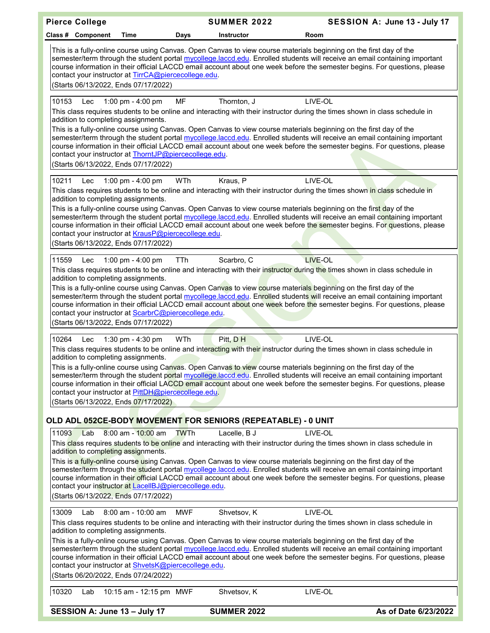| <b>Pierce College</b>                                                                                                                                                                                                                                                                                                | <b>SUMMER 2022</b> | SESSION A: June 13 - July 17                                                                                                                                                                                                                                                                                                                                                                             |
|----------------------------------------------------------------------------------------------------------------------------------------------------------------------------------------------------------------------------------------------------------------------------------------------------------------------|--------------------|----------------------------------------------------------------------------------------------------------------------------------------------------------------------------------------------------------------------------------------------------------------------------------------------------------------------------------------------------------------------------------------------------------|
| Class # Component<br>Time<br>Days                                                                                                                                                                                                                                                                                    | <b>Instructor</b>  | Room                                                                                                                                                                                                                                                                                                                                                                                                     |
| This is a fully-online course using Canvas. Open Canvas to view course materials beginning on the first day of the<br>contact your instructor at TirrCA@piercecollege.edu.<br>(Starts 06/13/2022, Ends 07/17/2022)                                                                                                   |                    | semester/term through the student portal mycollege.laccd.edu. Enrolled students will receive an email containing important<br>course information in their official LACCD email account about one week before the semester begins. For questions, please                                                                                                                                                  |
| 10153<br><b>MF</b><br>1:00 pm - 4:00 pm<br>Lec<br>addition to completing assignments.<br>This is a fully-online course using Canvas. Open Canvas to view course materials beginning on the first day of the<br>contact your instructor at ThorntJP@piercecollege.edu.<br>(Starts 06/13/2022, Ends 07/17/2022)        | Thornton, J        | LIVE-OL<br>This class requires students to be online and interacting with their instructor during the times shown in class schedule in<br>semester/term through the student portal mycollege.laccd.edu. Enrolled students will receive an email containing important<br>course information in their official LACCD email account about one week before the semester begins. For questions, please        |
| 10211<br>1:00 pm - 4:00 pm<br>WTh<br>Lec<br>addition to completing assignments.<br>This is a fully-online course using Canvas. Open Canvas to view course materials beginning on the first day of the<br>contact your instructor at KrausP@piercecollege.edu.<br>(Starts 06/13/2022, Ends 07/17/2022)                | Kraus, P           | LIVE-OL<br>This class requires students to be online and interacting with their instructor during the times shown in class schedule in<br>semester/term through the student portal mycollege.laccd.edu. Enrolled students will receive an email containing important<br>course information in their official LACCD email account about one week before the semester begins. For questions, please        |
| TTh<br>11559<br>1:00 pm - 4:00 pm<br>Lec<br>addition to completing assignments.<br>This is a fully-online course using Canvas. Open Canvas to view course materials beginning on the first day of the<br>contact your instructor at ScarbrC@piercecollege.edu.<br>(Starts 06/13/2022, Ends 07/17/2022)               | Scarbro, C         | <b>LIVE-OL</b><br>This class requires students to be online and interacting with their instructor during the times shown in class schedule in<br>semester/term through the student portal mycollege.laccd.edu. Enrolled students will receive an email containing important<br>course information in their official LACCD email account about one week before the semester begins. For questions, please |
| <b>WTh</b><br>10264<br>1:30 pm - 4:30 pm<br>Lec<br>addition to completing assignments.<br>This is a fully-online course using Canvas. Open Canvas to view course materials beginning on the first day of the<br>contact your instructor at PittDH@piercecollege.edu.<br>(Starts 06/13/2022, Ends 07/17/2022)         | Pitt, DH           | LIVE-OL<br>This class requires students to be online and interacting with their instructor during the times shown in class schedule in<br>semester/term through the student portal mycollege.laccd.edu. Enrolled students will receive an email containing important<br>course information in their official LACCD email account about one week before the semester begins. For questions, please        |
| OLD ADL 052CE-BODY MOVEMENT FOR SENIORS (REPEATABLE) - 0 UNIT                                                                                                                                                                                                                                                        |                    |                                                                                                                                                                                                                                                                                                                                                                                                          |
| 11093<br>$8:00$ am - $10:00$ am<br>Lab<br><b>TWTh</b><br>addition to completing assignments.<br>This is a fully-online course using Canvas. Open Canvas to view course materials beginning on the first day of the<br>contact your instructor at LacellBJ@piercecollege.edu.<br>(Starts 06/13/2022, Ends 07/17/2022) | Lacelle, B J       | LIVE-OL<br>This class requires students to be online and interacting with their instructor during the times shown in class schedule in<br>semester/term through the student portal mycollege.laccd.edu. Enrolled students will receive an email containing important<br>course information in their official LACCD email account about one week before the semester begins. For questions, please        |
| <b>MWF</b><br>13009<br>8:00 am - 10:00 am<br>Lab<br>addition to completing assignments.<br>This is a fully-online course using Canvas. Open Canvas to view course materials beginning on the first day of the<br>contact your instructor at ShvetsK@piercecollege.edu.<br>(Starts 06/20/2022, Ends 07/24/2022)       | Shvetsov, K        | LIVE-OL<br>This class requires students to be online and interacting with their instructor during the times shown in class schedule in<br>semester/term through the student portal mycollege.laccd.edu. Enrolled students will receive an email containing important<br>course information in their official LACCD email account about one week before the semester begins. For questions, please        |
| 10320<br>10:15 am - 12:15 pm MWF<br>Lab                                                                                                                                                                                                                                                                              | Shvetsov, K        | LIVE-OL                                                                                                                                                                                                                                                                                                                                                                                                  |
| SESSION A: June 13 - July 17                                                                                                                                                                                                                                                                                         | <b>SUMMER 2022</b> | As of Date 6/23/2022                                                                                                                                                                                                                                                                                                                                                                                     |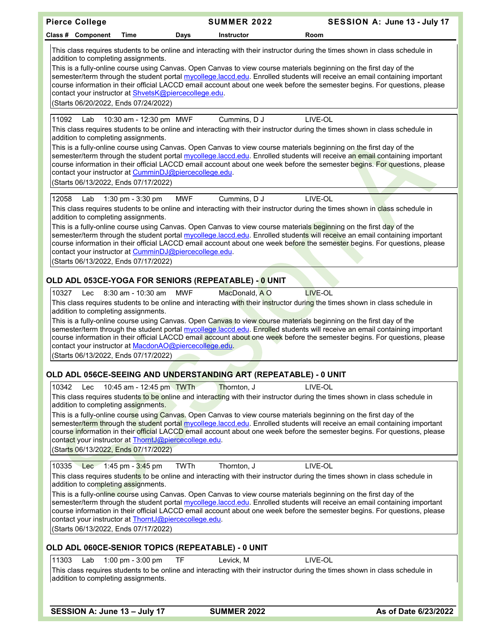| <b>Pierce College</b>                                                                                                                                                                                                                                                                                                                                                                                                                            | <b>SUMMER 2022</b> | SESSION A: June 13 - July 17                                                                                                                                                                                                                                              |
|--------------------------------------------------------------------------------------------------------------------------------------------------------------------------------------------------------------------------------------------------------------------------------------------------------------------------------------------------------------------------------------------------------------------------------------------------|--------------------|---------------------------------------------------------------------------------------------------------------------------------------------------------------------------------------------------------------------------------------------------------------------------|
| Class # Component<br>Time<br>Days                                                                                                                                                                                                                                                                                                                                                                                                                | Instructor         | Room                                                                                                                                                                                                                                                                      |
| This class requires students to be online and interacting with their instructor during the times shown in class schedule in<br>addition to completing assignments.<br>This is a fully-online course using Canvas. Open Canvas to view course materials beginning on the first day of the<br>contact your instructor at ShvetsK@piercecollege.edu.<br>(Starts 06/20/2022, Ends 07/24/2022)                                                        |                    | semester/term through the student portal mycollege.laccd.edu. Enrolled students will receive an email containing important<br>course information in their official LACCD email account about one week before the semester begins. For questions, please                   |
| 11092<br>10:30 am - 12:30 pm MWF<br>Lab<br>This class requires students to be online and interacting with their instructor during the times shown in class schedule in<br>addition to completing assignments.<br>This is a fully-online course using Canvas. Open Canvas to view course materials beginning on the first day of the<br>contact your instructor at CumminDJ@piercecollege.edu.<br>(Starts 06/13/2022, Ends 07/17/2022)            | Cummins, D J       | LIVE-OL<br>semester/term through the student portal mycollege.laccd.edu. Enrolled students will receive an email containing important<br>course information in their official LACCD email account about one week before the semester begins. For questions, please        |
| 12058<br><b>MWF</b><br>1:30 pm - 3:30 pm<br>Lab<br>This class requires students to be online and interacting with their instructor during the times shown in class schedule in<br>addition to completing assignments.<br>This is a fully-online course using Canvas. Open Canvas to view course materials beginning on the first day of the<br>contact your instructor at CumminDJ@piercecollege.edu.<br>(Starts 06/13/2022, Ends 07/17/2022)    | Cummins, D J       | LIVE-OL<br>semester/term through the student portal mycollege.laccd.edu. Enrolled students will receive an email containing important<br>course information in their official LACCD email account about one week before the semester begins. For questions, please        |
| OLD ADL 053CE-YOGA FOR SENIORS (REPEATABLE) - 0 UNIT                                                                                                                                                                                                                                                                                                                                                                                             |                    |                                                                                                                                                                                                                                                                           |
| <b>MWF</b><br>10327<br>$8:30$ am - 10:30 am<br>Lec<br>This class requires students to be online and interacting with their instructor during the times shown in class schedule in<br>addition to completing assignments.<br>This is a fully-online course using Canvas. Open Canvas to view course materials beginning on the first day of the<br>contact your instructor at MacdonAO@piercecollege.edu.<br>(Starts 06/13/2022, Ends 07/17/2022) | MacDonald, A O     | <b>LIVE-OL</b><br>semester/term through the student portal mycollege.laccd.edu. Enrolled students will receive an email containing important<br>course information in their official LACCD email account about one week before the semester begins. For questions, please |
| OLD ADL 056CE-SEEING AND UNDERSTANDING ART (REPEATABLE) - 0 UNIT                                                                                                                                                                                                                                                                                                                                                                                 |                    |                                                                                                                                                                                                                                                                           |
| 10:45 am - 12:45 pm TWTh<br>10342<br>Lec<br>This class requires students to be online and interacting with their instructor during the times shown in class schedule in<br>addition to completing assignments.<br>This is a fully-online course using Canvas. Open Canvas to view course materials beginning on the first day of the<br>contact your instructor at ThorntJ@piercecollege.edu.<br>(Starts 06/13/2022, Ends 07/17/2022)            | Thornton, J        | LIVE-OL<br>semester/term through the student portal mycollege.laccd.edu. Enrolled students will receive an email containing important<br>course information in their official LACCD email account about one week before the semester begins. For questions, please        |
| 10335 Lec 1:45 pm - 3:45 pm<br><b>TWTh</b>                                                                                                                                                                                                                                                                                                                                                                                                       | Thornton, J        | LIVE-OL                                                                                                                                                                                                                                                                   |
| This class requires students to be online and interacting with their instructor during the times shown in class schedule in<br>addition to completing assignments.<br>This is a fully-online course using Canvas. Open Canvas to view course materials beginning on the first day of the<br>contact your instructor at ThorntJ@piercecollege.edu.<br>(Starts 06/13/2022, Ends 07/17/2022)                                                        |                    | semester/term through the student portal mycollege.laccd.edu. Enrolled students will receive an email containing important<br>course information in their official LACCD email account about one week before the semester begins. For questions, please                   |
| OLD ADL 060CE-SENIOR TOPICS (REPEATABLE) - 0 UNIT                                                                                                                                                                                                                                                                                                                                                                                                |                    |                                                                                                                                                                                                                                                                           |
| 11303<br><b>TF</b><br>Lab<br>1:00 pm - 3:00 pm<br>This class requires students to be online and interacting with their instructor during the times shown in class schedule in<br>addition to completing assignments.                                                                                                                                                                                                                             | Levick, M          | LIVE-OL                                                                                                                                                                                                                                                                   |
| SESSION A: June 13 - July 17                                                                                                                                                                                                                                                                                                                                                                                                                     | <b>SUMMER 2022</b> | As of Date 6/23/2022                                                                                                                                                                                                                                                      |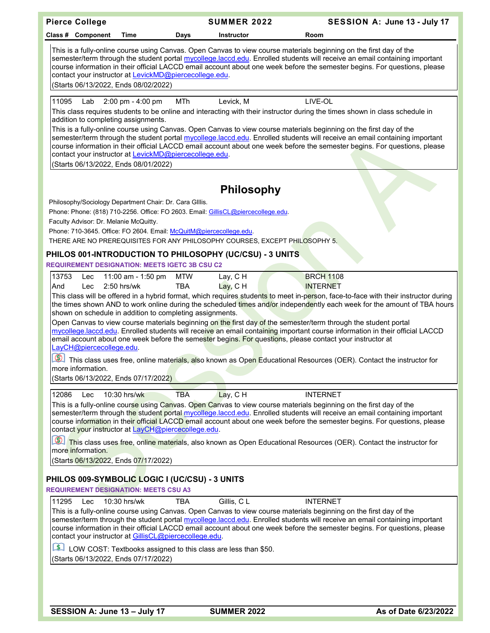| <b>Pierce College</b>                                                                                           | <b>SUMMER 2022</b>        | SESSION A: June 13 - July 17                                                                                                                                                                                                                                                                                                                                                  |
|-----------------------------------------------------------------------------------------------------------------|---------------------------|-------------------------------------------------------------------------------------------------------------------------------------------------------------------------------------------------------------------------------------------------------------------------------------------------------------------------------------------------------------------------------|
| Class # Component<br>Time                                                                                       | Days<br><b>Instructor</b> | Room                                                                                                                                                                                                                                                                                                                                                                          |
| contact your instructor at LevickMD@piercecollege.edu.<br>(Starts 06/13/2022, Ends 08/02/2022)                  |                           | This is a fully-online course using Canvas. Open Canvas to view course materials beginning on the first day of the<br>semester/term through the student portal mycollege.laccd.edu. Enrolled students will receive an email containing important<br>course information in their official LACCD email account about one week before the semester begins. For questions, please |
| 11095<br>Lab<br>2:00 pm - 4:00 pm                                                                               | MTh<br>Levick, M          | LIVE-OL                                                                                                                                                                                                                                                                                                                                                                       |
| addition to completing assignments.                                                                             |                           | This class requires students to be online and interacting with their instructor during the times shown in class schedule in                                                                                                                                                                                                                                                   |
| contact your instructor at LevickMD@piercecollege.edu.<br>(Starts 06/13/2022, Ends 08/01/2022)                  |                           | This is a fully-online course using Canvas. Open Canvas to view course materials beginning on the first day of the<br>semester/term through the student portal mycollege.laccd.edu. Enrolled students will receive an email containing important<br>course information in their official LACCD email account about one week before the semester begins. For questions, please |
|                                                                                                                 |                           |                                                                                                                                                                                                                                                                                                                                                                               |
|                                                                                                                 | <b>Philosophy</b>         |                                                                                                                                                                                                                                                                                                                                                                               |
| Philosophy/Sociology Department Chair: Dr. Cara Gillis.                                                         |                           |                                                                                                                                                                                                                                                                                                                                                                               |
| Phone: Phone: (818) 710-2256. Office: FO 2603. Email: GillisCL@piercecollege.edu.                               |                           |                                                                                                                                                                                                                                                                                                                                                                               |
| Faculty Advisor: Dr. Melanie McQuitty.                                                                          |                           |                                                                                                                                                                                                                                                                                                                                                                               |
| Phone: 710-3645. Office: FO 2604. Email: McQuitM@piercecollege.edu.                                             |                           |                                                                                                                                                                                                                                                                                                                                                                               |
| THERE ARE NO PREREQUISITES FOR ANY PHILOSOPHY COURSES, EXCEPT PHILOSOPHY 5.                                     |                           |                                                                                                                                                                                                                                                                                                                                                                               |
| PHILOS 001-INTRODUCTION TO PHILOSOPHY (UC/CSU) - 3 UNITS                                                        |                           |                                                                                                                                                                                                                                                                                                                                                                               |
| <b>REQUIREMENT DESIGNATION: MEETS IGETC 3B CSU C2</b>                                                           |                           |                                                                                                                                                                                                                                                                                                                                                                               |
| 13753<br>11:00 am - 1:50 pm<br>Lec                                                                              | Lay, CH<br><b>MTW</b>     | <b>BRCH 1108</b>                                                                                                                                                                                                                                                                                                                                                              |
| 2:50 hrs/wk<br>And<br>Lec                                                                                       | <b>TBA</b><br>Lay, C H    | <b>INTERNET</b>                                                                                                                                                                                                                                                                                                                                                               |
|                                                                                                                 |                           | This class will be offered in a hybrid format, which requires students to meet in-person, face-to-face with their instructor during<br>the times shown AND to work online during the scheduled times and/or independently each week for the amount of TBA hours                                                                                                               |
| shown on schedule in addition to completing assignments.                                                        |                           |                                                                                                                                                                                                                                                                                                                                                                               |
| Open Canvas to view course materials beginning on the first day of the semester/term through the student portal |                           |                                                                                                                                                                                                                                                                                                                                                                               |
| email account about one week before the semester begins. For questions, please contact your instructor at       |                           | mycollege.laccd.edu. Enrolled students will receive an email containing important course information in their official LACCD                                                                                                                                                                                                                                                  |
| LayCH@piercecollege.edu.                                                                                        |                           |                                                                                                                                                                                                                                                                                                                                                                               |
| Ø1                                                                                                              |                           | This class uses free, online materials, also known as Open Educational Resources (OER). Contact the instructor for                                                                                                                                                                                                                                                            |
| more information.                                                                                               |                           |                                                                                                                                                                                                                                                                                                                                                                               |
| (Starts 06/13/2022, Ends 07/17/2022)                                                                            |                           |                                                                                                                                                                                                                                                                                                                                                                               |
| 12086<br>10:30 hrs/wk<br>Lec                                                                                    | <b>TBA</b><br>Lay, CH     | <b>INTERNET</b>                                                                                                                                                                                                                                                                                                                                                               |
|                                                                                                                 |                           | This is a fully-online course using Canyas. Open Canyas to view course materials beginning on the first day of the                                                                                                                                                                                                                                                            |
| contact your instructor at LayCH@piercecollege.edu.                                                             |                           | semester/term through the student portal mycollege.laccd.edu. Enrolled students will receive an email containing important<br>course information in their official LACCD email account about one week before the semester begins. For questions, please                                                                                                                       |
| Ø.                                                                                                              |                           | This class uses free, online materials, also known as Open Educational Resources (OER). Contact the instructor for                                                                                                                                                                                                                                                            |
| more information.<br>(Starts 06/13/2022, Ends 07/17/2022)                                                       |                           |                                                                                                                                                                                                                                                                                                                                                                               |
|                                                                                                                 |                           |                                                                                                                                                                                                                                                                                                                                                                               |
| PHILOS 009-SYMBOLIC LOGIC I (UC/CSU) - 3 UNITS                                                                  |                           |                                                                                                                                                                                                                                                                                                                                                                               |
| <b>REQUIREMENT DESIGNATION: MEETS CSU A3</b>                                                                    |                           |                                                                                                                                                                                                                                                                                                                                                                               |
| 11295<br>10:30 hrs/wk<br>Lec                                                                                    | Gillis, CL<br><b>TBA</b>  | <b>INTERNET</b>                                                                                                                                                                                                                                                                                                                                                               |
|                                                                                                                 |                           | This is a fully-online course using Canvas. Open Canvas to view course materials beginning on the first day of the                                                                                                                                                                                                                                                            |
| contact your instructor at GillisCL@piercecollege.edu.                                                          |                           | semester/term through the student portal mycollege.laccd.edu. Enrolled students will receive an email containing important<br>course information in their official LACCD email account about one week before the semester begins. For questions, please                                                                                                                       |
| $\lceil \frac{\epsilon}{2} \rceil$<br>LOW COST: Textbooks assigned to this class are less than \$50.            |                           |                                                                                                                                                                                                                                                                                                                                                                               |
| (Starts 06/13/2022, Ends 07/17/2022)                                                                            |                           |                                                                                                                                                                                                                                                                                                                                                                               |
|                                                                                                                 |                           |                                                                                                                                                                                                                                                                                                                                                                               |
|                                                                                                                 |                           |                                                                                                                                                                                                                                                                                                                                                                               |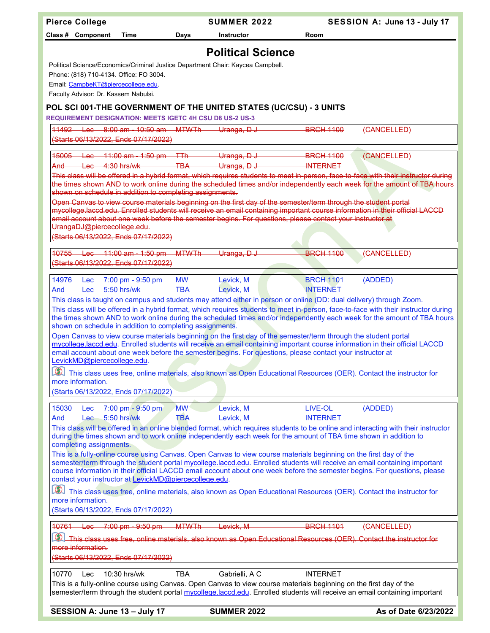| <b>Pierce College</b>                                                                                                                                                                                                                                           |              | <b>SUMMER 2022</b>       |                  | SESSION A: June 13 - July 17 |
|-----------------------------------------------------------------------------------------------------------------------------------------------------------------------------------------------------------------------------------------------------------------|--------------|--------------------------|------------------|------------------------------|
| Class # Component<br>Time                                                                                                                                                                                                                                       | Days         | <b>Instructor</b>        | Room             |                              |
|                                                                                                                                                                                                                                                                 |              | <b>Political Science</b> |                  |                              |
| Political Science/Economics/Criminal Justice Department Chair: Kaycea Campbell.                                                                                                                                                                                 |              |                          |                  |                              |
| Phone: (818) 710-4134. Office: FO 3004.                                                                                                                                                                                                                         |              |                          |                  |                              |
| Email: CampbeKT@piercecollege.edu.                                                                                                                                                                                                                              |              |                          |                  |                              |
| Faculty Advisor: Dr. Kassem Nabulsi.                                                                                                                                                                                                                            |              |                          |                  |                              |
| POL SCI 001-THE GOVERNMENT OF THE UNITED STATES (UC/CSU) - 3 UNITS<br><b>REQUIREMENT DESIGNATION: MEETS IGETC 4H CSU D8 US-2 US-3</b>                                                                                                                           |              |                          |                  |                              |
| 11492 Lec 8:00 am - 10:50 am MTWTh Uranga, D J                                                                                                                                                                                                                  |              |                          | <b>BRCH 1100</b> | (CANCELLED)                  |
| (Starts 06/13/2022, Ends 07/17/2022)                                                                                                                                                                                                                            |              |                          |                  |                              |
| 15005 Lec 11:00 am - 1:50 pm TTh Uranga, D J                                                                                                                                                                                                                    |              |                          | <b>BRCH 1100</b> | (CANCELLED)                  |
| $Lac = 4:30 hrs/wk$<br>And                                                                                                                                                                                                                                      |              | TBA Uranga, DJ           | <b>INTERNET</b>  |                              |
| This class will be offered in a hybrid format, which requires students to meet in-person, face-to-face with their instructor during                                                                                                                             |              |                          |                  |                              |
| the times shown AND to work online during the scheduled times and/or independently each week for the amount of TBA hours<br>shown on schedule in addition to completing assignments.                                                                            |              |                          |                  |                              |
| Open Canvas to view course materials beginning on the first day of the semester/term through the student portal                                                                                                                                                 |              |                          |                  |                              |
| mycollege laccd edu. Enrolled students will receive an email containing important course information in their official LACCD<br>email account about one week before the semester begins. For questions, please contact your instructor at                       |              |                          |                  |                              |
| UrangaDJ@piercecollege.edu.                                                                                                                                                                                                                                     |              |                          |                  |                              |
| (Starts 06/13/2022, Ends 07/17/2022)                                                                                                                                                                                                                            |              |                          |                  |                              |
| 10755<br>$-11:00$ am $-1:50$ pm<br><del>Lac</del>                                                                                                                                                                                                               | <b>MTWTh</b> | Uranga, DJ               | <b>BRCH 1100</b> | (CANCELLED)                  |
| (Starts 06/13/2022, Ends 07/17/2022)                                                                                                                                                                                                                            |              |                          |                  |                              |
| 7:00 pm - 9:50 pm<br>14976<br>Lec                                                                                                                                                                                                                               | <b>MW</b>    | Levick, M                | <b>BRCH 1101</b> | (ADDED)                      |
| 5:50 hrs/wk<br>And<br><b>Lec</b>                                                                                                                                                                                                                                | <b>TBA</b>   | Levick, M                | <b>INTERNET</b>  |                              |
| This class is taught on campus and students may attend either in person or online (DD: dual delivery) through Zoom.                                                                                                                                             |              |                          |                  |                              |
| This class will be offered in a hybrid format, which requires students to meet in-person, face-to-face with their instructor during<br>the times shown AND to work online during the scheduled times and/or independently each week for the amount of TBA hours |              |                          |                  |                              |
| shown on schedule in addition to completing assignments.                                                                                                                                                                                                        |              |                          |                  |                              |
| Open Canvas to view course materials beginning on the first day of the semester/term through the student portal                                                                                                                                                 |              |                          |                  |                              |
| mycollege.laccd.edu. Enrolled students will receive an email containing important course information in their official LACCD<br>email account about one week before the semester begins. For questions, please contact your instructor at                       |              |                          |                  |                              |
| LevickMD@piercecollege.edu.                                                                                                                                                                                                                                     |              |                          |                  |                              |
| This class uses free, online materials, also known as Open Educational Resources (OER). Contact the instructor for                                                                                                                                              |              |                          |                  |                              |
| more information.<br>(Starts 06/13/2022, Ends 07/17/2022)                                                                                                                                                                                                       |              |                          |                  |                              |
|                                                                                                                                                                                                                                                                 |              |                          |                  |                              |
| 15030<br>7:00 pm - 9:50 pm<br><b>Lec</b>                                                                                                                                                                                                                        | <b>MW</b>    | Levick, M                | LIVE-OL          | (ADDED)                      |
| 5:50 hrs/wk<br>And<br><b>Lec</b><br>This class will be offered in an online blended format, which requires students to be online and interacting with their instructor                                                                                          | <b>TBA</b>   | Levick, M                | <b>INTERNET</b>  |                              |
| during the times shown and to work online independently each week for the amount of TBA time shown in addition to                                                                                                                                               |              |                          |                  |                              |
| completing assignments.                                                                                                                                                                                                                                         |              |                          |                  |                              |
| This is a fully-online course using Canvas. Open Canvas to view course materials beginning on the first day of the<br>semester/term through the student portal mycollege.laccd.edu. Enrolled students will receive an email containing important                |              |                          |                  |                              |
| course information in their official LACCD email account about one week before the semester begins. For questions, please                                                                                                                                       |              |                          |                  |                              |
| contact your instructor at LevickMD@piercecollege.edu.                                                                                                                                                                                                          |              |                          |                  |                              |
| This class uses free, online materials, also known as Open Educational Resources (OER). Contact the instructor for<br>more information.                                                                                                                         |              |                          |                  |                              |
| (Starts 06/13/2022, Ends 07/17/2022)                                                                                                                                                                                                                            |              |                          |                  |                              |
| $10761 - \text{Lec}$<br>$-7:00 \text{ pm} - 9:50 \text{ pm}$                                                                                                                                                                                                    | <b>MTWTh</b> | Levick, M                | <b>BRCH 1101</b> | (CANCELLED)                  |
| This class uses free, online materials, also known as Open Educational Resources (OER). Contact the instructor for                                                                                                                                              |              |                          |                  |                              |
| more information.                                                                                                                                                                                                                                               |              |                          |                  |                              |
| (Starts 06/13/2022, Ends 07/17/2022)                                                                                                                                                                                                                            |              |                          |                  |                              |
| 10770<br>10:30 hrs/wk<br>Lec                                                                                                                                                                                                                                    | <b>TBA</b>   | Gabrielli, A C           | <b>INTERNET</b>  |                              |
| This is a fully-online course using Canvas. Open Canvas to view course materials beginning on the first day of the                                                                                                                                              |              |                          |                  |                              |
| semester/term through the student portal mycollege.laccd.edu. Enrolled students will receive an email containing important                                                                                                                                      |              |                          |                  |                              |
| SESSION A: June 13 - July 17                                                                                                                                                                                                                                    |              | <b>SUMMER 2022</b>       |                  | As of Date 6/23/2022         |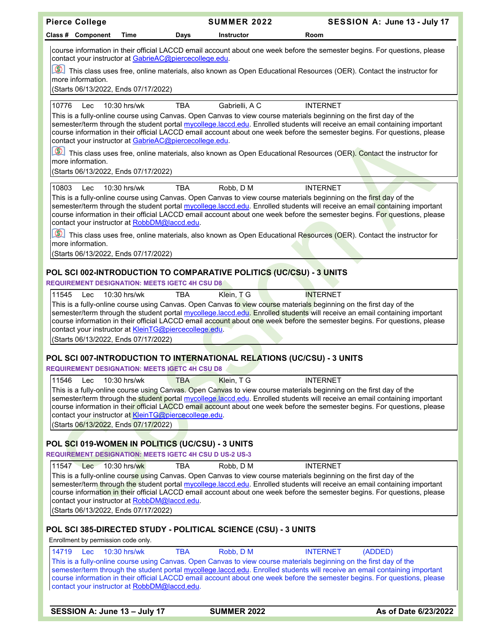| <b>Pierce College</b>                                                                                                                                 | <b>SUMMER 2022</b>        | SESSION A: June 13 - July 17                                                                                                                                                                                                                                                                                                                                                                                                                                                                                           |
|-------------------------------------------------------------------------------------------------------------------------------------------------------|---------------------------|------------------------------------------------------------------------------------------------------------------------------------------------------------------------------------------------------------------------------------------------------------------------------------------------------------------------------------------------------------------------------------------------------------------------------------------------------------------------------------------------------------------------|
| Class # Component<br>Time                                                                                                                             | Days<br><b>Instructor</b> | Room                                                                                                                                                                                                                                                                                                                                                                                                                                                                                                                   |
| contact your instructor at GabrieAC@piercecollege.edu.<br>$\circledR$<br>more information.<br>(Starts 06/13/2022, Ends 07/17/2022)                    |                           | course information in their official LACCD email account about one week before the semester begins. For questions, please<br>This class uses free, online materials, also known as Open Educational Resources (OER). Contact the instructor for                                                                                                                                                                                                                                                                        |
| $10:30$ hrs/wk                                                                                                                                        | Gabrielli, A C            | <b>INTERNET</b>                                                                                                                                                                                                                                                                                                                                                                                                                                                                                                        |
| 10776<br>Lec<br>contact your instructor at GabrieAC@piercecollege.edu.<br>$\circledcirc$<br>more information.<br>(Starts 06/13/2022, Ends 07/17/2022) | <b>TBA</b>                | This is a fully-online course using Canvas. Open Canvas to view course materials beginning on the first day of the<br>semester/term through the student portal mycollege.laccd.edu. Enrolled students will receive an email containing important<br>course information in their official LACCD email account about one week before the semester begins. For questions, please<br>This class uses free, online materials, also known as Open Educational Resources (OER). Contact the instructor for                    |
|                                                                                                                                                       |                           |                                                                                                                                                                                                                                                                                                                                                                                                                                                                                                                        |
| 10803<br>10:30 hrs/wk<br>Lec<br>contact your instructor at RobbDM@laccd.edu.<br>more information.<br>(Starts 06/13/2022, Ends 07/17/2022)             | <b>TBA</b><br>Robb, D M   | <b>INTERNET</b><br>This is a fully-online course using Canvas. Open Canvas to view course materials beginning on the first day of the<br>semester/term through the student portal mycollege.laccd.edu. Enrolled students will receive an email containing important<br>course information in their official LACCD email account about one week before the semester begins. For questions, please<br>This class uses free, online materials, also known as Open Educational Resources (OER). Contact the instructor for |
|                                                                                                                                                       |                           |                                                                                                                                                                                                                                                                                                                                                                                                                                                                                                                        |
| POL SCI 002-INTRODUCTION TO COMPARATIVE POLITICS (UC/CSU) - 3 UNITS<br><b>REQUIREMENT DESIGNATION: MEETS IGETC 4H CSU D8</b>                          |                           |                                                                                                                                                                                                                                                                                                                                                                                                                                                                                                                        |
| 11545<br>10:30 hrs/wk<br>Lec                                                                                                                          | Klein, TG<br><b>TBA</b>   | <b>INTERNET</b>                                                                                                                                                                                                                                                                                                                                                                                                                                                                                                        |
| contact your instructor at KleinTG@piercecollege.edu.<br>(Starts 06/13/2022, Ends 07/17/2022)                                                         |                           | This is a fully-online course using Canvas. Open Canvas to view co <mark>urs</mark> e material <mark>s b</mark> eginning on the first day of the<br>semester/term through the student portal mycollege.laccd.edu. Enrolled students will receive an email containing important<br>course information in their official LACCD email account about one week before the semester begins. For questions, please                                                                                                            |
|                                                                                                                                                       |                           |                                                                                                                                                                                                                                                                                                                                                                                                                                                                                                                        |
| POL SCI 007-INTRODUCTION TO INTERNATIONAL RELATIONS (UC/CSU) - 3 UNITS<br><b>REQUIREMENT DESIGNATION: MEETS IGETC 4H CSU D8</b>                       |                           |                                                                                                                                                                                                                                                                                                                                                                                                                                                                                                                        |
| 11546<br>10:30 hrs/wk<br>Lec                                                                                                                          | Klein, TG<br><b>TBA</b>   | <b>INTERNET</b>                                                                                                                                                                                                                                                                                                                                                                                                                                                                                                        |
| contact your instructor at KleinTG@piercecollege.edu.<br>(Starts 06/13/2022, Ends 07/17/2022)                                                         |                           | This is a fully-online course using Canvas. Open Canvas to view course materials beginning on the first day of the<br>semester/term through the student portal mycollege.laccd.edu. Enrolled students will receive an email containing important<br>course information in their official LACCD email account about one week before the semester begins. For questions, please                                                                                                                                          |
| POL SCI 019-WOMEN IN POLITICS (UC/CSU) - 3 UNITS                                                                                                      |                           |                                                                                                                                                                                                                                                                                                                                                                                                                                                                                                                        |
| <b>REQUIREMENT DESIGNATION: MEETS IGETC 4H CSU D US-2 US-3</b>                                                                                        |                           |                                                                                                                                                                                                                                                                                                                                                                                                                                                                                                                        |
| 11547 Lec<br>10:30 hrs/wk<br>contact your instructor at RobbDM@laccd.edu.<br>(Starts 06/13/2022, Ends 07/17/2022)                                     | <b>TBA</b><br>Robb, D M   | <b>INTERNET</b><br>This is a fully-online course using Canvas. Open Canvas to view course materials beginning on the first day of the<br>semester/term through the student portal mycollege.laccd.edu. Enrolled students will receive an email containing important<br>course information in their official LACCD email account about one week before the semester begins. For questions, please                                                                                                                       |
| POL SCI 385-DIRECTED STUDY - POLITICAL SCIENCE (CSU) - 3 UNITS<br>Enrollment by permission code only.                                                 |                           |                                                                                                                                                                                                                                                                                                                                                                                                                                                                                                                        |
| 14719<br>10:30 hrs/wk<br>Lec                                                                                                                          | <b>TBA</b><br>Robb, D M   | <b>INTERNET</b><br>(ADDED)                                                                                                                                                                                                                                                                                                                                                                                                                                                                                             |
| contact your instructor at RobbDM@laccd.edu.                                                                                                          |                           | This is a fully-online course using Canvas. Open Canvas to view course materials beginning on the first day of the<br>semester/term through the student portal mycollege.laccd.edu. Enrolled students will receive an email containing important<br>course information in their official LACCD email account about one week before the semester begins. For questions, please                                                                                                                                          |

**SESSION A: June 13 – July 17 SUMMER 2022 As of Date 6/23/2022**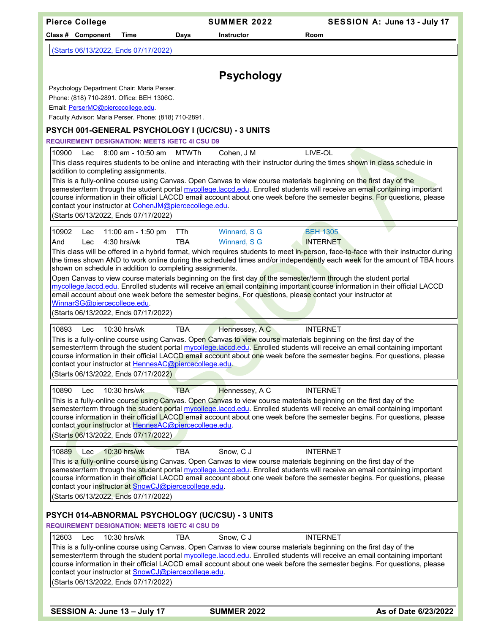| <b>Pierce College</b>                                                                                                                                                                                                                                                                                                                                                                                                                                                                                           | <b>SUMMER 2022</b>                                |                                    | SESSION A: June 13 - July 17 |
|-----------------------------------------------------------------------------------------------------------------------------------------------------------------------------------------------------------------------------------------------------------------------------------------------------------------------------------------------------------------------------------------------------------------------------------------------------------------------------------------------------------------|---------------------------------------------------|------------------------------------|------------------------------|
| Class # Component<br>Time                                                                                                                                                                                                                                                                                                                                                                                                                                                                                       | Days<br><b>Instructor</b>                         | Room                               |                              |
| (Starts 06/13/2022, Ends 07/17/2022)                                                                                                                                                                                                                                                                                                                                                                                                                                                                            |                                                   |                                    |                              |
|                                                                                                                                                                                                                                                                                                                                                                                                                                                                                                                 | <b>Psychology</b>                                 |                                    |                              |
| Psychology Department Chair: Maria Perser.                                                                                                                                                                                                                                                                                                                                                                                                                                                                      |                                                   |                                    |                              |
| Phone: (818) 710-2891. Office: BEH 1306C.                                                                                                                                                                                                                                                                                                                                                                                                                                                                       |                                                   |                                    |                              |
| Email: PerserMO@piercecollege.edu.                                                                                                                                                                                                                                                                                                                                                                                                                                                                              |                                                   |                                    |                              |
| Faculty Advisor: Maria Perser. Phone: (818) 710-2891.                                                                                                                                                                                                                                                                                                                                                                                                                                                           |                                                   |                                    |                              |
| PSYCH 001-GENERAL PSYCHOLOGY I (UC/CSU) - 3 UNITS                                                                                                                                                                                                                                                                                                                                                                                                                                                               |                                                   |                                    |                              |
| <b>REQUIREMENT DESIGNATION: MEETS IGETC 4I CSU D9</b>                                                                                                                                                                                                                                                                                                                                                                                                                                                           |                                                   |                                    |                              |
| 10900<br>8:00 am - 10:50 am<br><b>Lec</b><br>This class requires students to be online and interacting with their instructor during the times shown in class schedule in                                                                                                                                                                                                                                                                                                                                        | <b>MTWTh</b><br>Cohen, J M                        | LIVE-OL                            |                              |
| addition to completing assignments.                                                                                                                                                                                                                                                                                                                                                                                                                                                                             |                                                   |                                    |                              |
| This is a fully-online course using Canvas. Open Canvas to view course materials beginning on the first day of the<br>semester/term through the student portal mycollege.laccd.edu. Enrolled students will receive an email containing important<br>course information in their official LACCD email account about one week before the semester begins. For questions, please<br>contact your instructor at CohenJM@piercecollege.edu.<br>(Starts 06/13/2022, Ends 07/17/2022)                                  |                                                   |                                    |                              |
|                                                                                                                                                                                                                                                                                                                                                                                                                                                                                                                 |                                                   |                                    |                              |
| 10902<br>11:00 am - 1:50 pm<br>Lec<br>4:30 hrs/wk<br>And<br>Lec                                                                                                                                                                                                                                                                                                                                                                                                                                                 | Winnard, S G<br>TTh<br><b>TBA</b><br>Winnard, S G | <b>BEH 1305</b><br><b>INTERNET</b> |                              |
| This class will be offered in a hybrid format, which requires students to meet in-person, face-to-face with their instructor during<br>the times shown AND to work online during the scheduled times and/or independently each week for the amount of TBA hours<br>shown on schedule in addition to completing assignments.                                                                                                                                                                                     |                                                   |                                    |                              |
| Open Canvas to view course materials beginning on the first day of the semester/term through the student portal<br>mycollege.laccd.edu. Enrolled students will receive an email containing important course information in their official LACCD<br>email account about one week before the semester begins. For questions, please contact your instructor at<br>WinnarSG@piercecollege.edu.<br>(Starts 06/13/2022, Ends 07/17/2022)                                                                             |                                                   |                                    |                              |
|                                                                                                                                                                                                                                                                                                                                                                                                                                                                                                                 |                                                   |                                    |                              |
| 10893<br>10:30 hrs/wk<br>Lec<br>This is a fully-online course using Canvas. Open Canvas to view course materials beginning on the first day of the<br>semester/term through the student portal mycollege.laccd.edu. Enrolled students will receive an email containing important<br>course information in their official LACCD email account about one week before the semester begins. For questions, please<br>contact your instructor at HennesAC@piercecollege.edu.<br>(Starts 06/13/2022, Ends 07/17/2022) | Hennessey, A C<br><b>TBA</b>                      | <b>INTERNET</b>                    |                              |
| 10:30 hrs/wk<br>10890<br>Lec                                                                                                                                                                                                                                                                                                                                                                                                                                                                                    | <b>TBA</b><br>Hennessey, A C                      | <b>INTERNET</b>                    |                              |
| This is a fully-online course using Canvas. Open Canvas to view course materials beginning on the first day of the<br>semester/term through the student portal mycollege.laccd.edu. Enrolled students will receive an email containing important<br>course information in their official LACCD email account about one week before the semester begins. For questions, please<br>contact your instructor at HennesAC@piercecollege.edu.<br>(Starts 06/13/2022, Ends 07/17/2022)                                 |                                                   |                                    |                              |
| 10889<br>10:30 hrs/wk<br>Lec                                                                                                                                                                                                                                                                                                                                                                                                                                                                                    | <b>TBA</b><br>Snow, C J                           | <b>INTERNET</b>                    |                              |
| This is a fully-online course using Canvas. Open Canvas to view course materials beginning on the first day of the<br>semester/term through the student portal mycollege.laccd.edu. Enrolled students will receive an email containing important<br>course information in their official LACCD email account about one week before the semester begins. For questions, please<br>contact your instructor at SnowCJ@piercecollege.edu.<br>(Starts 06/13/2022, Ends 07/17/2022)                                   |                                                   |                                    |                              |
|                                                                                                                                                                                                                                                                                                                                                                                                                                                                                                                 |                                                   |                                    |                              |
| PSYCH 014-ABNORMAL PSYCHOLOGY (UC/CSU) - 3 UNITS<br><b>REQUIREMENT DESIGNATION: MEETS IGETC 4I CSU D9</b>                                                                                                                                                                                                                                                                                                                                                                                                       |                                                   |                                    |                              |
| 12603<br>10:30 hrs/wk<br><b>Lec</b>                                                                                                                                                                                                                                                                                                                                                                                                                                                                             | Snow, C J<br>TBA                                  | <b>INTERNET</b>                    |                              |
| This is a fully-online course using Canvas. Open Canvas to view course materials beginning on the first day of the<br>semester/term through the student portal mycollege.laccd.edu. Enrolled students will receive an email containing important<br>course information in their official LACCD email account about one week before the semester begins. For questions, please<br>contact your instructor at <b>SnowCJ@piercecollege.edu</b> .<br>(Starts 06/13/2022, Ends 07/17/2022)                           |                                                   |                                    |                              |
|                                                                                                                                                                                                                                                                                                                                                                                                                                                                                                                 |                                                   |                                    |                              |

**SESSION A: June 13 – July 17 SUMMER 2022 As of Date 6/23/2022**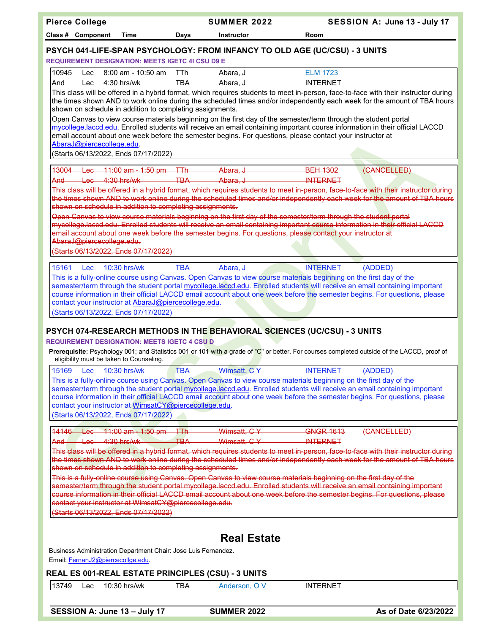| <b>Pierce College</b>                                                                                                                                                                                                      | <b>SUMMER 2022</b>         | SESSION A: June 13 - July 17                                                                                                                                                                                                                                                          |
|----------------------------------------------------------------------------------------------------------------------------------------------------------------------------------------------------------------------------|----------------------------|---------------------------------------------------------------------------------------------------------------------------------------------------------------------------------------------------------------------------------------------------------------------------------------|
| Class # Component<br>Time<br>Days                                                                                                                                                                                          | <b>Instructor</b>          | Room                                                                                                                                                                                                                                                                                  |
| PSYCH 041-LIFE-SPAN PSYCHOLOGY: FROM INFANCY TO OLD AGE (UC/CSU) - 3 UNITS<br><b>REQUIREMENT DESIGNATION: MEETS IGETC 4I CSU D9 E</b>                                                                                      |                            |                                                                                                                                                                                                                                                                                       |
| 10945<br>8:00 am - 10:50 am<br>TTh.<br>Lec<br>4:30 hrs/wk<br><b>TBA</b><br>And<br>Lec                                                                                                                                      | Abara, J<br>Abara, J       | <b>ELM 1723</b><br><b>INTERNET</b><br>This class will be offered in a hybrid format, which requires students to meet in-person, face-to-face with their instructor during                                                                                                             |
| shown on schedule in addition to completing assignments.<br>Open Canvas to view course materials beginning on the first day of the semester/term through the student portal                                                |                            | the times shown AND to work online during the scheduled times and/or independently each week for the amount of TBA hours<br>mycollege.laccd.edu. Enrolled students will receive an email containing important course information in their official LACCD                              |
| email account about one week before the semester begins. For questions, please contact your instructor at<br>AbaraJ@piercecollege.edu.<br>(Starts 06/13/2022, Ends 07/17/2022)                                             |                            |                                                                                                                                                                                                                                                                                       |
| 43004<br>Lec 11:00 am - 1:50 pm - TTh<br>$H$ ec $4:30$ hrs/wk<br><del>And-</del>                                                                                                                                           | Abara, J<br>TBA Abara. J   | <b>BEH 1302</b><br>(CANCELLED)<br><b>INTERNET</b><br>This class will be offered in a hybrid format, which requires students to meet in person, face to face with their instructor during                                                                                              |
| shown on schedule in addition to completing assignments.<br>Open Canvas to view course materials beginning on the first day of the semester/term through the student portal                                                |                            | the times shown AND to work online during the scheduled times and/or independently each week for the amount of TBA hours                                                                                                                                                              |
| email account about one week before the semester begins. For questions, please contact your instructor at<br>AbaraJ@piercecollege.edu.<br>(Starts 06/13/2022, Ends 07/17/2022)                                             |                            | mycollege.laccd.edu. Enrolled students will receive an email containing important course information in their official LACCD                                                                                                                                                          |
| 15161<br>$10:30$ hrs/wk<br><b>TBA</b><br><b>Lec</b>                                                                                                                                                                        | Abara, J                   | <b>INTERNET</b><br>(ADDED)                                                                                                                                                                                                                                                            |
| This is a fully-online course using Canvas. Open Canvas to view course materials beginning on the first day of the<br>contact your instructor at AbaraJ@piercecollege.edu.<br>(Starts 06/13/2022, Ends 07/17/2022)         |                            | semester/term through the student portal mycollege.laccd.edu. Enrolled students will receive an email containing important<br>course information in their official LACCD email account about one week before the semester begins. For questions, please                               |
| PSYCH 074-RESEARCH METHODS IN THE BEHAVIORAL SCIENCES (UC/CSU) - 3 UNITS<br><b>REQUIREMENT DESIGNATION: MEETS IGETC 4 CSU D</b>                                                                                            |                            |                                                                                                                                                                                                                                                                                       |
| eligibility must be taken to Counseling.                                                                                                                                                                                   |                            | Prerequisite: Psychology 001; and Statistics 001 or 101 with a grade of "C" or better. For courses completed outside of the LACCD, proof of                                                                                                                                           |
| 15169<br>Lec<br>10:30 hrs/wk<br><b>TBA</b><br>This is a fully-online course using Canvas. Open Canvas to view course materials beginning on the first day of the<br>contact your instructor at WimsatCY@piercecollege.edu. | Wimsatt, C Y               | <b>INTERNET</b><br>(ADDED)<br>semester/term through the student portal mycollege.laccd.edu. Enrolled students will receive an email containing important<br>course information in their official LACCD email account about one week before the semester begins. For questions, please |
| (Starts 06/13/2022, Ends 07/17/2022)                                                                                                                                                                                       |                            |                                                                                                                                                                                                                                                                                       |
| 14146 Lec 11:00 am - 1:50 pm TTh<br>$Leo = 4:30 hrs/wk$<br>$\overline{ABA}$<br><del>And -</del>                                                                                                                            | Wimsatt, CY<br>Wimsatt, CY | <b>GNGR 1613</b><br>(CANCELLED)<br><b>INTERNET</b>                                                                                                                                                                                                                                    |
| shown on schedule in addition to completing assignments.                                                                                                                                                                   |                            | This class will be offered in a hybrid format, which requires students to meet in person, face to face with their instructor during<br>the times shown AND to work online during the scheduled times and/or independently each week for the amount of TBA hours                       |
| This is a fully online course using Canvas. Open Canvas to view course materials beginning on the first day of the<br>contact your instructor at WimsatCY@piercecollege.edu.<br>(Starts 06/13/2022, Ends 07/17/2022)       |                            | semester/term through the student portal mycollege laccd edu. Enrolled students will receive an email containing important<br>course information in their official LACCD email account about one week before the semester begins. For questions, please                               |
|                                                                                                                                                                                                                            |                            |                                                                                                                                                                                                                                                                                       |
|                                                                                                                                                                                                                            | <b>Real Estate</b>         |                                                                                                                                                                                                                                                                                       |
| Business Administration Department Chair: Jose Luis Fernandez.<br>Email: FernanJ2@piercecollge.edu.                                                                                                                        |                            |                                                                                                                                                                                                                                                                                       |
| REAL ES 001-REAL ESTATE PRINCIPLES (CSU) - 3 UNITS                                                                                                                                                                         |                            |                                                                                                                                                                                                                                                                                       |
| 13749<br><b>TBA</b><br>10:30 hrs/wk<br>Lec                                                                                                                                                                                 | Anderson, O V              | <b>INTERNET</b>                                                                                                                                                                                                                                                                       |
| SESSION A: June 13 - July 17                                                                                                                                                                                               | <b>SUMMER 2022</b>         | As of Date 6/23/2022                                                                                                                                                                                                                                                                  |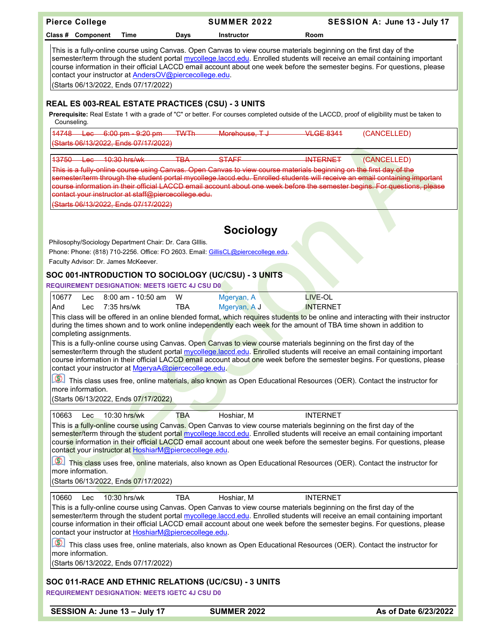| <b>Pierce College</b>                                                                           |                                                                                                                |             | <b>SUMMER 2022</b>                                                                                                                                            | SESSION A: June 13 - July 17                                                                                                                                                                                                                                                                                                                                                                                                                                                                                           |
|-------------------------------------------------------------------------------------------------|----------------------------------------------------------------------------------------------------------------|-------------|---------------------------------------------------------------------------------------------------------------------------------------------------------------|------------------------------------------------------------------------------------------------------------------------------------------------------------------------------------------------------------------------------------------------------------------------------------------------------------------------------------------------------------------------------------------------------------------------------------------------------------------------------------------------------------------------|
| Class # Component                                                                               | Time                                                                                                           | Days        | <b>Instructor</b>                                                                                                                                             | Room                                                                                                                                                                                                                                                                                                                                                                                                                                                                                                                   |
|                                                                                                 | contact your instructor at AndersOV@piercecollege.edu.<br>(Starts 06/13/2022, Ends 07/17/2022)                 |             |                                                                                                                                                               | This is a fully-online course using Canvas. Open Canvas to view course materials beginning on the first day of the<br>semester/term through the student portal mycollege.laccd.edu. Enrolled students will receive an email containing important<br>course information in their official LACCD email account about one week before the semester begins. For questions, please                                                                                                                                          |
| REAL ES 003-REAL ESTATE PRACTICES (CSU) - 3 UNITS                                               |                                                                                                                |             |                                                                                                                                                               |                                                                                                                                                                                                                                                                                                                                                                                                                                                                                                                        |
| Counseling.                                                                                     |                                                                                                                |             |                                                                                                                                                               | Prerequisite: Real Estate 1 with a grade of "C" or better. For courses completed outside of the LACCD, proof of eligibility must be taken to                                                                                                                                                                                                                                                                                                                                                                           |
| $14748 + 86$                                                                                    | $6:00$ pm $-9:20$ pm<br>(Starts 06/13/2022, Ends 07/17/2022)                                                   | <b>TWTh</b> | Morehouse, TJ                                                                                                                                                 | VI GF 8341<br>(CANCELLED)                                                                                                                                                                                                                                                                                                                                                                                                                                                                                              |
| 13750<br>$\frac{1}{10}$ ac $\frac{10:30}{10}$ hrs/wk                                            |                                                                                                                | <b>TBA</b>  | <b>STAFF</b>                                                                                                                                                  | <b>INTERNET</b><br>(CANCELLED)                                                                                                                                                                                                                                                                                                                                                                                                                                                                                         |
|                                                                                                 | contact your instructor at staff@piercecollege.edu.<br>(Starts 06/13/2022, Ends 07/17/2022)                    |             |                                                                                                                                                               | This is a fully online course using Canvas. Open Canvas to view course materials beginning on the first day of the<br>semester/term through the student portal mycollege.laccd.edu. Enrolled students will receive an email containing important<br>course information in their official LACCD email account about one week before the semester begins. For questions, please                                                                                                                                          |
|                                                                                                 |                                                                                                                |             |                                                                                                                                                               |                                                                                                                                                                                                                                                                                                                                                                                                                                                                                                                        |
| Philosophy/Sociology Department Chair: Dr. Cara Gillis.<br>Faculty Advisor: Dr. James McKeever. |                                                                                                                |             | <b>Sociology</b><br>Phone: Phone: (818) 710-2256. Office: FO 2603. Email: GillisCL@piercecollege.edu.<br>SOC 001-INTRODUCTION TO SOCIOLOGY (UC/CSU) - 3 UNITS |                                                                                                                                                                                                                                                                                                                                                                                                                                                                                                                        |
| <b>REQUIREMENT DESIGNATION: MEETS IGETC 4J CSU D0</b>                                           |                                                                                                                |             |                                                                                                                                                               |                                                                                                                                                                                                                                                                                                                                                                                                                                                                                                                        |
| 10677<br>Lec                                                                                    | 8:00 am - 10:50 am                                                                                             | W           | Mgeryan, A                                                                                                                                                    | <b>LIVE-OL</b>                                                                                                                                                                                                                                                                                                                                                                                                                                                                                                         |
| And<br>Lec<br>completing assignments.                                                           | $7:35$ hrs/wk                                                                                                  | TBA         | Mgeryan, A J                                                                                                                                                  | <b>INTERNET</b><br>This class will be offered in an online blended format, which requires students to be online and interacting with their instructor<br>during the times shown and to work online independently each week for the amount of TBA time shown in addition to                                                                                                                                                                                                                                             |
|                                                                                                 | contact your instructor at MgeryaA@piercecollege.edu.                                                          |             |                                                                                                                                                               | This is a fully-online course using Canvas. Open Canvas to view course materials beginning on the first day of the<br>semester/term through the student portal mycollege.laccd.edu. Enrolled students will receive an email containing important<br>course information in their official LACCD email account about one week before the semester begins. For questions, please                                                                                                                                          |
| more information.                                                                               | (Starts 06/13/2022, Ends 07/17/2022)                                                                           |             |                                                                                                                                                               | This class uses free, online materials, also known as Open Educational Resources (OER). Contact the instructor for                                                                                                                                                                                                                                                                                                                                                                                                     |
|                                                                                                 |                                                                                                                |             |                                                                                                                                                               |                                                                                                                                                                                                                                                                                                                                                                                                                                                                                                                        |
| 10663<br><b>Lec</b><br>more information.                                                        | 10:30 hrs/wk<br>contact your instructor at HoshiarM@piercecollege.edu.<br>(Starts 06/13/2022, Ends 07/17/2022) | <b>TBA</b>  | Hoshiar, M                                                                                                                                                    | <b>INTERNET</b><br>This is a fully-online course using Canvas. Open Canvas to view course materials beginning on the first day of the<br>semester/term through the student portal mycollege.laccd.edu. Enrolled students will receive an email containing important<br>course information in their official LACCD email account about one week before the semester begins. For questions, please<br>This class uses free, online materials, also known as Open Educational Resources (OER). Contact the instructor for |
| 10660<br>Lec                                                                                    | 10:30 hrs/wk                                                                                                   | <b>TBA</b>  | Hoshiar, M                                                                                                                                                    | <b>INTERNET</b>                                                                                                                                                                                                                                                                                                                                                                                                                                                                                                        |
|                                                                                                 | contact your instructor at HoshiarM@piercecollege.edu.                                                         |             |                                                                                                                                                               | This is a fully-online course using Canvas. Open Canvas to view course materials beginning on the first day of the<br>semester/term through the student portal mycollege.laccd.edu. Enrolled students will receive an email containing important<br>course information in their official LACCD email account about one week before the semester begins. For questions, please                                                                                                                                          |
| more information.                                                                               | (Starts 06/13/2022, Ends 07/17/2022)                                                                           |             |                                                                                                                                                               | This class uses free, online materials, also known as Open Educational Resources (OER). Contact the instructor for                                                                                                                                                                                                                                                                                                                                                                                                     |
|                                                                                                 |                                                                                                                |             |                                                                                                                                                               |                                                                                                                                                                                                                                                                                                                                                                                                                                                                                                                        |
| <b>REQUIREMENT DESIGNATION: MEETS IGETC 4J CSU D0</b>                                           |                                                                                                                |             | SOC 011-RACE AND ETHNIC RELATIONS (UC/CSU) - 3 UNITS                                                                                                          |                                                                                                                                                                                                                                                                                                                                                                                                                                                                                                                        |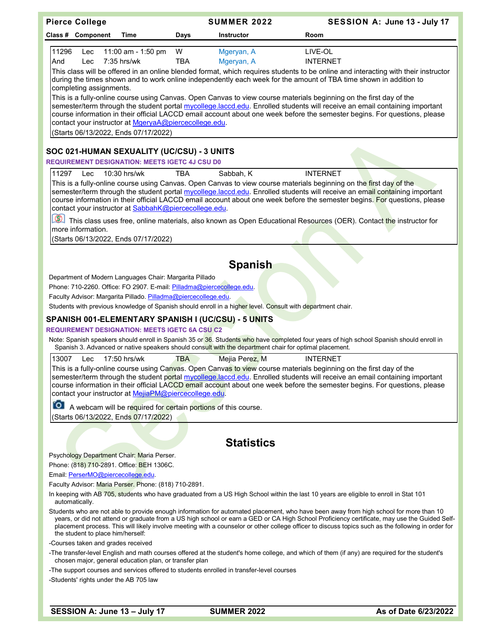| Class # Component<br>Time<br>Days<br><b>Instructor</b><br>Room<br>11296<br>11:00 am - 1:50 pm<br>W<br>Mgeryan, A<br>LIVE-OL<br>Lec<br>7:35 hrs/wk<br><b>INTERNET</b><br>And<br>TBA<br>Mgeryan, A<br>Lec<br>This class will be offered in an online blended format, which requires students to be online and interacting with their instructor<br>during the times shown and to work online independently each week for the amount of TBA time shown in addition to<br>completing assignments.<br>This is a fully-online course using Canvas. Open Canvas to view course materials beginning on the first day of the<br>semester/term through the student portal mycollege.laccd.edu. Enrolled students will receive an email containing important<br>course information in their official LACCD email account about one week before the semester begins. For questions, please<br>contact your instructor at MgeryaA@piercecollege.edu.<br>(Starts 06/13/2022, Ends 07/17/2022)<br>SOC 021-HUMAN SEXUALITY (UC/CSU) - 3 UNITS<br><b>REQUIREMENT DESIGNATION: MEETS IGETC 4J CSU D0</b><br><b>INTERNET</b><br>11297<br>Lec<br>10:30 hrs/wk<br><b>TBA</b><br>Sabbah, K<br>This is a fully-online course using Canvas. Open Canvas to view course materials beginning on the first day of the<br>semester/term through the student portal mycollege.laccd.edu. Enrolled students will receive an email containing important<br>course information in their official LACCD email account about one week before the semester begins. For questions, please<br>contact your instructor at SabbahK@piercecollege.edu.<br>$\circledR$<br>This class uses free, online materials, also known as Open Educational Resources (OER). Contact the instructor for<br>more information. |
|--------------------------------------------------------------------------------------------------------------------------------------------------------------------------------------------------------------------------------------------------------------------------------------------------------------------------------------------------------------------------------------------------------------------------------------------------------------------------------------------------------------------------------------------------------------------------------------------------------------------------------------------------------------------------------------------------------------------------------------------------------------------------------------------------------------------------------------------------------------------------------------------------------------------------------------------------------------------------------------------------------------------------------------------------------------------------------------------------------------------------------------------------------------------------------------------------------------------------------------------------------------------------------------------------------------------------------------------------------------------------------------------------------------------------------------------------------------------------------------------------------------------------------------------------------------------------------------------------------------------------------------------------------------------------------------------------------------------------------------------------------------------------|
|                                                                                                                                                                                                                                                                                                                                                                                                                                                                                                                                                                                                                                                                                                                                                                                                                                                                                                                                                                                                                                                                                                                                                                                                                                                                                                                                                                                                                                                                                                                                                                                                                                                                                                                                                                          |
|                                                                                                                                                                                                                                                                                                                                                                                                                                                                                                                                                                                                                                                                                                                                                                                                                                                                                                                                                                                                                                                                                                                                                                                                                                                                                                                                                                                                                                                                                                                                                                                                                                                                                                                                                                          |
|                                                                                                                                                                                                                                                                                                                                                                                                                                                                                                                                                                                                                                                                                                                                                                                                                                                                                                                                                                                                                                                                                                                                                                                                                                                                                                                                                                                                                                                                                                                                                                                                                                                                                                                                                                          |
|                                                                                                                                                                                                                                                                                                                                                                                                                                                                                                                                                                                                                                                                                                                                                                                                                                                                                                                                                                                                                                                                                                                                                                                                                                                                                                                                                                                                                                                                                                                                                                                                                                                                                                                                                                          |
|                                                                                                                                                                                                                                                                                                                                                                                                                                                                                                                                                                                                                                                                                                                                                                                                                                                                                                                                                                                                                                                                                                                                                                                                                                                                                                                                                                                                                                                                                                                                                                                                                                                                                                                                                                          |
|                                                                                                                                                                                                                                                                                                                                                                                                                                                                                                                                                                                                                                                                                                                                                                                                                                                                                                                                                                                                                                                                                                                                                                                                                                                                                                                                                                                                                                                                                                                                                                                                                                                                                                                                                                          |
|                                                                                                                                                                                                                                                                                                                                                                                                                                                                                                                                                                                                                                                                                                                                                                                                                                                                                                                                                                                                                                                                                                                                                                                                                                                                                                                                                                                                                                                                                                                                                                                                                                                                                                                                                                          |
|                                                                                                                                                                                                                                                                                                                                                                                                                                                                                                                                                                                                                                                                                                                                                                                                                                                                                                                                                                                                                                                                                                                                                                                                                                                                                                                                                                                                                                                                                                                                                                                                                                                                                                                                                                          |
| (Starts 06/13/2022, Ends 07/17/2022)                                                                                                                                                                                                                                                                                                                                                                                                                                                                                                                                                                                                                                                                                                                                                                                                                                                                                                                                                                                                                                                                                                                                                                                                                                                                                                                                                                                                                                                                                                                                                                                                                                                                                                                                     |
| <b>Spanish</b>                                                                                                                                                                                                                                                                                                                                                                                                                                                                                                                                                                                                                                                                                                                                                                                                                                                                                                                                                                                                                                                                                                                                                                                                                                                                                                                                                                                                                                                                                                                                                                                                                                                                                                                                                           |
| Department of Modern Languages Chair: Margarita Pillado                                                                                                                                                                                                                                                                                                                                                                                                                                                                                                                                                                                                                                                                                                                                                                                                                                                                                                                                                                                                                                                                                                                                                                                                                                                                                                                                                                                                                                                                                                                                                                                                                                                                                                                  |
| Phone: 710-2260. Office: FO 2907. E-mail: Pilladma@piercecollege.edu.                                                                                                                                                                                                                                                                                                                                                                                                                                                                                                                                                                                                                                                                                                                                                                                                                                                                                                                                                                                                                                                                                                                                                                                                                                                                                                                                                                                                                                                                                                                                                                                                                                                                                                    |
| Faculty Advisor: Margarita Pillado. Pilladma@piercecollege.edu.                                                                                                                                                                                                                                                                                                                                                                                                                                                                                                                                                                                                                                                                                                                                                                                                                                                                                                                                                                                                                                                                                                                                                                                                                                                                                                                                                                                                                                                                                                                                                                                                                                                                                                          |
| Students with previous knowledge of Spanish should enroll in a higher level. Consult with department chair.                                                                                                                                                                                                                                                                                                                                                                                                                                                                                                                                                                                                                                                                                                                                                                                                                                                                                                                                                                                                                                                                                                                                                                                                                                                                                                                                                                                                                                                                                                                                                                                                                                                              |
| SPANISH 001-ELEMENTARY SPANISH I (UC/CSU) - 5 UNITS                                                                                                                                                                                                                                                                                                                                                                                                                                                                                                                                                                                                                                                                                                                                                                                                                                                                                                                                                                                                                                                                                                                                                                                                                                                                                                                                                                                                                                                                                                                                                                                                                                                                                                                      |
| <b>REQUIREMENT DESIGNATION: MEETS IGETC 6A CSU C2</b>                                                                                                                                                                                                                                                                                                                                                                                                                                                                                                                                                                                                                                                                                                                                                                                                                                                                                                                                                                                                                                                                                                                                                                                                                                                                                                                                                                                                                                                                                                                                                                                                                                                                                                                    |
| Note: Spanish speakers should enroll in Spanish 35 or 36. Students who have completed four years of high school Spanish should enroll in<br>Spanish 3. Advanced or native speakers should consult with the department chair for optimal placement.                                                                                                                                                                                                                                                                                                                                                                                                                                                                                                                                                                                                                                                                                                                                                                                                                                                                                                                                                                                                                                                                                                                                                                                                                                                                                                                                                                                                                                                                                                                       |
| 13007<br>17:50 hrs/wk<br>Lec<br>TBA<br>Mejia Perez, M<br><b>INTERNET</b>                                                                                                                                                                                                                                                                                                                                                                                                                                                                                                                                                                                                                                                                                                                                                                                                                                                                                                                                                                                                                                                                                                                                                                                                                                                                                                                                                                                                                                                                                                                                                                                                                                                                                                 |
| This is a fully-online course using Canyas. Open Canvas to view course materials beginning on the first day of the<br>semester/term through the student portal mycollege.laccd.edu. Enrolled students will receive an email containing important<br>course information in their official LACCD email account about one week before the semester begins. For questions, please<br>contact your instructor at MejiaPM@piercecollege.edu.                                                                                                                                                                                                                                                                                                                                                                                                                                                                                                                                                                                                                                                                                                                                                                                                                                                                                                                                                                                                                                                                                                                                                                                                                                                                                                                                   |
| A webcam will be required for certain portions of this course.                                                                                                                                                                                                                                                                                                                                                                                                                                                                                                                                                                                                                                                                                                                                                                                                                                                                                                                                                                                                                                                                                                                                                                                                                                                                                                                                                                                                                                                                                                                                                                                                                                                                                                           |
| (Starts 06/13/2022, Ends 07/17/2022)                                                                                                                                                                                                                                                                                                                                                                                                                                                                                                                                                                                                                                                                                                                                                                                                                                                                                                                                                                                                                                                                                                                                                                                                                                                                                                                                                                                                                                                                                                                                                                                                                                                                                                                                     |
|                                                                                                                                                                                                                                                                                                                                                                                                                                                                                                                                                                                                                                                                                                                                                                                                                                                                                                                                                                                                                                                                                                                                                                                                                                                                                                                                                                                                                                                                                                                                                                                                                                                                                                                                                                          |
| <b>Statistics</b>                                                                                                                                                                                                                                                                                                                                                                                                                                                                                                                                                                                                                                                                                                                                                                                                                                                                                                                                                                                                                                                                                                                                                                                                                                                                                                                                                                                                                                                                                                                                                                                                                                                                                                                                                        |
| Psychology Department Chair: Maria Perser.                                                                                                                                                                                                                                                                                                                                                                                                                                                                                                                                                                                                                                                                                                                                                                                                                                                                                                                                                                                                                                                                                                                                                                                                                                                                                                                                                                                                                                                                                                                                                                                                                                                                                                                               |
| Phone: (818) 710-2891. Office: BEH 1306C.<br>Email: PerserMO@piercecollege.edu.                                                                                                                                                                                                                                                                                                                                                                                                                                                                                                                                                                                                                                                                                                                                                                                                                                                                                                                                                                                                                                                                                                                                                                                                                                                                                                                                                                                                                                                                                                                                                                                                                                                                                          |
| Faculty Advisor: Maria Perser. Phone: (818) 710-2891.                                                                                                                                                                                                                                                                                                                                                                                                                                                                                                                                                                                                                                                                                                                                                                                                                                                                                                                                                                                                                                                                                                                                                                                                                                                                                                                                                                                                                                                                                                                                                                                                                                                                                                                    |
| In keeping with AB 705, students who have graduated from a US High School within the last 10 years are eligible to enroll in Stat 101<br>automatically.                                                                                                                                                                                                                                                                                                                                                                                                                                                                                                                                                                                                                                                                                                                                                                                                                                                                                                                                                                                                                                                                                                                                                                                                                                                                                                                                                                                                                                                                                                                                                                                                                  |
| Students who are not able to provide enough information for automated placement, who have been away from high school for more than 10<br>years, or did not attend or graduate from a US high school or earn a GED or CA High School Proficiency certificate, may use the Guided Self-<br>placement process. This will likely involve meeting with a counselor or other college officer to discuss topics such as the following in order for<br>the student to place him/herself:                                                                                                                                                                                                                                                                                                                                                                                                                                                                                                                                                                                                                                                                                                                                                                                                                                                                                                                                                                                                                                                                                                                                                                                                                                                                                         |
| -Courses taken and grades received                                                                                                                                                                                                                                                                                                                                                                                                                                                                                                                                                                                                                                                                                                                                                                                                                                                                                                                                                                                                                                                                                                                                                                                                                                                                                                                                                                                                                                                                                                                                                                                                                                                                                                                                       |
| -The transfer-level English and math courses offered at the student's home college, and which of them (if any) are required for the student's<br>chosen major, general education plan, or transfer plan                                                                                                                                                                                                                                                                                                                                                                                                                                                                                                                                                                                                                                                                                                                                                                                                                                                                                                                                                                                                                                                                                                                                                                                                                                                                                                                                                                                                                                                                                                                                                                  |
| -The support courses and services offered to students enrolled in transfer-level courses<br>-Students' rights under the AB 705 law                                                                                                                                                                                                                                                                                                                                                                                                                                                                                                                                                                                                                                                                                                                                                                                                                                                                                                                                                                                                                                                                                                                                                                                                                                                                                                                                                                                                                                                                                                                                                                                                                                       |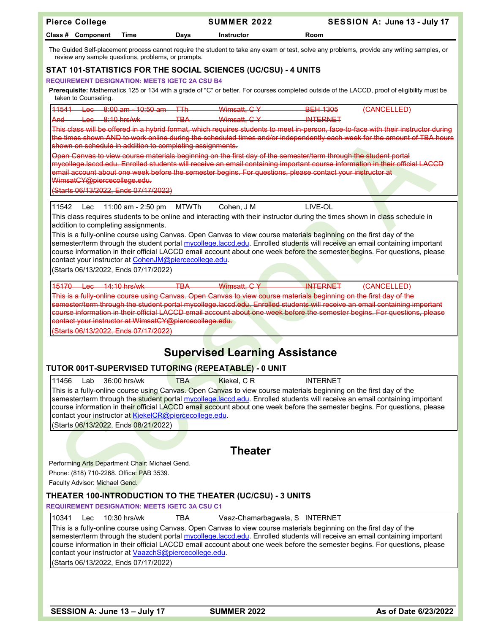| <b>Pierce College</b>                                                                                                                                                                                                                                | SUMMER 2022                                        | SESSION A: June 13 - July 17                                                                                                                                                                                                                                               |
|------------------------------------------------------------------------------------------------------------------------------------------------------------------------------------------------------------------------------------------------------|----------------------------------------------------|----------------------------------------------------------------------------------------------------------------------------------------------------------------------------------------------------------------------------------------------------------------------------|
| Class # Component<br>Time                                                                                                                                                                                                                            | Days<br><b>Instructor</b>                          | Room                                                                                                                                                                                                                                                                       |
| review any sample questions, problems, or prompts.                                                                                                                                                                                                   |                                                    | The Guided Self-placement process cannot require the student to take any exam or test, solve any problems, provide any writing samples, or                                                                                                                                 |
| STAT 101-STATISTICS FOR THE SOCIAL SCIENCES (UC/CSU) - 4 UNITS                                                                                                                                                                                       |                                                    |                                                                                                                                                                                                                                                                            |
| <b>REQUIREMENT DESIGNATION: MEETS IGETC 2A CSU B4</b>                                                                                                                                                                                                |                                                    | Prerequisite: Mathematics 125 or 134 with a grade of "C" or better. For courses completed outside of the LACCD, proof of eligibility must be                                                                                                                               |
| taken to Counseling.                                                                                                                                                                                                                                 |                                                    |                                                                                                                                                                                                                                                                            |
| 44544<br>Lec 8:00 am - 10:50 am - TTh<br>$A = 8.10$ hrs/wk<br>And                                                                                                                                                                                    | $W$ imsatt, $CY$<br><b>TBA</b><br>$W$ imsatt, $GY$ | <b>BEH 1305</b><br>(CANCELLED)<br><b>INTERNET</b>                                                                                                                                                                                                                          |
| shown on schedule in addition to completing assignments.                                                                                                                                                                                             |                                                    | This class will be offered in a hybrid format, which requires students to meet in-person, face-to-face with their instructor during<br>the times shown AND to work online during the scheduled times and/or independently each week for the amount of TBA hours            |
| Open Canvas to view course materials beginning on the first day of the semester/term through the student portal                                                                                                                                      |                                                    | mycollege laccd edu. Enrolled students will receive an email containing important course information in their official LACCD                                                                                                                                               |
| email account about one week before the semester begins. For questions, please contact your instructor at<br>WimsatCY@piercecollege.edu.                                                                                                             |                                                    |                                                                                                                                                                                                                                                                            |
| (Starts 06/13/2022, Ends 07/17/2022)                                                                                                                                                                                                                 |                                                    |                                                                                                                                                                                                                                                                            |
| 11542<br>11:00 am - 2:50 pm<br>Lec                                                                                                                                                                                                                   | <b>MTWTh</b><br>Cohen, J M                         | LIVE-OL                                                                                                                                                                                                                                                                    |
| addition to completing assignments.                                                                                                                                                                                                                  |                                                    | This class requires students to be online and interacting with their instructor during the times shown in class schedule in                                                                                                                                                |
| This is a fully-online course using Canvas. Open Canvas to view course materials beginning on the first day of the                                                                                                                                   |                                                    |                                                                                                                                                                                                                                                                            |
|                                                                                                                                                                                                                                                      |                                                    | semester/term through the student portal mycollege.laccd.edu. Enrolled students will receive an email containing important<br>course information in their official LACCD email account about one week before the semester begins. For questions, please                    |
| contact your instructor at CohenJM@piercecollege.edu.                                                                                                                                                                                                |                                                    |                                                                                                                                                                                                                                                                            |
| (Starts 06/13/2022, Ends 07/17/2022)                                                                                                                                                                                                                 |                                                    |                                                                                                                                                                                                                                                                            |
| 15170 es 14:10 hrs/wk                                                                                                                                                                                                                                | <b>TBA</b><br>Wimsatt, CY                          | <b>INTERNET</b><br>(CANCELLED)                                                                                                                                                                                                                                             |
| This is a fully-online course using Canvas. Open Canvas to view course materials beginning on the first day of the                                                                                                                                   |                                                    | semester/term through the student portal mycollege.laccd.edu. Enrolled students will receive an email containing important                                                                                                                                                 |
| contact your instructor at WimsatCY@piercecollege.edu.                                                                                                                                                                                               |                                                    | course information in their official LACCD email account about one week before the semester begins. For questions, please                                                                                                                                                  |
| (Starts 06/13/2022, Ends 07/17/2022)                                                                                                                                                                                                                 |                                                    |                                                                                                                                                                                                                                                                            |
|                                                                                                                                                                                                                                                      | <b>Supervised Learning Assistance</b>              |                                                                                                                                                                                                                                                                            |
| TUTOR 001T-SUPERVISED TUTORING (REPEATABLE) - 0 UNIT                                                                                                                                                                                                 |                                                    |                                                                                                                                                                                                                                                                            |
| 11456<br>Lab<br>36:00 hrs/wk<br>This is a fully-online course using Canvas. Open Canvas to view course materials beginning on the first day of the<br>contact your instructor at KiekelCR@piercecollege.edu.<br>(Starts 06/13/2022, Ends 08/21/2022) | Kiekel, CR<br>TBA                                  | <b>INTERNET</b><br>semester/term through the student portal mycollege.laccd.edu. Enrolled students will receive an email containing important<br>course information in their official LACCD email account about one week before the semester begins. For questions, please |
|                                                                                                                                                                                                                                                      |                                                    |                                                                                                                                                                                                                                                                            |
|                                                                                                                                                                                                                                                      | <b>Theater</b>                                     |                                                                                                                                                                                                                                                                            |
| Performing Arts Department Chair: Michael Gend.                                                                                                                                                                                                      |                                                    |                                                                                                                                                                                                                                                                            |
| Phone: (818) 710-2268. Office: PAB 3539.<br>Faculty Advisor: Michael Gend.                                                                                                                                                                           |                                                    |                                                                                                                                                                                                                                                                            |
| THEATER 100-INTRODUCTION TO THE THEATER (UC/CSU) - 3 UNITS                                                                                                                                                                                           |                                                    |                                                                                                                                                                                                                                                                            |
| <b>REQUIREMENT DESIGNATION: MEETS IGETC 3A CSU C1</b>                                                                                                                                                                                                |                                                    |                                                                                                                                                                                                                                                                            |
| 10341<br>10:30 hrs/wk<br>Lec                                                                                                                                                                                                                         | Vaaz-Chamarbagwala, S INTERNET<br>TBA              |                                                                                                                                                                                                                                                                            |
| This is a fully-online course using Canvas. Open Canvas to view course materials beginning on the first day of the<br>contact your instructor at VaazchS@piercecollege.edu.                                                                          |                                                    | semester/term through the student portal mycollege.laccd.edu. Enrolled students will receive an email containing important<br>course information in their official LACCD email account about one week before the semester begins. For questions, please                    |
| (Starts 06/13/2022, Ends 07/17/2022)                                                                                                                                                                                                                 |                                                    |                                                                                                                                                                                                                                                                            |
|                                                                                                                                                                                                                                                      |                                                    |                                                                                                                                                                                                                                                                            |
| SESSION A: June 13 - July 17                                                                                                                                                                                                                         | <b>SUMMER 2022</b>                                 | As of Date 6/23/2022                                                                                                                                                                                                                                                       |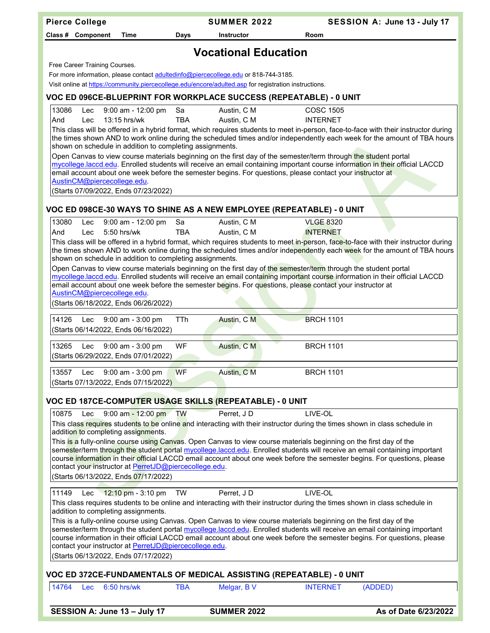| <b>Pierce College</b> |     |                                                                                                |                  | <b>SUMMER 2022</b>                                                                                                                                                                           |                                                                                                                                                                                                                                                                                                                                                              | SESSION A: June 13 - July 17 |
|-----------------------|-----|------------------------------------------------------------------------------------------------|------------------|----------------------------------------------------------------------------------------------------------------------------------------------------------------------------------------------|--------------------------------------------------------------------------------------------------------------------------------------------------------------------------------------------------------------------------------------------------------------------------------------------------------------------------------------------------------------|------------------------------|
| Class # Component     |     | Time                                                                                           | Days             | <b>Instructor</b>                                                                                                                                                                            | Room                                                                                                                                                                                                                                                                                                                                                         |                              |
|                       |     |                                                                                                |                  |                                                                                                                                                                                              |                                                                                                                                                                                                                                                                                                                                                              |                              |
|                       |     |                                                                                                |                  | <b>Vocational Education</b>                                                                                                                                                                  |                                                                                                                                                                                                                                                                                                                                                              |                              |
|                       |     | Free Career Training Courses.                                                                  |                  |                                                                                                                                                                                              |                                                                                                                                                                                                                                                                                                                                                              |                              |
|                       |     |                                                                                                |                  | For more information, please contact adultedinfo@piercecollege.edu or 818-744-3185.<br>Visit online at https://community.piercecollege.edu/encore/adulted.asp for registration instructions. |                                                                                                                                                                                                                                                                                                                                                              |                              |
|                       |     |                                                                                                |                  | VOC ED 096CE-BLUEPRINT FOR WORKPLACE SUCCESS (REPEATABLE) - 0 UNIT                                                                                                                           |                                                                                                                                                                                                                                                                                                                                                              |                              |
| 13086                 | Lec | 9:00 am - 12:00 pm                                                                             | Sa               | Austin, C M                                                                                                                                                                                  | <b>COSC 1505</b>                                                                                                                                                                                                                                                                                                                                             |                              |
| And                   | Lec | 13:15 hrs/wk                                                                                   | <b>TBA</b>       | Austin, C M                                                                                                                                                                                  | <b>INTERNET</b>                                                                                                                                                                                                                                                                                                                                              |                              |
|                       |     | shown on schedule in addition to completing assignments.                                       |                  |                                                                                                                                                                                              | This class will be offered in a hybrid format, which requires students to meet in-person, face-to-face with their instructor during<br>the times shown AND to work online during the scheduled times and/or independently each week for the amount of TBA hours                                                                                              |                              |
|                       |     | AustinCM@piercecollege.edu.                                                                    |                  |                                                                                                                                                                                              | Open Canvas to view course materials beginning on the first day of the semester/term through the student portal<br>mycollege.laccd.edu. Enrolled students will receive an email containing important course information in their official LACCD<br>email account about one week before the semester begins. For questions, please contact your instructor at |                              |
|                       |     | (Starts 07/09/2022, Ends 07/23/2022)                                                           |                  |                                                                                                                                                                                              |                                                                                                                                                                                                                                                                                                                                                              |                              |
|                       |     |                                                                                                |                  |                                                                                                                                                                                              |                                                                                                                                                                                                                                                                                                                                                              |                              |
|                       |     |                                                                                                |                  |                                                                                                                                                                                              | VOC ED 098CE-30 WAYS TO SHINE AS A NEW EMPLOYEE (REPEATABLE) - 0 UNIT                                                                                                                                                                                                                                                                                        |                              |
| 13080                 | Lec | 9:00 am - 12:00 pm                                                                             | Sa<br><b>TBA</b> | Austin, C M                                                                                                                                                                                  | <b>VLGE 8320</b>                                                                                                                                                                                                                                                                                                                                             |                              |
| And                   | Lec | $5:50$ hrs/wk                                                                                  |                  | Austin, C M                                                                                                                                                                                  | <b>INTERNET</b><br>This class will be offered in a hybrid format, which requires students to meet in-person, face-to-face with their instructor during                                                                                                                                                                                                       |                              |
|                       |     |                                                                                                |                  |                                                                                                                                                                                              | the times shown AND to work online during the scheduled times and/or independently each week for the amount of TBA hours                                                                                                                                                                                                                                     |                              |
|                       |     | shown on schedule in addition to completing assignments.                                       |                  |                                                                                                                                                                                              | Open Canvas to view course materials beginning on the first day of the semester/term through the student portal                                                                                                                                                                                                                                              |                              |
|                       |     |                                                                                                |                  |                                                                                                                                                                                              | mycollege.laccd.edu. Enrolled students will receive an email containing important course information in their official LACCD                                                                                                                                                                                                                                 |                              |
|                       |     | AustinCM@piercecollege.edu.                                                                    |                  |                                                                                                                                                                                              | email account about one week before the semester begins. For questions, please contact your instructor at                                                                                                                                                                                                                                                    |                              |
|                       |     | (Starts 06/18/2022, Ends 06/26/2022)                                                           |                  |                                                                                                                                                                                              |                                                                                                                                                                                                                                                                                                                                                              |                              |
|                       |     |                                                                                                |                  |                                                                                                                                                                                              |                                                                                                                                                                                                                                                                                                                                                              |                              |
| 14126                 |     | Lec 9:00 am - 3:00 pm<br>(Starts 06/14/2022, Ends 06/16/2022)                                  | <b>TTh</b>       | Austin, C M                                                                                                                                                                                  | <b>BRCH 1101</b>                                                                                                                                                                                                                                                                                                                                             |                              |
|                       |     |                                                                                                |                  |                                                                                                                                                                                              |                                                                                                                                                                                                                                                                                                                                                              |                              |
| 13265                 | Lec | 9:00 am - 3:00 pm<br>(Starts 06/29/2022, Ends 07/01/2022)                                      | WF               | Austin, C M                                                                                                                                                                                  | <b>BRCH 1101</b>                                                                                                                                                                                                                                                                                                                                             |                              |
|                       |     |                                                                                                |                  |                                                                                                                                                                                              |                                                                                                                                                                                                                                                                                                                                                              |                              |
| 13557                 |     | Lec 9:00 am - 3:00 pm                                                                          | <b>WF</b>        | Austin, C M                                                                                                                                                                                  | <b>BRCH 1101</b>                                                                                                                                                                                                                                                                                                                                             |                              |
|                       |     | (Starts 07/13/2022, Ends 07/15/2022)                                                           |                  |                                                                                                                                                                                              |                                                                                                                                                                                                                                                                                                                                                              |                              |
|                       |     |                                                                                                |                  | VOC ED 187CE-COMPUTER USAGE SKILLS (REPEATABLE) - 0 UNIT                                                                                                                                     |                                                                                                                                                                                                                                                                                                                                                              |                              |
| 10875                 | Lec | 9:00 am - 12:00 pm TW                                                                          |                  | Perret, JD                                                                                                                                                                                   | LIVE-OL                                                                                                                                                                                                                                                                                                                                                      |                              |
|                       |     |                                                                                                |                  |                                                                                                                                                                                              | This class requires students to be online and interacting with their instructor during the times shown in class schedule in                                                                                                                                                                                                                                  |                              |
|                       |     | addition to completing assignments.                                                            |                  |                                                                                                                                                                                              | This <mark>is a</mark> fully-online course using Canvas. Open Canvas to view course materials beginning on the first day of the                                                                                                                                                                                                                              |                              |
|                       |     |                                                                                                |                  |                                                                                                                                                                                              | semester/term through the student portal mycollege.laccd.edu. Enrolled students will receive an email containing important                                                                                                                                                                                                                                   |                              |
|                       |     | contact your instructor at PerretJD@piercecollege.edu.                                         |                  |                                                                                                                                                                                              | course information in their official LACCD email account about one week before the semester begins. For questions, please                                                                                                                                                                                                                                    |                              |
|                       |     | (Starts 06/13/2022, Ends 07/17/2022)                                                           |                  |                                                                                                                                                                                              |                                                                                                                                                                                                                                                                                                                                                              |                              |
| 11149                 | Lec | 12:10 pm - 3:10 pm                                                                             | TW               | Perret, JD                                                                                                                                                                                   | LIVE-OL                                                                                                                                                                                                                                                                                                                                                      |                              |
|                       |     |                                                                                                |                  |                                                                                                                                                                                              | This class requires students to be online and interacting with their instructor during the times shown in class schedule in                                                                                                                                                                                                                                  |                              |
|                       |     | addition to completing assignments.                                                            |                  |                                                                                                                                                                                              |                                                                                                                                                                                                                                                                                                                                                              |                              |
|                       |     |                                                                                                |                  |                                                                                                                                                                                              | This is a fully-online course using Canvas. Open Canvas to view course materials beginning on the first day of the<br>semester/term through the student portal mycollege.laccd.edu. Enrolled students will receive an email containing important                                                                                                             |                              |
|                       |     |                                                                                                |                  |                                                                                                                                                                                              | course information in their official LACCD email account about one week before the semester begins. For questions, please                                                                                                                                                                                                                                    |                              |
|                       |     | contact your instructor at PerretJD@piercecollege.edu.<br>(Starts 06/13/2022, Ends 07/17/2022) |                  |                                                                                                                                                                                              |                                                                                                                                                                                                                                                                                                                                                              |                              |
|                       |     |                                                                                                |                  |                                                                                                                                                                                              |                                                                                                                                                                                                                                                                                                                                                              |                              |
|                       |     |                                                                                                |                  |                                                                                                                                                                                              | VOC ED 372CE-FUNDAMENTALS OF MEDICAL ASSISTING (REPEATABLE) - 0 UNIT                                                                                                                                                                                                                                                                                         |                              |
| 14764                 |     | Lec 6:50 hrs/wk                                                                                | <b>TBA</b>       | Melgar, BV                                                                                                                                                                                   | <b>INTERNET</b><br>(ADDED)                                                                                                                                                                                                                                                                                                                                   |                              |
|                       |     | SESSION A: June 13 - July 17                                                                   |                  | <b>SUMMER 2022</b>                                                                                                                                                                           |                                                                                                                                                                                                                                                                                                                                                              | As of Date 6/23/2022         |
|                       |     |                                                                                                |                  |                                                                                                                                                                                              |                                                                                                                                                                                                                                                                                                                                                              |                              |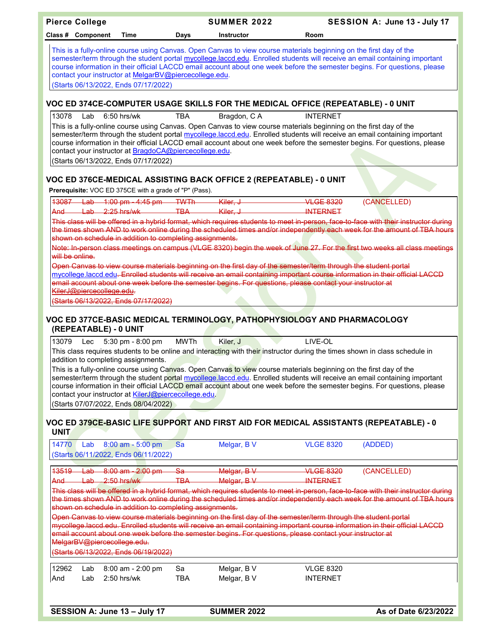|                                                                                                                                                                                                                                                                                                                                                                                                                                                                                 | <b>Pierce College</b>                                                                                                                                                                                                                                                                                                                                                                                                                                                                                                                                                                                                                                                                                                          |                                                                                                                                           |                         | <b>SUMMER 2022</b>         |                                                                                                                                                                                                                              |                                     | SESSION A: June 13 - July 17                                                                                                                                                                                                                                                                                                                                                                    |  |  |
|---------------------------------------------------------------------------------------------------------------------------------------------------------------------------------------------------------------------------------------------------------------------------------------------------------------------------------------------------------------------------------------------------------------------------------------------------------------------------------|--------------------------------------------------------------------------------------------------------------------------------------------------------------------------------------------------------------------------------------------------------------------------------------------------------------------------------------------------------------------------------------------------------------------------------------------------------------------------------------------------------------------------------------------------------------------------------------------------------------------------------------------------------------------------------------------------------------------------------|-------------------------------------------------------------------------------------------------------------------------------------------|-------------------------|----------------------------|------------------------------------------------------------------------------------------------------------------------------------------------------------------------------------------------------------------------------|-------------------------------------|-------------------------------------------------------------------------------------------------------------------------------------------------------------------------------------------------------------------------------------------------------------------------------------------------------------------------------------------------------------------------------------------------|--|--|
|                                                                                                                                                                                                                                                                                                                                                                                                                                                                                 | Class # Component                                                                                                                                                                                                                                                                                                                                                                                                                                                                                                                                                                                                                                                                                                              | Time                                                                                                                                      | <b>Days</b>             | <b>Instructor</b>          |                                                                                                                                                                                                                              | Room                                |                                                                                                                                                                                                                                                                                                                                                                                                 |  |  |
| This is a fully-online course using Canvas. Open Canvas to view course materials beginning on the first day of the<br>semester/term through the student portal mycollege.laccd.edu. Enrolled students will receive an email containing important<br>course information in their official LACCD email account about one week before the semester begins. For questions, please<br>contact your instructor at MelgarBV@piercecollege.edu.<br>(Starts 06/13/2022, Ends 07/17/2022) |                                                                                                                                                                                                                                                                                                                                                                                                                                                                                                                                                                                                                                                                                                                                |                                                                                                                                           |                         |                            |                                                                                                                                                                                                                              |                                     |                                                                                                                                                                                                                                                                                                                                                                                                 |  |  |
|                                                                                                                                                                                                                                                                                                                                                                                                                                                                                 |                                                                                                                                                                                                                                                                                                                                                                                                                                                                                                                                                                                                                                                                                                                                |                                                                                                                                           |                         |                            | VOC ED 374CE-COMPUTER USAGE SKILLS FOR THE MEDICAL OFFICE (REPEATABLE) - 0 UNIT                                                                                                                                              |                                     |                                                                                                                                                                                                                                                                                                                                                                                                 |  |  |
| 13078                                                                                                                                                                                                                                                                                                                                                                                                                                                                           | Lab                                                                                                                                                                                                                                                                                                                                                                                                                                                                                                                                                                                                                                                                                                                            | $6:50$ hrs/wk<br>contact your instructor at BragdoCA@piercecollege.edu.<br>(Starts 06/13/2022, Ends 07/17/2022)                           | <b>TBA</b>              | Bragdon, CA                | This is a fully-online course using Canvas. Open Canvas to view course materials beginning on the first day of the                                                                                                           | <b>INTERNET</b>                     | semester/term through the student portal mycollege.laccd.edu. Enrolled students will receive an email containing important<br>course information in their official LACCD email account about one week before the semester begins. For questions, please                                                                                                                                         |  |  |
|                                                                                                                                                                                                                                                                                                                                                                                                                                                                                 |                                                                                                                                                                                                                                                                                                                                                                                                                                                                                                                                                                                                                                                                                                                                |                                                                                                                                           |                         |                            | VOC ED 376CE-MEDICAL ASSISTING BACK OFFICE 2 (REPEATABLE) - 0 UNIT                                                                                                                                                           |                                     |                                                                                                                                                                                                                                                                                                                                                                                                 |  |  |
| 13087                                                                                                                                                                                                                                                                                                                                                                                                                                                                           |                                                                                                                                                                                                                                                                                                                                                                                                                                                                                                                                                                                                                                                                                                                                | Prerequisite: VOC ED 375CE with a grade of "P" (Pass).<br>$\frac{\text{Lab}}{\text{Lab}}$ 1:00 pm - 4:45 pm $\frac{\text{TW}}{\text{Th}}$ |                         | Kiler. J                   |                                                                                                                                                                                                                              | <b>VLGE 8320</b>                    | (CANCELLED)                                                                                                                                                                                                                                                                                                                                                                                     |  |  |
| And                                                                                                                                                                                                                                                                                                                                                                                                                                                                             | $\frac{\text{Lab}}{\text{2:25}}$ hrs/wk                                                                                                                                                                                                                                                                                                                                                                                                                                                                                                                                                                                                                                                                                        |                                                                                                                                           | $\overline{\text{TBA}}$ | Kiler, J                   |                                                                                                                                                                                                                              | <b>INTERNET</b>                     | This class will be offered in a hybrid format, which requires students to meet in-person, face-to-face with their instructor during                                                                                                                                                                                                                                                             |  |  |
|                                                                                                                                                                                                                                                                                                                                                                                                                                                                                 | will be online.                                                                                                                                                                                                                                                                                                                                                                                                                                                                                                                                                                                                                                                                                                                | shown on schedule in addition to completing assignments.                                                                                  |                         |                            | Open Canvas to view course materials beginning on the first day of the semester/term through the student portal                                                                                                              |                                     | the times shown AND to work online during the scheduled times and/or independently each week for the amount of TBA hours<br>Note: In-person class meetings on campus (VLGE 8320) begin the week of June 27. For the first two weeks all class meetings                                                                                                                                          |  |  |
|                                                                                                                                                                                                                                                                                                                                                                                                                                                                                 | KilerJ@piercecollege.edu.                                                                                                                                                                                                                                                                                                                                                                                                                                                                                                                                                                                                                                                                                                      | (Starts 06/13/2022, Ends 07/17/2022)                                                                                                      |                         |                            | email account about one week before the semester begins. For questions, please contact your instructor at                                                                                                                    |                                     | mycollege.laccd.edu <del>. Enrolled students will receive an email containing important course information in their official LACCD</del>                                                                                                                                                                                                                                                        |  |  |
|                                                                                                                                                                                                                                                                                                                                                                                                                                                                                 | (REPEATABLE) - 0 UNIT                                                                                                                                                                                                                                                                                                                                                                                                                                                                                                                                                                                                                                                                                                          |                                                                                                                                           |                         |                            | VOC ED 377CE-BASIC MEDICAL TERMINOLOGY, PATHOPHYSIOLOGY AND PHARMACOLOGY                                                                                                                                                     |                                     |                                                                                                                                                                                                                                                                                                                                                                                                 |  |  |
|                                                                                                                                                                                                                                                                                                                                                                                                                                                                                 | <b>MWTh</b><br>LIVE-OL<br>13079<br>Kiler, J<br>5:30 pm - 8:00 pm<br>Lec<br>This class requires students to be online and interacting with their instructor during the times shown in class schedule in<br>addition to completing assignments.<br>This is a fully-online course using Canyas. Open Canvas to view course materials beginning on the first day of the<br>semester/term through the student portal mycollege.laccd.edu. Enrolled students will receive an email containing important<br>course information in their official LACCD email account about one week before the semester begins. For questions, please<br>contact your instructor at KilerJ@piercecollege.edu.<br>(Starts 07/07/2022, Ends 08/04/2022) |                                                                                                                                           |                         |                            |                                                                                                                                                                                                                              |                                     |                                                                                                                                                                                                                                                                                                                                                                                                 |  |  |
| <b>UNIT</b>                                                                                                                                                                                                                                                                                                                                                                                                                                                                     |                                                                                                                                                                                                                                                                                                                                                                                                                                                                                                                                                                                                                                                                                                                                |                                                                                                                                           |                         |                            |                                                                                                                                                                                                                              |                                     | <b>VOC ED 379CE-BASIC LIFE SUPPORT AND FIRST AID FOR MEDICAL ASSISTANTS (REPEATABLE) - 0</b>                                                                                                                                                                                                                                                                                                    |  |  |
| 14770                                                                                                                                                                                                                                                                                                                                                                                                                                                                           | Lab                                                                                                                                                                                                                                                                                                                                                                                                                                                                                                                                                                                                                                                                                                                            | 8:00 am - 5:00 pm<br>(Starts 06/11/2022, Ends 06/11/2022)                                                                                 | Sa                      | Melgar, B V                |                                                                                                                                                                                                                              | <b>VLGE 8320</b>                    | (ADDED)                                                                                                                                                                                                                                                                                                                                                                                         |  |  |
| 13519<br><b>And</b>                                                                                                                                                                                                                                                                                                                                                                                                                                                             | <del>Lab</del><br>حطهل                                                                                                                                                                                                                                                                                                                                                                                                                                                                                                                                                                                                                                                                                                         | 8:00 am - 2:00 pm<br>$-2:50$ hrs/wk                                                                                                       | -Sa<br><b>TBA</b>       | Melgar, BV<br>Melgar, BV   |                                                                                                                                                                                                                              | <b>VLGE 8320</b><br><b>INTERNET</b> | (CANCELLED)                                                                                                                                                                                                                                                                                                                                                                                     |  |  |
|                                                                                                                                                                                                                                                                                                                                                                                                                                                                                 | MelgarBV@piercecollege.edu.                                                                                                                                                                                                                                                                                                                                                                                                                                                                                                                                                                                                                                                                                                    | shown on schedule in addition to completing assignments.<br>(Starts 06/13/2022, Ends 06/19/2022)                                          |                         |                            | Open Canvas to view course materials beginning on the first day of the semester/term through the student portal<br>email account about one week before the semester begins. For questions, please contact your instructor at |                                     | This class will be offered in a hybrid format, which requires students to meet in-person, face-to-face with their instructor during<br>the times shown AND to work online during the scheduled times and/or independently each week for the amount of TBA hours<br>mycollege.laccd.edu. Enrolled students will receive an email containing important course information in their official LACCD |  |  |
| 12962<br>And                                                                                                                                                                                                                                                                                                                                                                                                                                                                    | Lab<br>Lab                                                                                                                                                                                                                                                                                                                                                                                                                                                                                                                                                                                                                                                                                                                     | 8:00 am - 2:00 pm<br>2:50 hrs/wk                                                                                                          | Sa<br><b>TBA</b>        | Melgar, B V<br>Melgar, B V |                                                                                                                                                                                                                              | <b>VLGE 8320</b><br><b>INTERNET</b> |                                                                                                                                                                                                                                                                                                                                                                                                 |  |  |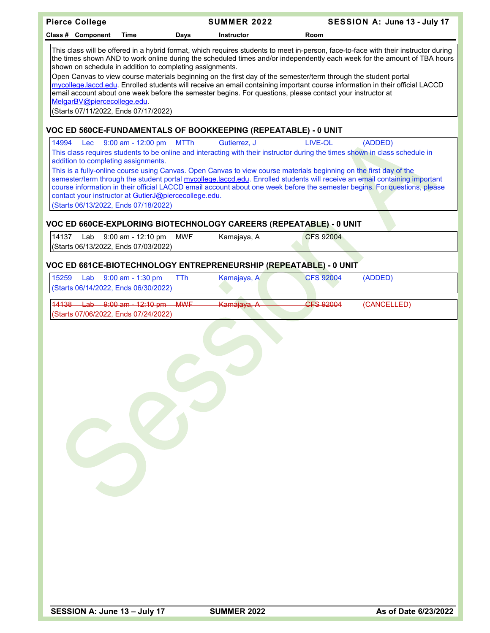| <b>Pierce College</b>                                                                                                                                                                                                                                                                                                                                                                                                                                                                                                                                                                                                                                                                                                                                              |                                                       |                                  | <b>SUMMER 2022</b>                                                                                                                                                                                                                                                                                                                                                                                                                                                                                                           |                  |         | SESSION A: June 13 - July 17 |  |  |  |
|--------------------------------------------------------------------------------------------------------------------------------------------------------------------------------------------------------------------------------------------------------------------------------------------------------------------------------------------------------------------------------------------------------------------------------------------------------------------------------------------------------------------------------------------------------------------------------------------------------------------------------------------------------------------------------------------------------------------------------------------------------------------|-------------------------------------------------------|----------------------------------|------------------------------------------------------------------------------------------------------------------------------------------------------------------------------------------------------------------------------------------------------------------------------------------------------------------------------------------------------------------------------------------------------------------------------------------------------------------------------------------------------------------------------|------------------|---------|------------------------------|--|--|--|
| Class # Component                                                                                                                                                                                                                                                                                                                                                                                                                                                                                                                                                                                                                                                                                                                                                  | Time                                                  | <b>Days</b><br><b>Instructor</b> |                                                                                                                                                                                                                                                                                                                                                                                                                                                                                                                              | Room             |         |                              |  |  |  |
| This class will be offered in a hybrid format, which requires students to meet in-person, face-to-face with their instructor during<br>the times shown AND to work online during the scheduled times and/or independently each week for the amount of TBA hours<br>shown on schedule in addition to completing assignments.<br>Open Canvas to view course materials beginning on the first day of the semester/term through the student portal<br>mycollege.laccd.edu. Enrolled students will receive an email containing important course information in their official LACCD<br>email account about one week before the semester begins. For questions, please contact your instructor at<br>MelgarBV@piercecollege.edu.<br>(Starts 07/11/2022, Ends 07/17/2022) |                                                       |                                  |                                                                                                                                                                                                                                                                                                                                                                                                                                                                                                                              |                  |         |                              |  |  |  |
|                                                                                                                                                                                                                                                                                                                                                                                                                                                                                                                                                                                                                                                                                                                                                                    |                                                       |                                  | VOC ED 560CE-FUNDAMENTALS OF BOOKKEEPING (REPEATABLE) - 0 UNIT                                                                                                                                                                                                                                                                                                                                                                                                                                                               |                  |         |                              |  |  |  |
| 14994<br>Lec<br>addition to completing assignments.                                                                                                                                                                                                                                                                                                                                                                                                                                                                                                                                                                                                                                                                                                                | $9:00$ am - 12:00 pm                                  | <b>MTTh</b>                      | Gutierrez, J<br>This class requires students to be online and interacting with their instructor during the times shown in class schedule in<br>This is a fully-online course using Canvas. Open Canvas to view course materials beginning on the first day of the<br>semester/term through the student portal mycollege.laccd.edu. Enrolled students will receive an email containing important<br>course information in their official LACCD email account about one week before the semester begins. For questions, please | LIVE-OL          | (ADDED) |                              |  |  |  |
| (Starts 06/13/2022, Ends 07/18/2022)                                                                                                                                                                                                                                                                                                                                                                                                                                                                                                                                                                                                                                                                                                                               | contact your instructor at GutierJ@piercecollege.edu. |                                  |                                                                                                                                                                                                                                                                                                                                                                                                                                                                                                                              |                  |         |                              |  |  |  |
|                                                                                                                                                                                                                                                                                                                                                                                                                                                                                                                                                                                                                                                                                                                                                                    |                                                       |                                  | VOC ED 660CE-EXPLORING BIOTECHNOLOGY CAREERS (REPEATABLE) - 0 UNIT                                                                                                                                                                                                                                                                                                                                                                                                                                                           |                  |         |                              |  |  |  |
| 14137<br>Lab<br>(Starts 06/13/2022, Ends 07/03/2022)                                                                                                                                                                                                                                                                                                                                                                                                                                                                                                                                                                                                                                                                                                               | 9:00 am - 12:10 pm                                    | <b>MWF</b>                       | Kamajaya, A                                                                                                                                                                                                                                                                                                                                                                                                                                                                                                                  | <b>CFS 92004</b> |         |                              |  |  |  |
|                                                                                                                                                                                                                                                                                                                                                                                                                                                                                                                                                                                                                                                                                                                                                                    |                                                       |                                  | VOC ED 661CE-BIOTECHNOLOGY ENTREPRENEURSHIP (REPEATABLE) - 0 UNIT                                                                                                                                                                                                                                                                                                                                                                                                                                                            |                  |         |                              |  |  |  |
| 15259<br>(Starts 06/14/2022, Ends 06/30/2022)                                                                                                                                                                                                                                                                                                                                                                                                                                                                                                                                                                                                                                                                                                                      | Lab 9:00 am - 1:30 pm                                 | <b>TTh</b>                       | Kamajaya, A                                                                                                                                                                                                                                                                                                                                                                                                                                                                                                                  | <b>CFS 92004</b> | (ADDED) |                              |  |  |  |
| (Starts 07/06/2022, Ends 07/24/2022)                                                                                                                                                                                                                                                                                                                                                                                                                                                                                                                                                                                                                                                                                                                               | 14138 Lab 9:00 am - 12:10 pm MWF                      |                                  | Kamajaya, A                                                                                                                                                                                                                                                                                                                                                                                                                                                                                                                  | CFS 92004        |         | (CANCELLED)                  |  |  |  |
|                                                                                                                                                                                                                                                                                                                                                                                                                                                                                                                                                                                                                                                                                                                                                                    |                                                       |                                  |                                                                                                                                                                                                                                                                                                                                                                                                                                                                                                                              |                  |         |                              |  |  |  |